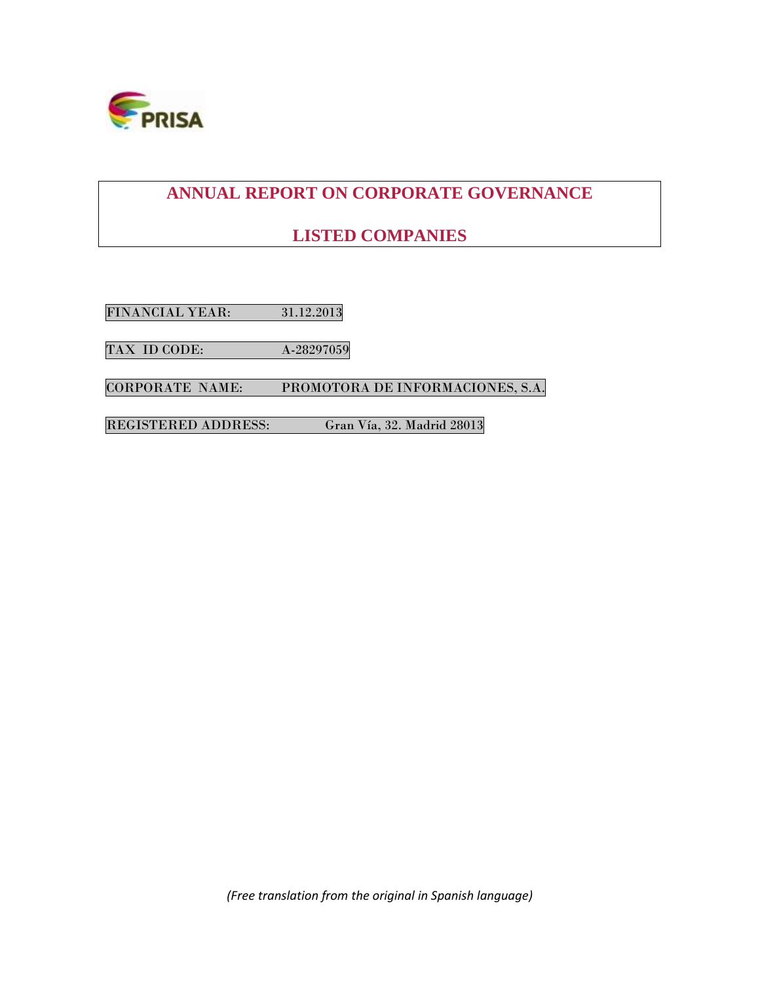

# **ANNUAL REPORT ON CORPORATE GOVERNANCE**

# **LISTED COMPANIES**

FINANCIAL YEAR: 31.12.2013

TAX ID CODE: A-28297059

CORPORATE NAME: PROMOTORA DE INFORMACIONES, S.A.

REGISTERED ADDRESS: Gran Vía, 32. Madrid 28013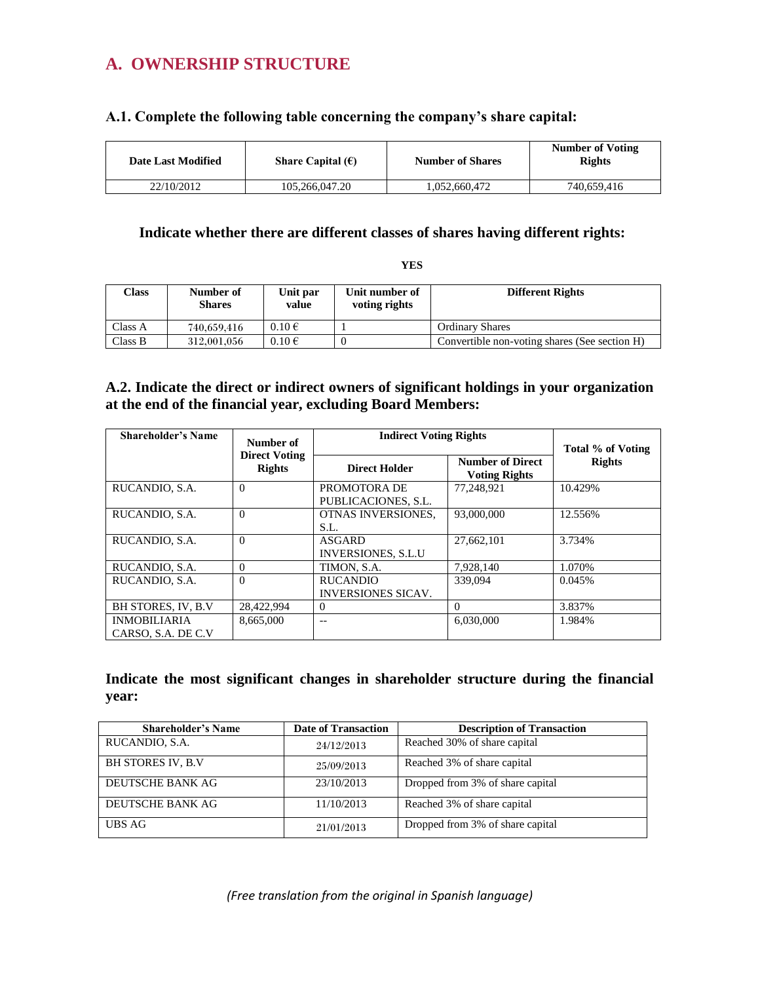# **A. OWNERSHIP STRUCTURE**

# **A.1. Complete the following table concerning the company's share capital:**

| <b>Date Last Modified</b> | Share Capital $(\epsilon)$ | <b>Number of Shares</b> | <b>Number of Voting</b><br><b>Rights</b> |
|---------------------------|----------------------------|-------------------------|------------------------------------------|
| 22/10/2012                | 105,266,047.20             | .052.660.472            | 740,659,416                              |

# **Indicate whether there are different classes of shares having different rights:**

**YES**

| $\gamma$ lass | Number of<br><b>Shares</b> | Unit par<br>value | Unit number of<br>voting rights | <b>Different Rights</b>                       |
|---------------|----------------------------|-------------------|---------------------------------|-----------------------------------------------|
| Class A       | 740,659,416                | $0.10 \in$        |                                 | <b>Ordinary Shares</b>                        |
| Class B       | 312,001,056                | $0.10 \in$        |                                 | Convertible non-voting shares (See section H) |

# **A.2. Indicate the direct or indirect owners of significant holdings in your organization at the end of the financial year, excluding Board Members:**

| <b>Shareholder's Name</b>                  | Number of                             | <b>Indirect Voting Rights</b>                |                                                 | Total % of Voting |  |
|--------------------------------------------|---------------------------------------|----------------------------------------------|-------------------------------------------------|-------------------|--|
|                                            | <b>Direct Voting</b><br><b>Rights</b> | <b>Direct Holder</b>                         | <b>Number of Direct</b><br><b>Voting Rights</b> | <b>Rights</b>     |  |
| RUCANDIO, S.A.                             | $\Omega$                              | PROMOTORA DE<br>PUBLICACIONES, S.L.          | 77.248.921                                      | 10.429%           |  |
| RUCANDIO, S.A.                             | $\Omega$                              | <b>OTNAS INVERSIONES.</b><br>S.L.            | 93,000,000                                      | 12.556%           |  |
| RUCANDIO, S.A.                             | $\Omega$                              | ASGARD<br><b>INVERSIONES, S.L.U</b>          | 27.662.101                                      | 3.734%            |  |
| RUCANDIO, S.A.                             | $\Omega$                              | TIMON, S.A.                                  | 7,928,140                                       | 1.070%            |  |
| RUCANDIO, S.A.                             | $\Omega$                              | <b>RUCANDIO</b><br><b>INVERSIONES SICAV.</b> | 339,094                                         | 0.045%            |  |
| <b>BH STORES, IV. B.V.</b>                 | 28.422.994                            | $\Omega$                                     | $\Omega$                                        | 3.837%            |  |
| <b>INMOBILIARIA</b><br>CARSO, S.A. DE C.V. | 8.665.000                             |                                              | 6.030.000                                       | 1.984%            |  |

# **Indicate the most significant changes in shareholder structure during the financial year:**

| <b>Shareholder's Name</b> | <b>Date of Transaction</b> | <b>Description of Transaction</b> |
|---------------------------|----------------------------|-----------------------------------|
| RUCANDIO, S.A.            | 24/12/2013                 | Reached 30% of share capital      |
| <b>BH STORES IV, B.V</b>  | 25/09/2013                 | Reached 3% of share capital       |
| DEUTSCHE BANK AG          | 23/10/2013                 | Dropped from 3% of share capital  |
| DEUTSCHE BANK AG          | 11/10/2013                 | Reached 3% of share capital       |
| UBS AG                    | 21/01/2013                 | Dropped from 3% of share capital  |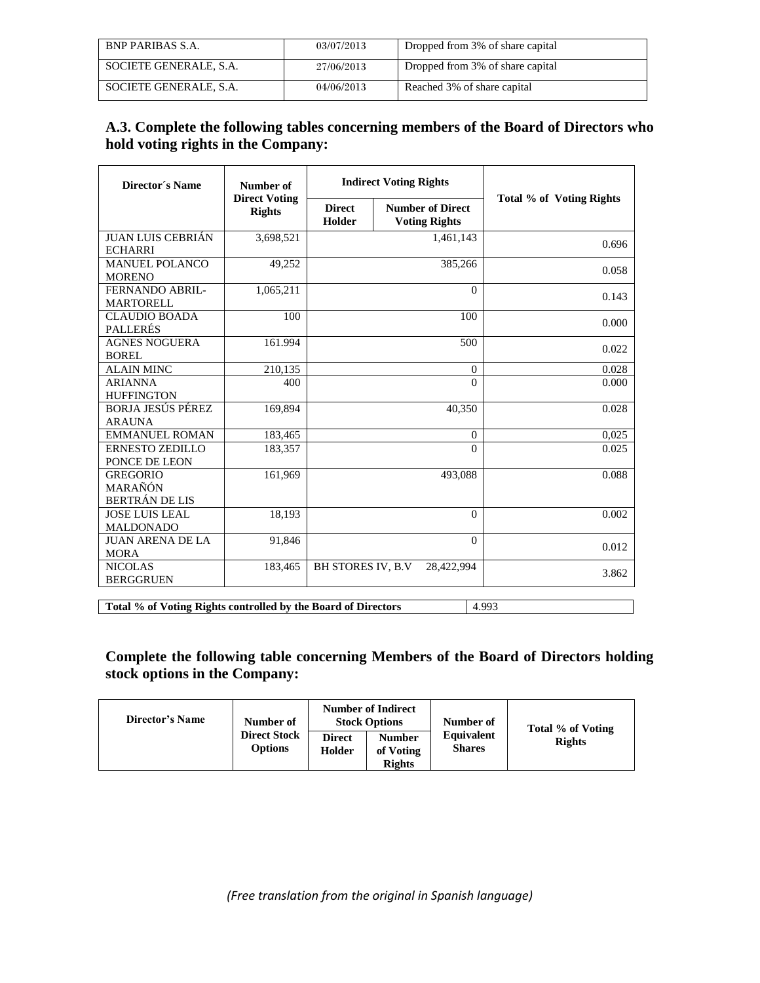| <b>BNP PARIBAS S.A.</b> | 03/07/2013 | Dropped from 3% of share capital |
|-------------------------|------------|----------------------------------|
| SOCIETE GENERALE, S.A.  | 27/06/2013 | Dropped from 3% of share capital |
| SOCIETE GENERALE, S.A.  | 04/06/2013 | Reached 3% of share capital      |

# **A.3. Complete the following tables concerning members of the Board of Directors who hold voting rights in the Company:**

| Director's Name                                     | Number of<br><b>Direct Voting</b> | <b>Indirect Voting Rights</b> |                                                 | Total % of Voting Rights               |       |  |
|-----------------------------------------------------|-----------------------------------|-------------------------------|-------------------------------------------------|----------------------------------------|-------|--|
|                                                     | <b>Rights</b>                     | <b>Direct</b><br>Holder       | <b>Number of Direct</b><br><b>Voting Rights</b> |                                        |       |  |
| <b>JUAN LUIS CEBRIÁN</b><br><b>ECHARRI</b>          | 3,698,521                         |                               | $\overline{1,}461,143$                          |                                        | 0.696 |  |
| <b>MANUEL POLANCO</b><br><b>MORENO</b>              | 49,252                            |                               | 385,266                                         |                                        | 0.058 |  |
| FERNANDO ABRIL-<br><b>MARTORELL</b>                 | 1,065,211                         |                               |                                                 | $\Omega$                               | 0.143 |  |
| <b>CLAUDIO BOADA</b><br><b>PALLERÉS</b>             | 100                               | 100                           |                                                 | 0.000                                  |       |  |
| <b>AGNES NOGUERA</b><br><b>BOREL</b>                | 161.994                           | 500                           |                                                 | 0.022                                  |       |  |
| <b>ALAIN MINC</b>                                   | 210.135                           | $\mathbf{0}$                  |                                                 | 0.028                                  |       |  |
| <b>ARIANNA</b><br><b>HUFFINGTON</b>                 | 400                               | $\theta$                      |                                                 | 0.000                                  |       |  |
| <b>BORJA JESUS PÉREZ</b><br><b>ARAUNA</b>           | 169,894                           | 40,350                        |                                                 | 0.028                                  |       |  |
| <b>EMMANUEL ROMAN</b>                               | 183,465                           | $\Omega$                      |                                                 | 0,025                                  |       |  |
| ERNESTO ZEDILLO<br>PONCE DE LEON                    | 183,357                           | $\Omega$                      |                                                 | 0.025                                  |       |  |
| <b>GREGORIO</b><br>MARAÑÓN<br><b>BERTRÁN DE LIS</b> | 161,969                           | 493,088                       |                                                 | 0.088                                  |       |  |
| <b>JOSE LUIS LEAL</b><br><b>MALDONADO</b>           | 18,193                            | $\Omega$                      |                                                 | 0.002                                  |       |  |
| <b>JUAN ARENA DE LA</b><br><b>MORA</b>              | 91,846                            | $\Omega$                      |                                                 | 0.012                                  |       |  |
| <b>NICOLAS</b><br><b>BERGGRUEN</b>                  | 183,465                           |                               |                                                 | <b>BH STORES IV, B.V</b><br>28,422,994 |       |  |

**Total % of Voting Rights controlled by the Board of Directors** 4.993

**Complete the following table concerning Members of the Board of Directors holding stock options in the Company:** 

| Director's Name | Number of                      | <b>Number of Indirect</b><br><b>Stock Options</b> |                                             | Number of                   | Total % of Voting |
|-----------------|--------------------------------|---------------------------------------------------|---------------------------------------------|-----------------------------|-------------------|
|                 | <b>Direct Stock</b><br>Options | <b>Direct</b><br>Holder                           | <b>Number</b><br>of Voting<br><b>Rights</b> | Equivalent<br><b>Shares</b> | <b>Rights</b>     |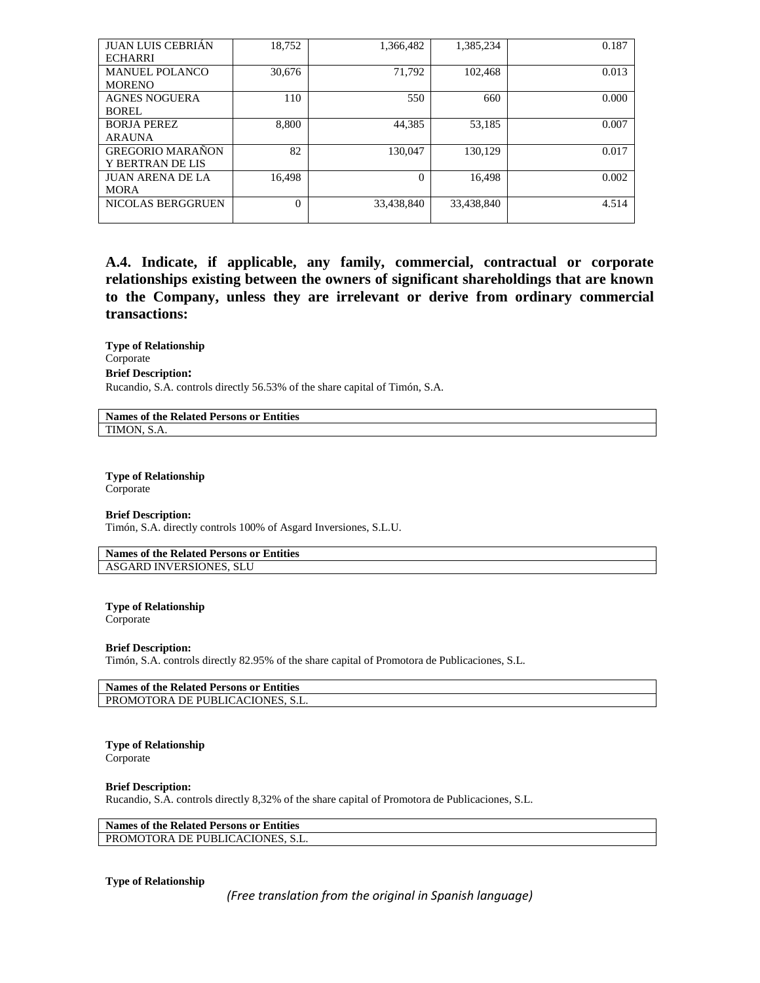| <b>JUAN LUIS CEBRIÁN</b> | 18,752   | 1,366,482  | 1,385,234  | 0.187 |
|--------------------------|----------|------------|------------|-------|
| <b>ECHARRI</b>           |          |            |            |       |
| <b>MANUEL POLANCO</b>    | 30,676   | 71.792     | 102.468    | 0.013 |
| <b>MORENO</b>            |          |            |            |       |
| <b>AGNES NOGUERA</b>     | 110      | 550        | 660        | 0.000 |
| BOREL                    |          |            |            |       |
| <b>BORJA PEREZ</b>       | 8,800    | 44.385     | 53,185     | 0.007 |
| <b>ARAUNA</b>            |          |            |            |       |
| <b>GREGORIO MARAÑON</b>  | 82       | 130.047    | 130.129    | 0.017 |
| Y BERTRAN DE LIS         |          |            |            |       |
| <b>JUAN ARENA DE LA</b>  | 16,498   | $\Omega$   | 16,498     | 0.002 |
| <b>MORA</b>              |          |            |            |       |
| NICOLAS BERGGRUEN        | $\Omega$ | 33,438,840 | 33,438,840 | 4.514 |
|                          |          |            |            |       |

**A.4. Indicate, if applicable, any family, commercial, contractual or corporate relationships existing between the owners of significant shareholdings that are known to the Company, unless they are irrelevant or derive from ordinary commercial transactions:**

**Type of Relationship** Corporate **Brief Description:** Rucandio, S.A. controls directly 56.53% of the share capital of Timón, S.A.

**Names of the Related Persons or Entities** TIMON, S.A.

**Type of Relationship** Corporate

**Brief Description:**

Timón, S.A. directly controls 100% of Asgard Inversiones, S.L.U.

**Names of the Related Persons or Entities** ASGARD INVERSIONES, SLU

**Type of Relationship** Corporate

#### **Brief Description:**

Timón, S.A. controls directly 82.95% of the share capital of Promotora de Publicaciones, S.L.

| Names of the Related Persons or Entities |  |
|------------------------------------------|--|
| <b>PROMOTORA DE PUBLICACIONES. S.L.</b>  |  |

### **Type of Relationship**

Corporate

#### **Brief Description:**

Rucandio, S.A. controls directly 8,32% of the share capital of Promotora de Publicaciones, S.L.

### **Names of the Related Persons or Entities**

PROMOTORA DE PUBLICACIONES, S.L.

#### **Type of Relationship**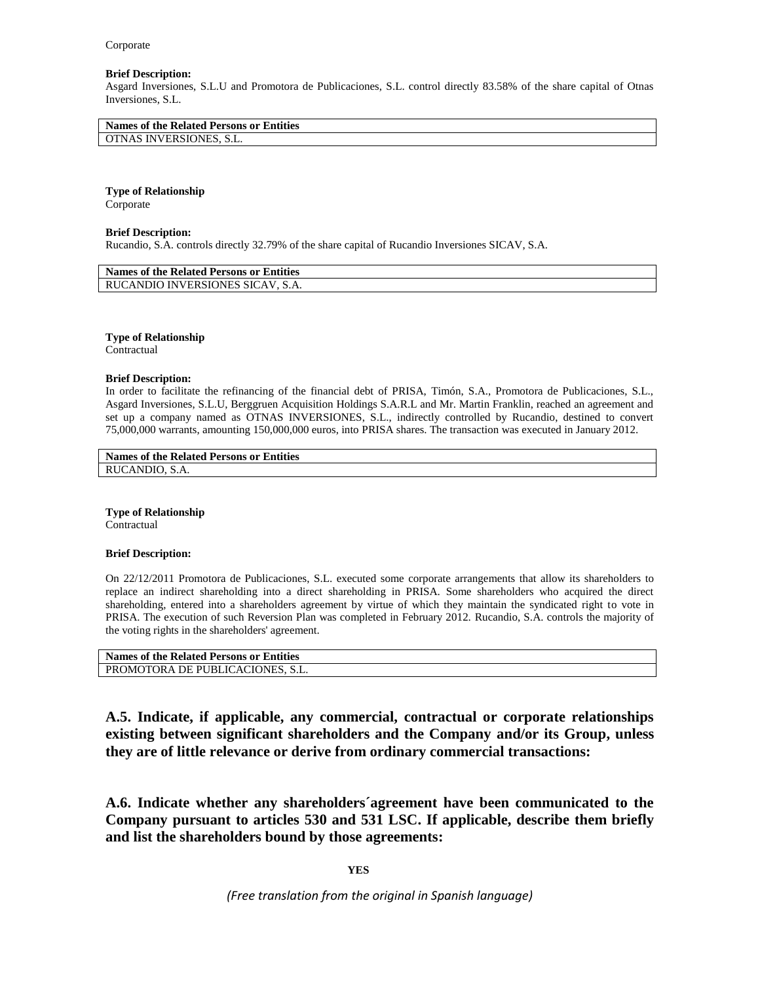#### **Brief Description:**

Asgard Inversiones, S.L.U and Promotora de Publicaciones, S.L. control directly 83.58% of the share capital of Otnas Inversiones, S.L.

| Names of the Related Persons or Entities |  |
|------------------------------------------|--|
| OTNAS INVERSIONES, S.L.                  |  |
|                                          |  |

# **Type of Relationship**

Corporate

#### **Brief Description:**

Rucandio, S.A. controls directly 32.79% of the share capital of Rucandio Inversiones SICAV, S.A.

| <b>Names of the Related Persons or Entities</b> |  |
|-------------------------------------------------|--|
| RUCANDIO INVERSIONES SICAV. S.A.                |  |

**Type of Relationship** Contractual

#### **Brief Description:**

In order to facilitate the refinancing of the financial debt of PRISA, Timón, S.A., Promotora de Publicaciones, S.L., Asgard Inversiones, S.L.U, Berggruen Acquisition Holdings S.A.R.L and Mr. Martin Franklin, reached an agreement and set up a company named as OTNAS INVERSIONES, S.L., indirectly controlled by Rucandio, destined to convert 75,000,000 warrants, amounting 150,000,000 euros, into PRISA shares. The transaction was executed in January 2012.

#### **Names of the Related Persons or Entities** RUCANDIO, S.A.

**Type of Relationship** Contractual

#### **Brief Description:**

On 22/12/2011 Promotora de Publicaciones, S.L. executed some corporate arrangements that allow its shareholders to replace an indirect shareholding into a direct shareholding in PRISA. Some shareholders who acquired the direct shareholding, entered into a shareholders agreement by virtue of which they maintain the syndicated right to vote in PRISA. The execution of such Reversion Plan was completed in February 2012. Rucandio, S.A. controls the majority of the voting rights in the shareholders' agreement.

| Names of the Related Persons or Entities |  |
|------------------------------------------|--|
| PROMOTORA DE PUBLICACIONES, S.L.         |  |

**A.5. Indicate, if applicable, any commercial, contractual or corporate relationships existing between significant shareholders and the Company and/or its Group, unless they are of little relevance or derive from ordinary commercial transactions:**

**A.6. Indicate whether any shareholders´agreement have been communicated to the Company pursuant to articles 530 and 531 LSC. If applicable, describe them briefly and list the shareholders bound by those agreements:** 

**YES**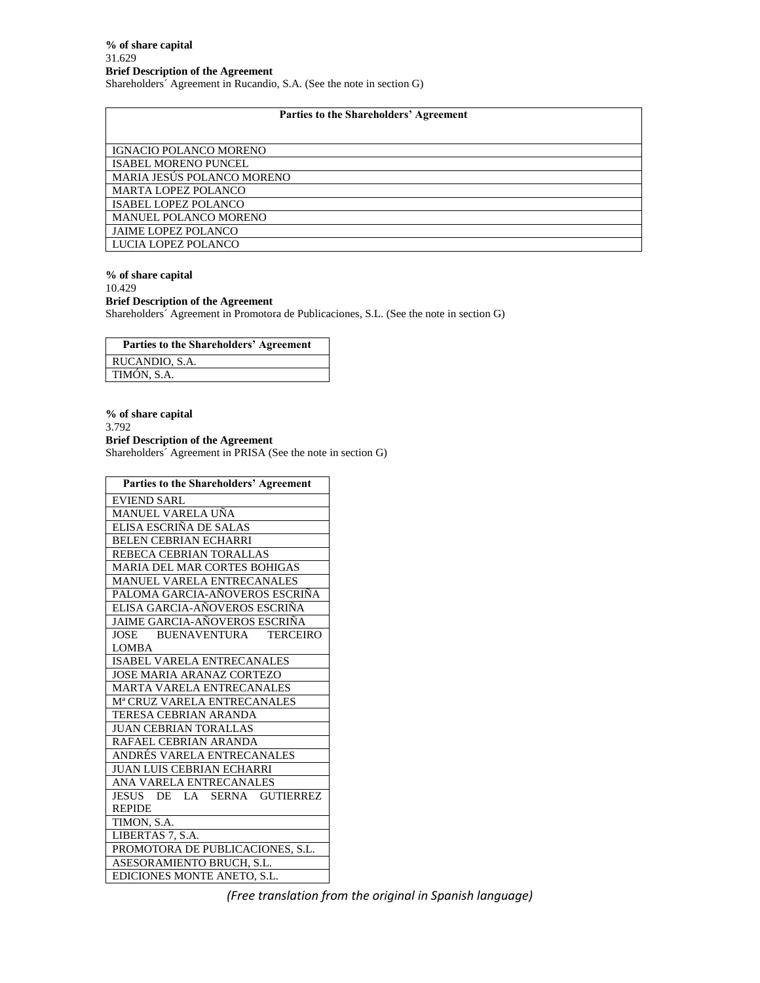### **Parties to the Shareholders' Agreement**

| IGNACIO POLANCO MORENO       |
|------------------------------|
| <b>ISABEL MORENO PUNCEL</b>  |
| MARIA JESÚS POLANCO MORENO   |
| <b>MARTA LOPEZ POLANCO</b>   |
| <b>ISABEL LOPEZ POLANCO</b>  |
| <b>MANUEL POLANCO MORENO</b> |
| <b>JAIME LOPEZ POLANCO</b>   |
| LUCIA LOPEZ POLANCO          |

#### **% of share capital** 10.429 **Brief Description of the Agreement** Shareholders´ Agreement in Promotora de Publicaciones, S.L. (See the note in section G)

**Parties to the Shareholders' Agreement** RUCANDIO, S.A. TIMÓN, S.A.

**% of share capital** 3.792 **Brief Description of the Agreement** Shareholders´ Agreement in PRISA (See the note in section G)

| <b>Parties to the Shareholders' Agreement</b> |
|-----------------------------------------------|
| EVIEND SARL                                   |
| MANUEL VARELA UÑA                             |
| ELISA ESCRIÑA DE SALAS                        |
| <b>BELEN CEBRIAN ECHARRI</b>                  |
| REBECA CEBRIAN TORALLAS                       |
| <b>MARIA DEL MAR CORTES BOHIGAS</b>           |
| <b>MANUEL VARELA ENTRECANALES</b>             |
| PALOMA GARCIA-AÑOVEROS ESCRIÑA                |
| ELISA GARCIA-AÑOVEROS ESCRIÑA                 |
| JAIME GARCIA-AÑOVEROS ESCRIÑA                 |
| JOSE BUENAVENTURA TERCEIRO                    |
| <b>LOMBA</b>                                  |
| <b>ISABEL VARELA ENTRECANALES</b>             |
| <b>JOSE MARIA ARANAZ CORTEZO</b>              |
| MARTA VARELA ENTRECANALES                     |
| Mª CRUZ VARELA ENTRECANALES                   |
| TERESA CEBRIAN ARANDA                         |
| <b>JUAN CEBRIAN TORALLAS</b>                  |
| RAFAEL CEBRIAN ARANDA                         |
| ANDRÉS VARELA ENTRECANALES                    |
| <b>JUAN LUIS CEBRIAN ECHARRI</b>              |
| ANA VARELA ENTRECANALES                       |
| DE LA SERNA GUTIERREZ<br>JESUS                |
| <b>REPIDE</b>                                 |
| TIMON, S.A.                                   |
| LIBERTAS 7, S.A.                              |
| PROMOTORA DE PUBLICACIONES, S.L.              |
| ASESORAMIENTO BRUCH, S.L.                     |
| EDICIONES MONTE ANETO, S.L.                   |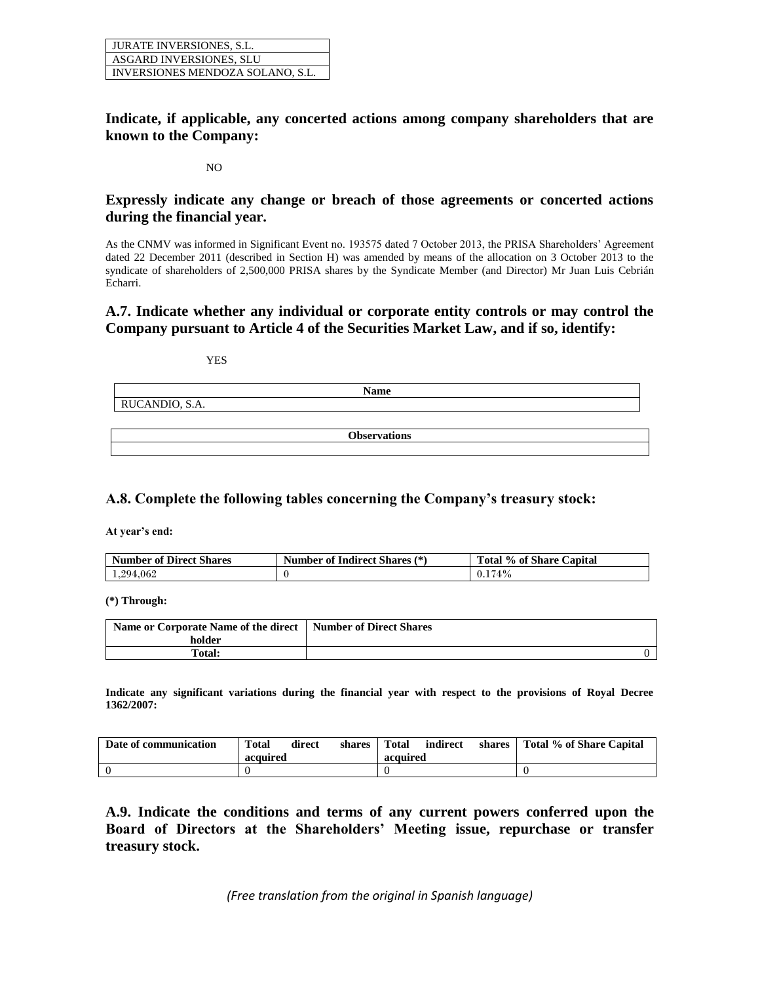| <b>JURATE INVERSIONES, S.L.</b>  |
|----------------------------------|
| ASGARD INVERSIONES, SLU          |
| INVERSIONES MENDOZA SOLANO, S.L. |

# **Indicate, if applicable, any concerted actions among company shareholders that are known to the Company:**

#### NO

## **Expressly indicate any change or breach of those agreements or concerted actions during the financial year.**

As the CNMV was informed in Significant Event no. 193575 dated 7 October 2013, the PRISA Shareholders' Agreement dated 22 December 2011 (described in Section H) was amended by means of the allocation on 3 October 2013 to the syndicate of shareholders of 2,500,000 PRISA shares by the Syndicate Member (and Director) Mr Juan Luis Cebrián Echarri.

### **A.7. Indicate whether any individual or corporate entity controls or may control the Company pursuant to Article 4 of the Securities Market Law, and if so, identify:**

YES

| <b>Name</b>                                         |
|-----------------------------------------------------|
| $\sim$<br>$\sim$ $\sim$ $\sim$<br>RUCANDIO,<br>S.A. |
|                                                     |

**Observations**

# **A.8. Complete the following tables concerning the Company's treasury stock:**

**At year's end:**

| <b>Number of Direct Shares</b> | <b>Number of Indirect Shares (*)</b> | Total % of Share Capital |  |
|--------------------------------|--------------------------------------|--------------------------|--|
| 1,294,062                      |                                      | 174%                     |  |

**(\*) Through:** 

| Name or Corporate Name of the direct   Number of Direct Shares |  |
|----------------------------------------------------------------|--|
| holder                                                         |  |
| <b>Total:</b>                                                  |  |

**Indicate any significant variations during the financial year with respect to the provisions of Royal Decree 1362/2007:**

| Date of communication | <b>Total</b> | direct | shares | <b>Total</b> | indirect | shares | Total % of Share Capital |
|-----------------------|--------------|--------|--------|--------------|----------|--------|--------------------------|
|                       | acquired     |        |        | acquired     |          |        |                          |
|                       |              |        |        |              |          |        |                          |

**A.9. Indicate the conditions and terms of any current powers conferred upon the Board of Directors at the Shareholders' Meeting issue, repurchase or transfer treasury stock.**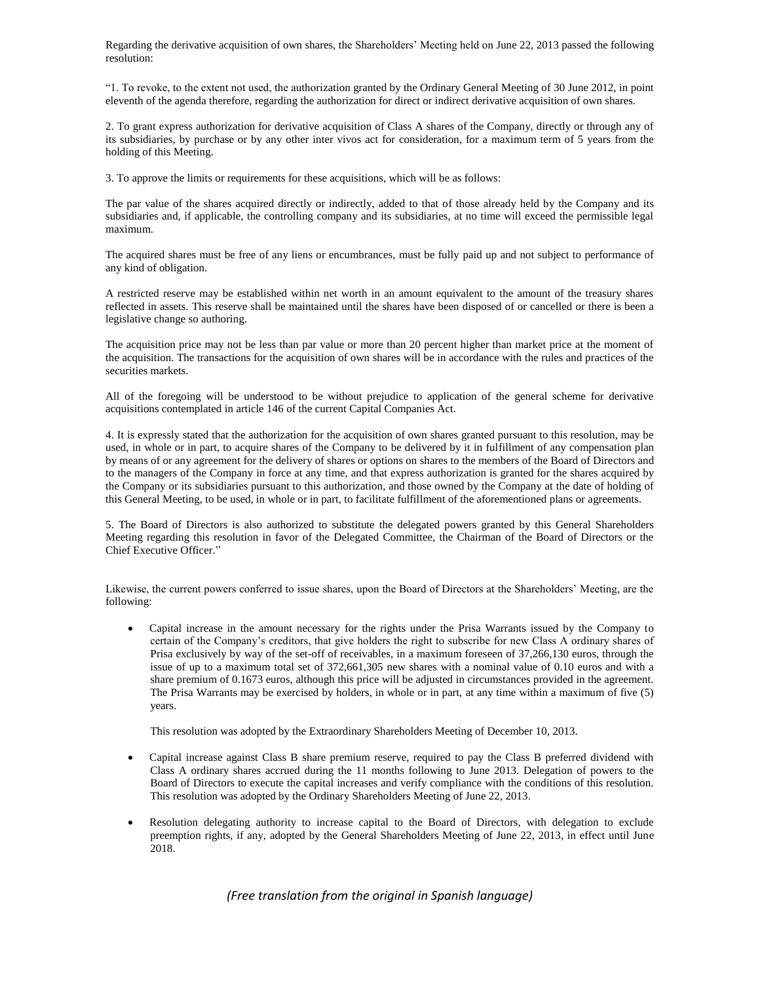Regarding the derivative acquisition of own shares, the Shareholders' Meeting held on June 22, 2013 passed the following resolution:

"1. To revoke, to the extent not used, the authorization granted by the Ordinary General Meeting of 30 June 2012, in point eleventh of the agenda therefore, regarding the authorization for direct or indirect derivative acquisition of own shares.

2. To grant express authorization for derivative acquisition of Class A shares of the Company, directly or through any of its subsidiaries, by purchase or by any other inter vivos act for consideration, for a maximum term of 5 years from the holding of this Meeting.

3. To approve the limits or requirements for these acquisitions, which will be as follows:

The par value of the shares acquired directly or indirectly, added to that of those already held by the Company and its subsidiaries and, if applicable, the controlling company and its subsidiaries, at no time will exceed the permissible legal maximum.

The acquired shares must be free of any liens or encumbrances, must be fully paid up and not subject to performance of any kind of obligation.

A restricted reserve may be established within net worth in an amount equivalent to the amount of the treasury shares reflected in assets. This reserve shall be maintained until the shares have been disposed of or cancelled or there is been a legislative change so authoring.

The acquisition price may not be less than par value or more than 20 percent higher than market price at the moment of the acquisition. The transactions for the acquisition of own shares will be in accordance with the rules and practices of the securities markets.

All of the foregoing will be understood to be without prejudice to application of the general scheme for derivative acquisitions contemplated in article 146 of the current Capital Companies Act.

4. It is expressly stated that the authorization for the acquisition of own shares granted pursuant to this resolution, may be used, in whole or in part, to acquire shares of the Company to be delivered by it in fulfillment of any compensation plan by means of or any agreement for the delivery of shares or options on shares to the members of the Board of Directors and to the managers of the Company in force at any time, and that express authorization is granted for the shares acquired by the Company or its subsidiaries pursuant to this authorization, and those owned by the Company at the date of holding of this General Meeting, to be used, in whole or in part, to facilitate fulfillment of the aforementioned plans or agreements.

5. The Board of Directors is also authorized to substitute the delegated powers granted by this General Shareholders Meeting regarding this resolution in favor of the Delegated Committee, the Chairman of the Board of Directors or the Chief Executive Officer."

Likewise, the current powers conferred to issue shares, upon the Board of Directors at the Shareholders' Meeting, are the following:

 Capital increase in the amount necessary for the rights under the Prisa Warrants issued by the Company to certain of the Company's creditors, that give holders the right to subscribe for new Class A ordinary shares of Prisa exclusively by way of the set-off of receivables, in a maximum foreseen of 37,266,130 euros, through the issue of up to a maximum total set of 372,661,305 new shares with a nominal value of 0.10 euros and with a share premium of 0.1673 euros, although this price will be adjusted in circumstances provided in the agreement. The Prisa Warrants may be exercised by holders, in whole or in part, at any time within a maximum of five (5) years.

This resolution was adopted by the Extraordinary Shareholders Meeting of December 10, 2013.

- Capital increase against Class B share premium reserve, required to pay the Class B preferred dividend with Class A ordinary shares accrued during the 11 months following to June 2013. Delegation of powers to the Board of Directors to execute the capital increases and verify compliance with the conditions of this resolution. This resolution was adopted by the Ordinary Shareholders Meeting of June 22, 2013.
- Resolution delegating authority to increase capital to the Board of Directors, with delegation to exclude preemption rights, if any, adopted by the General Shareholders Meeting of June 22, 2013, in effect until June 2018.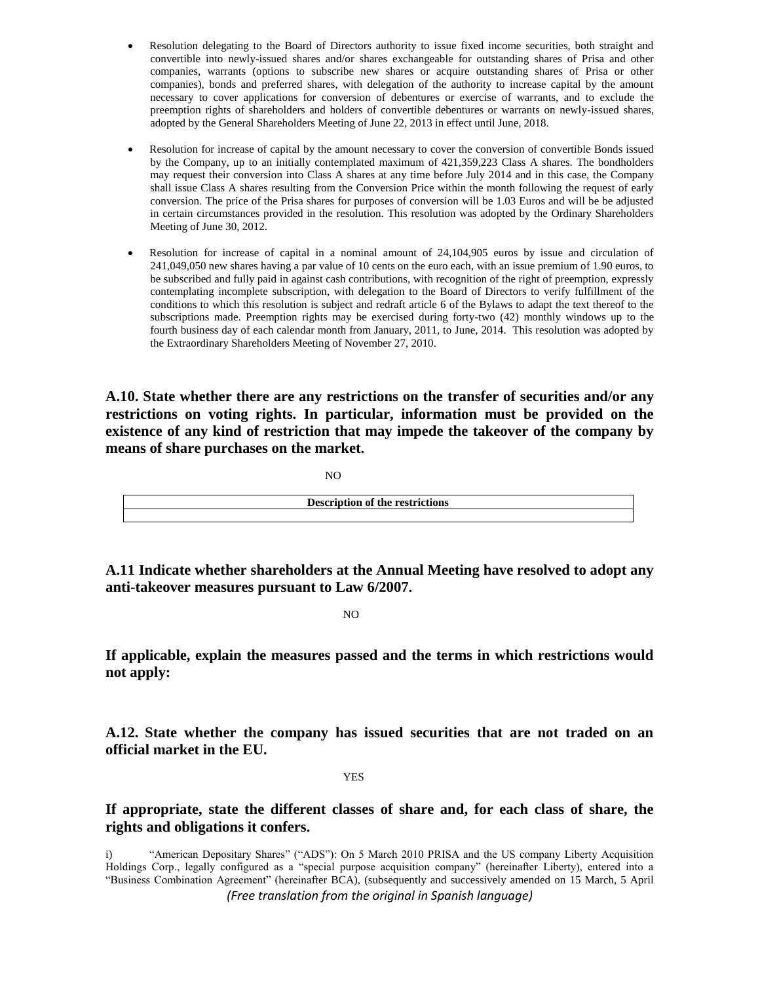- Resolution delegating to the Board of Directors authority to issue fixed income securities, both straight and convertible into newly-issued shares and/or shares exchangeable for outstanding shares of Prisa and other companies, warrants (options to subscribe new shares or acquire outstanding shares of Prisa or other companies), bonds and preferred shares, with delegation of the authority to increase capital by the amount necessary to cover applications for conversion of debentures or exercise of warrants, and to exclude the preemption rights of shareholders and holders of convertible debentures or warrants on newly-issued shares, adopted by the General Shareholders Meeting of June 22, 2013 in effect until June, 2018.
- Resolution for increase of capital by the amount necessary to cover the conversion of convertible Bonds issued by the Company, up to an initially contemplated maximum of 421,359,223 Class A shares. The bondholders may request their conversion into Class A shares at any time before July 2014 and in this case, the Company shall issue Class A shares resulting from the Conversion Price within the month following the request of early conversion. The price of the Prisa shares for purposes of conversion will be 1.03 Euros and will be be adjusted in certain circumstances provided in the resolution. This resolution was adopted by the Ordinary Shareholders Meeting of June 30, 2012.
- Resolution for increase of capital in a nominal amount of 24,104,905 euros by issue and circulation of 241,049,050 new shares having a par value of 10 cents on the euro each, with an issue premium of 1.90 euros, to be subscribed and fully paid in against cash contributions, with recognition of the right of preemption, expressly contemplating incomplete subscription, with delegation to the Board of Directors to verify fulfillment of the conditions to which this resolution is subject and redraft article 6 of the Bylaws to adapt the text thereof to the subscriptions made. Preemption rights may be exercised during forty-two (42) monthly windows up to the fourth business day of each calendar month from January, 2011, to June, 2014. This resolution was adopted by the Extraordinary Shareholders Meeting of November 27, 2010.

**A.10. State whether there are any restrictions on the transfer of securities and/or any restrictions on voting rights. In particular, information must be provided on the existence of any kind of restriction that may impede the takeover of the company by means of share purchases on the market.** 

NO

| <b>Description of the restrictions</b> |
|----------------------------------------|
|                                        |
|                                        |
|                                        |

**A.11 Indicate whether shareholders at the Annual Meeting have resolved to adopt any anti-takeover measures pursuant to Law 6/2007.**

NO

**If applicable, explain the measures passed and the terms in which restrictions would not apply:**

**A.12. State whether the company has issued securities that are not traded on an official market in the EU.** 

#### YES

**If appropriate, state the different classes of share and, for each class of share, the rights and obligations it confers.**

*(Free translation from the original in Spanish language)* i) "American Depositary Shares" ("ADS"): On 5 March 2010 PRISA and the US company Liberty Acquisition Holdings Corp., legally configured as a "special purpose acquisition company" (hereinafter Liberty), entered into a "Business Combination Agreement" (hereinafter BCA), (subsequently and successively amended on 15 March, 5 April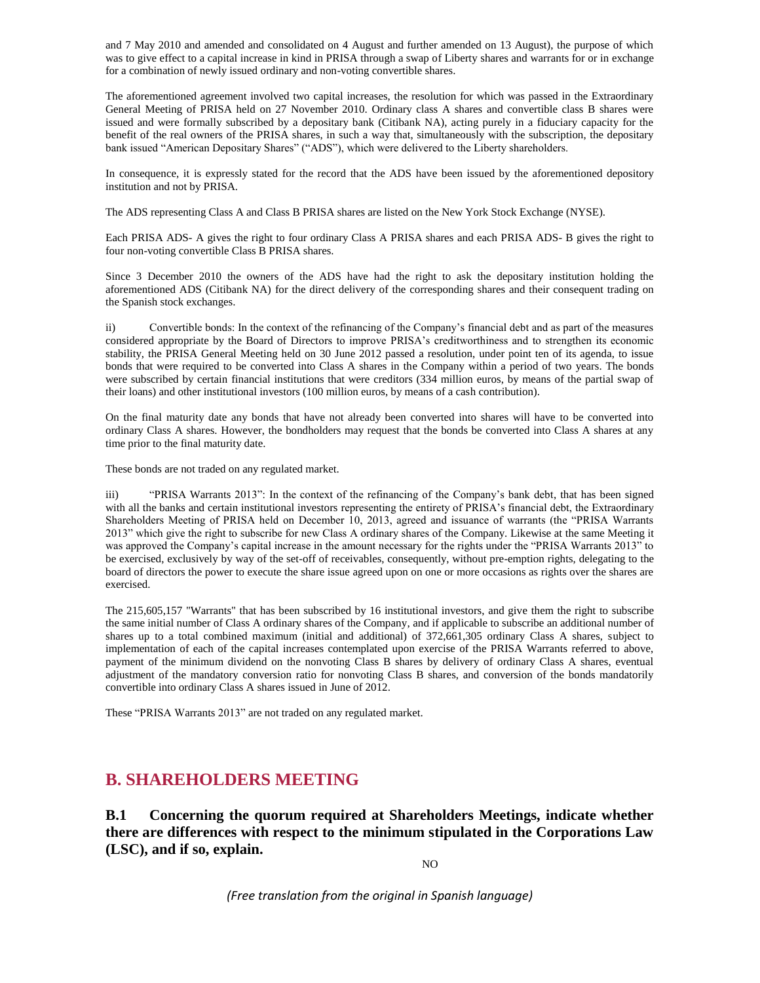and 7 May 2010 and amended and consolidated on 4 August and further amended on 13 August), the purpose of which was to give effect to a capital increase in kind in PRISA through a swap of Liberty shares and warrants for or in exchange for a combination of newly issued ordinary and non-voting convertible shares.

The aforementioned agreement involved two capital increases, the resolution for which was passed in the Extraordinary General Meeting of PRISA held on 27 November 2010. Ordinary class A shares and convertible class B shares were issued and were formally subscribed by a depositary bank (Citibank NA), acting purely in a fiduciary capacity for the benefit of the real owners of the PRISA shares, in such a way that, simultaneously with the subscription, the depositary bank issued "American Depositary Shares" ("ADS"), which were delivered to the Liberty shareholders.

In consequence, it is expressly stated for the record that the ADS have been issued by the aforementioned depository institution and not by PRISA.

The ADS representing Class A and Class B PRISA shares are listed on the New York Stock Exchange (NYSE).

Each PRISA ADS- A gives the right to four ordinary Class A PRISA shares and each PRISA ADS- B gives the right to four non-voting convertible Class B PRISA shares.

Since 3 December 2010 the owners of the ADS have had the right to ask the depositary institution holding the aforementioned ADS (Citibank NA) for the direct delivery of the corresponding shares and their consequent trading on the Spanish stock exchanges.

ii) Convertible bonds: In the context of the refinancing of the Company's financial debt and as part of the measures considered appropriate by the Board of Directors to improve PRISA's creditworthiness and to strengthen its economic stability, the PRISA General Meeting held on 30 June 2012 passed a resolution, under point ten of its agenda, to issue bonds that were required to be converted into Class A shares in the Company within a period of two years. The bonds were subscribed by certain financial institutions that were creditors (334 million euros, by means of the partial swap of their loans) and other institutional investors (100 million euros, by means of a cash contribution).

On the final maturity date any bonds that have not already been converted into shares will have to be converted into ordinary Class A shares. However, the bondholders may request that the bonds be converted into Class A shares at any time prior to the final maturity date.

These bonds are not traded on any regulated market.

iii) "PRISA Warrants 2013": In the context of the refinancing of the Company's bank debt, that has been signed with all the banks and certain institutional investors representing the entirety of PRISA's financial debt, the Extraordinary Shareholders Meeting of PRISA held on December 10, 2013, agreed and issuance of warrants (the "PRISA Warrants 2013" which give the right to subscribe for new Class A ordinary shares of the Company. Likewise at the same Meeting it was approved the Company's capital increase in the amount necessary for the rights under the "PRISA Warrants 2013" to be exercised, exclusively by way of the set-off of receivables, consequently, without pre-emption rights, delegating to the board of directors the power to execute the share issue agreed upon on one or more occasions as rights over the shares are exercised.

The 215,605,157 "Warrants" that has been subscribed by 16 institutional investors, and give them the right to subscribe the same initial number of Class A ordinary shares of the Company, and if applicable to subscribe an additional number of shares up to a total combined maximum (initial and additional) of 372,661,305 ordinary Class A shares, subject to implementation of each of the capital increases contemplated upon exercise of the PRISA Warrants referred to above, payment of the minimum dividend on the nonvoting Class B shares by delivery of ordinary Class A shares, eventual adjustment of the mandatory conversion ratio for nonvoting Class B shares, and conversion of the bonds mandatorily convertible into ordinary Class A shares issued in June of 2012.

These "PRISA Warrants 2013" are not traded on any regulated market.

# **B. SHAREHOLDERS MEETING**

**B.1 Concerning the quorum required at Shareholders Meetings, indicate whether there are differences with respect to the minimum stipulated in the Corporations Law (LSC), and if so, explain.**

NO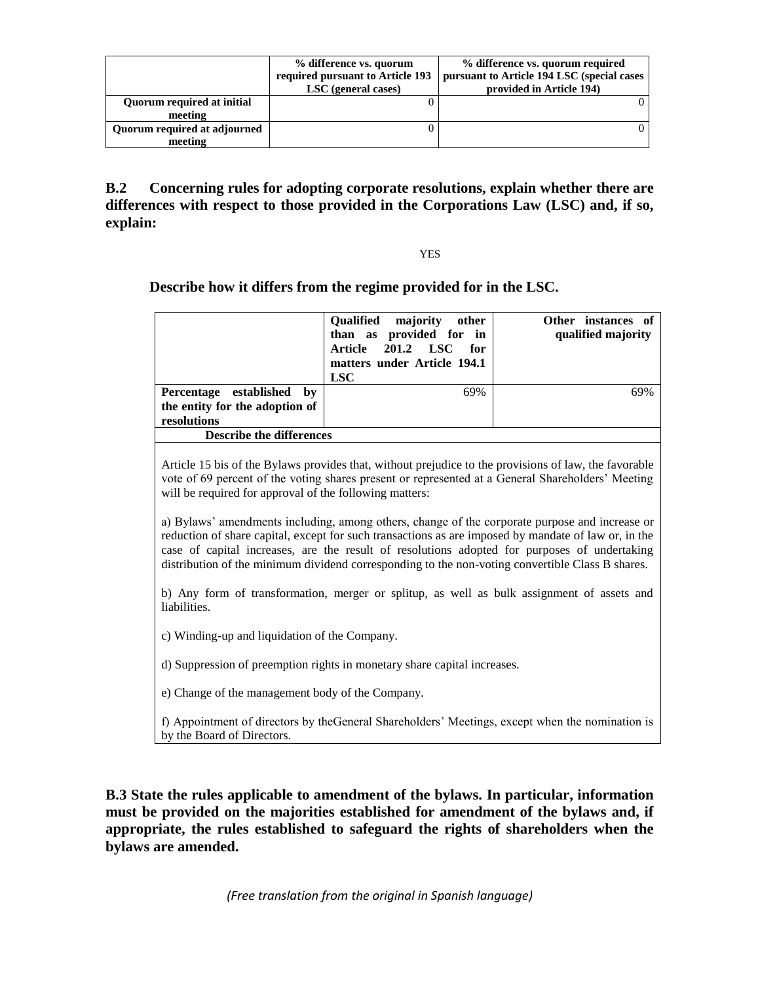|                              | % difference vs. quorum<br>required pursuant to Article 193<br>LSC (general cases) | % difference vs. quorum required<br>pursuant to Article 194 LSC (special cases<br>provided in Article 194) |
|------------------------------|------------------------------------------------------------------------------------|------------------------------------------------------------------------------------------------------------|
| Quorum required at initial   |                                                                                    |                                                                                                            |
| meeting                      |                                                                                    |                                                                                                            |
| Quorum required at adjourned |                                                                                    |                                                                                                            |
| meeting                      |                                                                                    |                                                                                                            |

**B.2 Concerning rules for adopting corporate resolutions, explain whether there are differences with respect to those provided in the Corporations Law (LSC) and, if so, explain:**

YES

**Describe how it differs from the regime provided for in the LSC.**

|                                 | <b>Oualified</b><br>other<br>majority<br>than as provided for in<br>Article 201.2 LSC<br>for<br>matters under Article 194.1<br><b>LSC</b> | Other instances of<br>qualified majority |
|---------------------------------|-------------------------------------------------------------------------------------------------------------------------------------------|------------------------------------------|
| Percentage established by       | 69%                                                                                                                                       | 69%                                      |
| the entity for the adoption of  |                                                                                                                                           |                                          |
| resolutions                     |                                                                                                                                           |                                          |
| <b>Describe the differences</b> |                                                                                                                                           |                                          |

Article 15 bis of the Bylaws provides that, without prejudice to the provisions of law, the favorable vote of 69 percent of the voting shares present or represented at a General Shareholders' Meeting will be required for approval of the following matters:

a) Bylaws' amendments including, among others, change of the corporate purpose and increase or reduction of share capital, except for such transactions as are imposed by mandate of law or, in the case of capital increases, are the result of resolutions adopted for purposes of undertaking distribution of the minimum dividend corresponding to the non-voting convertible Class B shares.

b) Any form of transformation, merger or splitup, as well as bulk assignment of assets and liabilities.

c) Winding-up and liquidation of the Company.

d) Suppression of preemption rights in monetary share capital increases.

e) Change of the management body of the Company.

f) Appointment of directors by theGeneral Shareholders' Meetings, except when the nomination is by the Board of Directors.

**B.3 State the rules applicable to amendment of the bylaws. In particular, information must be provided on the majorities established for amendment of the bylaws and, if appropriate, the rules established to safeguard the rights of shareholders when the bylaws are amended.**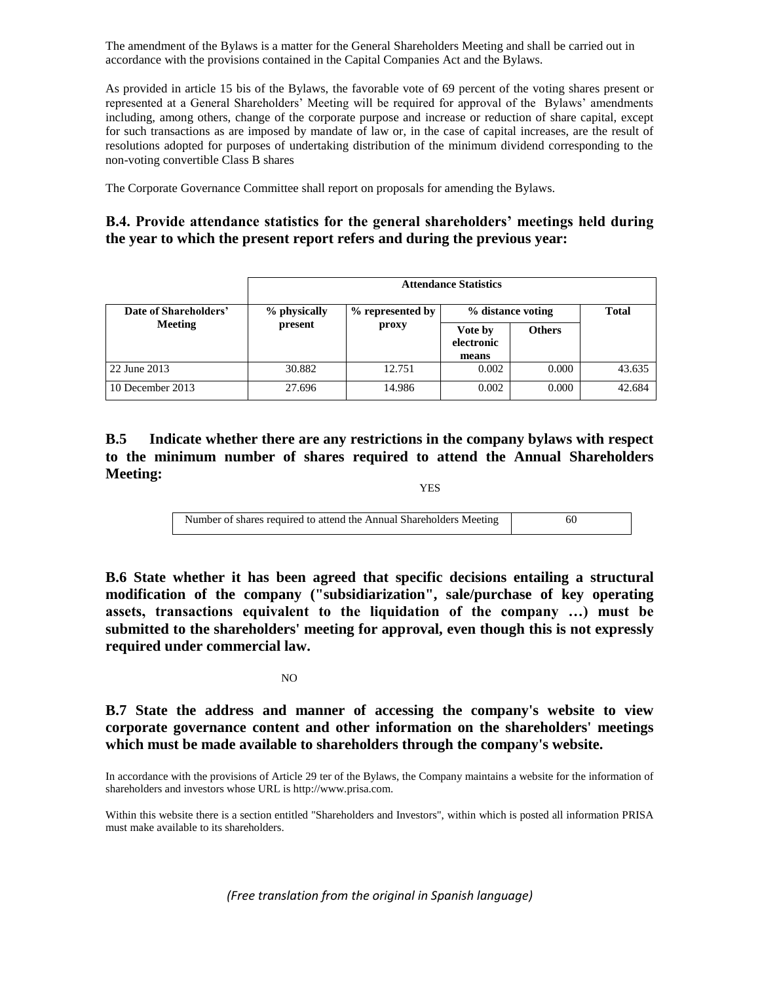The amendment of the Bylaws is a matter for the General Shareholders Meeting and shall be carried out in accordance with the provisions contained in the Capital Companies Act and the Bylaws.

As provided in article 15 bis of the Bylaws, the favorable vote of 69 percent of the voting shares present or represented at a General Shareholders' Meeting will be required for approval of the Bylaws' amendments including, among others, change of the corporate purpose and increase or reduction of share capital, except for such transactions as are imposed by mandate of law or, in the case of capital increases, are the result of resolutions adopted for purposes of undertaking distribution of the minimum dividend corresponding to the non-voting convertible Class B shares

The Corporate Governance Committee shall report on proposals for amending the Bylaws.

## **B.4. Provide attendance statistics for the general shareholders' meetings held during the year to which the present report refers and during the previous year:**

|                       | <b>Attendance Statistics</b>     |        |                                |               |        |  |
|-----------------------|----------------------------------|--------|--------------------------------|---------------|--------|--|
| Date of Shareholders' | % physically<br>% represented by |        | % distance voting              | <b>Total</b>  |        |  |
| <b>Meeting</b>        | present                          | proxy  | Vote by<br>electronic<br>means | <b>Others</b> |        |  |
| 22 June 2013          | 30.882                           | 12.751 | 0.002                          | 0.000         | 43.635 |  |
| 10 December 2013      | 27.696                           | 14.986 | 0.002                          | 0.000         | 42.684 |  |

# **B.5 Indicate whether there are any restrictions in the company bylaws with respect to the minimum number of shares required to attend the Annual Shareholders Meeting:**

YES

| Number of shares required to attend the Annual Shareholders Meeting |  |
|---------------------------------------------------------------------|--|
|                                                                     |  |

**B.6 State whether it has been agreed that specific decisions entailing a structural modification of the company ("subsidiarization", sale/purchase of key operating assets, transactions equivalent to the liquidation of the company …) must be submitted to the shareholders' meeting for approval, even though this is not expressly required under commercial law.**

### NO

**B.7 State the address and manner of accessing the company's website to view corporate governance content and other information on the shareholders' meetings which must be made available to shareholders through the company's website.**

In accordance with the provisions of Article 29 ter of the Bylaws, the Company maintains a website for the information of shareholders and investors whose URL is http://www.prisa.com.

Within this website there is a section entitled "Shareholders and Investors", within which is posted all information PRISA must make available to its shareholders.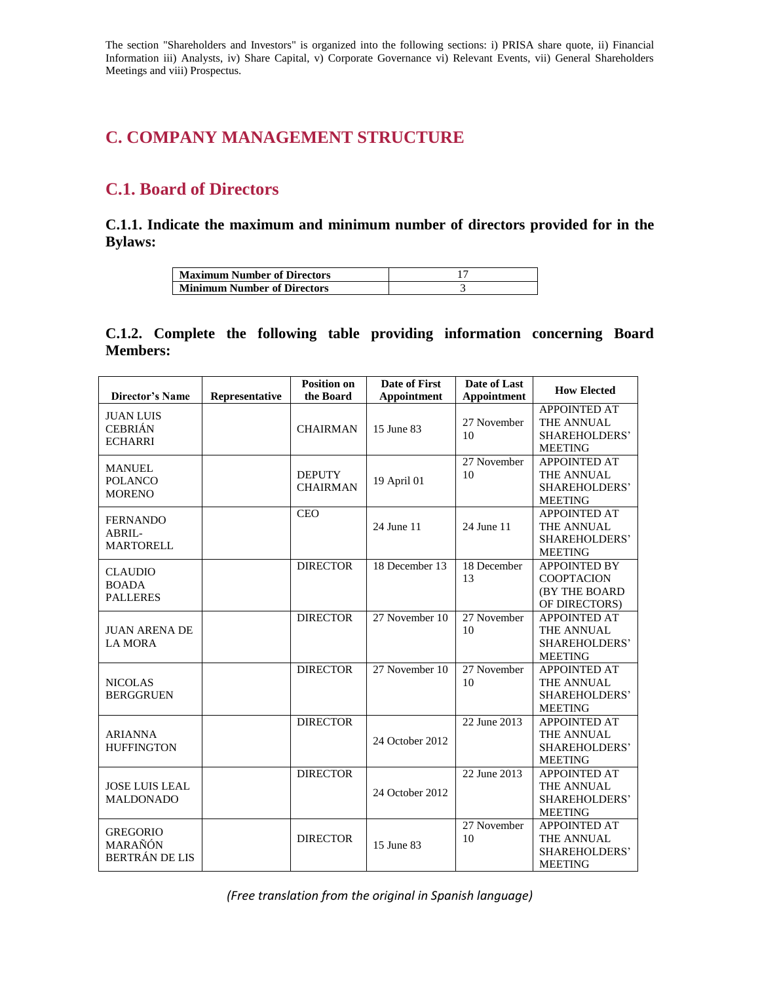The section "Shareholders and Investors" is organized into the following sections: i) PRISA share quote, ii) Financial Information iii) Analysts, iv) Share Capital, v) Corporate Governance vi) Relevant Events, vii) General Shareholders Meetings and viii) Prospectus.

# **C. COMPANY MANAGEMENT STRUCTURE**

# **C.1. Board of Directors**

**C.1.1. Indicate the maximum and minimum number of directors provided for in the Bylaws:** 

| <b>Maximum Number of Directors</b> |  |
|------------------------------------|--|
| <b>Minimum Number of Directors</b> |  |

# **C.1.2. Complete the following table providing information concerning Board Members:**

| Director's Name                                      | Representative | <b>Position on</b><br>the Board  | <b>Date of First</b><br>Appointment | Date of Last<br><b>Appointment</b> | <b>How Elected</b>                                                          |
|------------------------------------------------------|----------------|----------------------------------|-------------------------------------|------------------------------------|-----------------------------------------------------------------------------|
| <b>JUAN LUIS</b><br><b>CEBRIÁN</b><br><b>ECHARRI</b> |                | <b>CHAIRMAN</b>                  | 15 June 83                          | 27 November<br>10                  | <b>APPOINTED AT</b><br>THE ANNUAL<br><b>SHAREHOLDERS'</b><br><b>MEETING</b> |
| <b>MANUEL</b><br><b>POLANCO</b><br><b>MORENO</b>     |                | <b>DEPUTY</b><br><b>CHAIRMAN</b> | 19 April 01                         | 27 November<br>10                  | <b>APPOINTED AT</b><br>THE ANNUAL<br>SHAREHOLDERS'<br><b>MEETING</b>        |
| <b>FERNANDO</b><br>ABRIL-<br><b>MARTORELL</b>        |                | <b>CEO</b>                       | 24 June 11                          | 24 June 11                         | <b>APPOINTED AT</b><br>THE ANNUAL<br>SHAREHOLDERS'<br><b>MEETING</b>        |
| <b>CLAUDIO</b><br><b>BOADA</b><br><b>PALLERES</b>    |                | <b>DIRECTOR</b>                  | 18 December 13                      | 18 December<br>13                  | <b>APPOINTED BY</b><br><b>COOPTACION</b><br>(BY THE BOARD<br>OF DIRECTORS)  |
| <b>JUAN ARENA DE</b><br><b>LA MORA</b>               |                | <b>DIRECTOR</b>                  | 27 November 10                      | 27 November<br>10                  | <b>APPOINTED AT</b><br>THE ANNUAL<br>SHAREHOLDERS'<br><b>MEETING</b>        |
| <b>NICOLAS</b><br><b>BERGGRUEN</b>                   |                | <b>DIRECTOR</b>                  | 27 November 10                      | 27 November<br>10                  | <b>APPOINTED AT</b><br>THE ANNUAL<br>SHAREHOLDERS'<br><b>MEETING</b>        |
| <b>ARIANNA</b><br><b>HUFFINGTON</b>                  |                | <b>DIRECTOR</b>                  | 24 October 2012                     | 22 June 2013                       | <b>APPOINTED AT</b><br>THE ANNUAL<br>SHAREHOLDERS'<br><b>MEETING</b>        |
| <b>JOSE LUIS LEAL</b><br><b>MALDONADO</b>            |                | <b>DIRECTOR</b>                  | 24 October 2012                     | 22 June 2013                       | <b>APPOINTED AT</b><br>THE ANNUAL<br>SHAREHOLDERS'<br><b>MEETING</b>        |
| <b>GREGORIO</b><br>MARAÑÓN<br><b>BERTRÁN DE LIS</b>  |                | <b>DIRECTOR</b>                  | 15 June 83                          | 27 November<br>10                  | <b>APPOINTED AT</b><br>THE ANNUAL<br><b>SHAREHOLDERS'</b><br><b>MEETING</b> |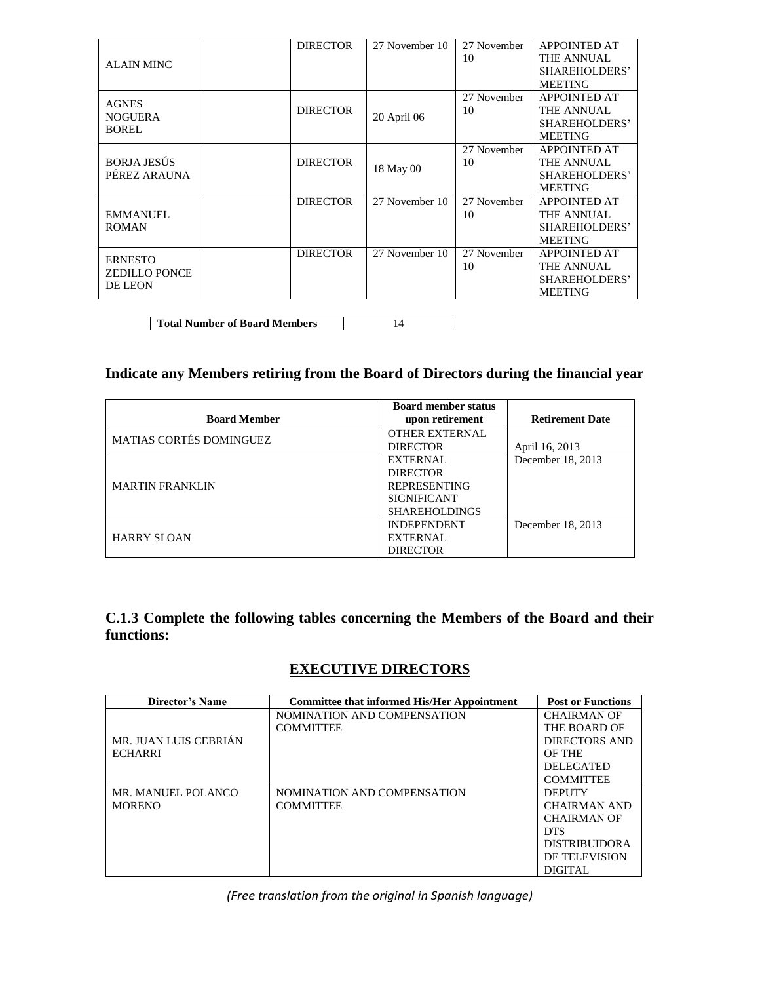|                      | <b>DIRECTOR</b> | 27 November 10 | 27 November | <b>APPOINTED AT</b> |
|----------------------|-----------------|----------------|-------------|---------------------|
| <b>ALAIN MINC</b>    |                 |                | 10          | THE ANNUAL          |
|                      |                 |                |             | SHAREHOLDERS'       |
|                      |                 |                |             | <b>MEETING</b>      |
| <b>AGNES</b>         |                 |                | 27 November | <b>APPOINTED AT</b> |
| <b>NOGUERA</b>       | <b>DIRECTOR</b> | 20 April 06    | 10          | THE ANNUAL          |
| BOREL                |                 |                |             | SHAREHOLDERS'       |
|                      |                 |                |             | <b>MEETING</b>      |
|                      |                 |                | 27 November | <b>APPOINTED AT</b> |
| <b>BORJA JESÚS</b>   | <b>DIRECTOR</b> | 18 May 00      | 10          | THE ANNUAL          |
| PÉREZ ARAUNA         |                 |                |             | SHAREHOLDERS'       |
|                      |                 |                |             | <b>MEETING</b>      |
|                      | <b>DIRECTOR</b> | 27 November 10 | 27 November | <b>APPOINTED AT</b> |
| <b>EMMANUEL</b>      |                 |                | 10          | THE ANNUAL          |
| <b>ROMAN</b>         |                 |                |             | SHAREHOLDERS'       |
|                      |                 |                |             | <b>MEETING</b>      |
| <b>ERNESTO</b>       | <b>DIRECTOR</b> | 27 November 10 | 27 November | <b>APPOINTED AT</b> |
| <b>ZEDILLO PONCE</b> |                 |                | 10          | THE ANNUAL          |
| <b>DE LEON</b>       |                 |                |             | SHAREHOLDERS'       |
|                      |                 |                |             | <b>MEETING</b>      |

**Total Number of Board Members** 14

# **Indicate any Members retiring from the Board of Directors during the financial year**

|                                | <b>Board member status</b> |                        |
|--------------------------------|----------------------------|------------------------|
| <b>Board Member</b>            | upon retirement            | <b>Retirement Date</b> |
| <b>MATIAS CORTÉS DOMINGUEZ</b> | <b>OTHER EXTERNAL</b>      |                        |
|                                | <b>DIRECTOR</b>            | April 16, 2013         |
|                                | <b>EXTERNAL</b>            | December 18, 2013      |
|                                | <b>DIRECTOR</b>            |                        |
| <b>MARTIN FRANKLIN</b>         | <b>REPRESENTING</b>        |                        |
|                                | <b>SIGNIFICANT</b>         |                        |
|                                | <b>SHAREHOLDINGS</b>       |                        |
|                                | <b>INDEPENDENT</b>         | December 18, 2013      |
| <b>HARRY SLOAN</b>             | <b>EXTERNAL</b>            |                        |
|                                | <b>DIRECTOR</b>            |                        |

**C.1.3 Complete the following tables concerning the Members of the Board and their functions:**

# **EXECUTIVE DIRECTORS**

| Director's Name       | <b>Committee that informed His/Her Appointment</b> | <b>Post or Functions</b> |
|-----------------------|----------------------------------------------------|--------------------------|
|                       | NOMINATION AND COMPENSATION                        | <b>CHAIRMAN OF</b>       |
|                       | <b>COMMITTEE</b>                                   | THE BOARD OF             |
| MR. JUAN LUIS CEBRIÁN |                                                    | DIRECTORS AND            |
| <b>ECHARRI</b>        |                                                    | OF THE                   |
|                       |                                                    | <b>DELEGATED</b>         |
|                       |                                                    | <b>COMMITTEE</b>         |
| MR. MANUEL POLANCO    | NOMINATION AND COMPENSATION                        | <b>DEPUTY</b>            |
| <b>MORENO</b>         | <b>COMMITTEE</b>                                   | <b>CHAIRMAN AND</b>      |
|                       |                                                    | <b>CHAIRMAN OF</b>       |
|                       |                                                    | <b>DTS</b>               |
|                       |                                                    | <b>DISTRIBUIDORA</b>     |
|                       |                                                    | DE TELEVISION            |
|                       |                                                    | <b>DIGITAL</b>           |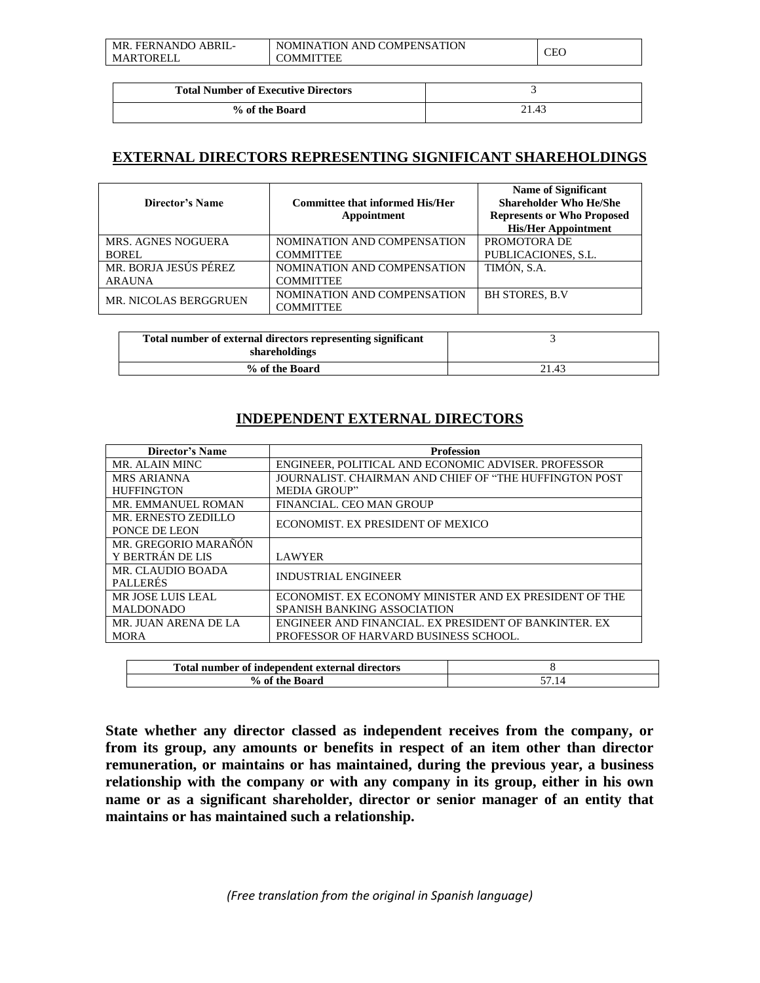| P FERNANDO ABRIL-<br>MR. | NOMINATION AND COMPENSATION | <b>CEO</b> |
|--------------------------|-----------------------------|------------|
| MARTORELL                | <b>COMMITTEE</b>            |            |

| <b>Total Number of Executive Directors</b> |       |
|--------------------------------------------|-------|
| % of the Board                             | 21.43 |

# **EXTERNAL DIRECTORS REPRESENTING SIGNIFICANT SHAREHOLDINGS**

| <b>Committee that informed His/Her</b><br>Appointment | <b>Name of Significant</b><br><b>Shareholder Who He/She</b><br><b>Represents or Who Proposed</b><br><b>His/Her Appointment</b> |
|-------------------------------------------------------|--------------------------------------------------------------------------------------------------------------------------------|
| NOMINATION AND COMPENSATION                           | PROMOTORA DE                                                                                                                   |
| <b>COMMITTEE</b>                                      | PUBLICACIONES, S.L.                                                                                                            |
| NOMINATION AND COMPENSATION                           | TIMÓN, S.A.                                                                                                                    |
| <b>COMMITTEE</b>                                      |                                                                                                                                |
| NOMINATION AND COMPENSATION                           | <b>BH STORES, B.V.</b>                                                                                                         |
| <b>COMMITTEE</b>                                      |                                                                                                                                |
|                                                       |                                                                                                                                |

| Total number of external directors representing significant<br>shareholdings |       |
|------------------------------------------------------------------------------|-------|
| % of the Board                                                               | 21.43 |

# **INDEPENDENT EXTERNAL DIRECTORS**

| <b>Profession</b>                                      |
|--------------------------------------------------------|
| ENGINEER, POLITICAL AND ECONOMIC ADVISER. PROFESSOR    |
| JOURNALIST, CHAIRMAN AND CHIEF OF "THE HUFFINGTON POST |
| <b>MEDIA GROUP"</b>                                    |
| FINANCIAL. CEO MAN GROUP                               |
| ECONOMIST. EX PRESIDENT OF MEXICO                      |
|                                                        |
|                                                        |
| <b>LAWYER</b>                                          |
| <b>INDUSTRIAL ENGINEER</b>                             |
|                                                        |
| ECONOMIST. EX ECONOMY MINISTER AND EX PRESIDENT OF THE |
| SPANISH BANKING ASSOCIATION                            |
| ENGINEER AND FINANCIAL. EX PRESIDENT OF BANKINTER. EX  |
| PROFESSOR OF HARVARD BUSINESS SCHOOL.                  |
|                                                        |

| Total number of independent external directors |  |
|------------------------------------------------|--|
| % of the Board                                 |  |

**State whether any director classed as independent receives from the company, or from its group, any amounts or benefits in respect of an item other than director remuneration, or maintains or has maintained, during the previous year, a business relationship with the company or with any company in its group, either in his own name or as a significant shareholder, director or senior manager of an entity that maintains or has maintained such a relationship.**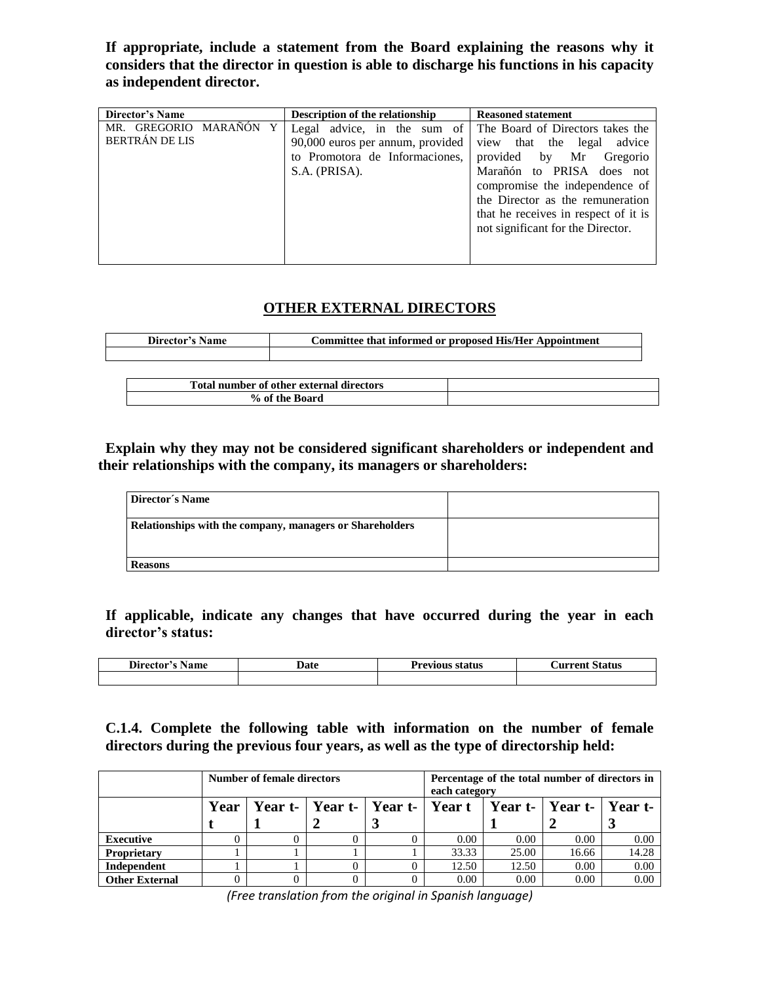**If appropriate, include a statement from the Board explaining the reasons why it considers that the director in question is able to discharge his functions in his capacity as independent director.**

| Director's Name                                       | Description of the relationship                                                                                    | <b>Reasoned statement</b>                                                                                                                                                                                                                                                    |
|-------------------------------------------------------|--------------------------------------------------------------------------------------------------------------------|------------------------------------------------------------------------------------------------------------------------------------------------------------------------------------------------------------------------------------------------------------------------------|
| MARAÑÓN Y<br>GREGORIO<br>MR.<br><b>BERTRÁN DE LIS</b> | Legal advice, in the sum of<br>90,000 euros per annum, provided<br>to Promotora de Informaciones,<br>S.A. (PRISA). | The Board of Directors takes the<br>view that the legal<br>advice<br>provided by Mr Gregorio<br>Marañón to PRISA does not<br>compromise the independence of<br>the Director as the remuneration<br>that he receives in respect of it is<br>not significant for the Director. |

# **OTHER EXTERNAL DIRECTORS**

| Director's Name                          | Committee that informed or proposed His/Her Appointment |  |
|------------------------------------------|---------------------------------------------------------|--|
|                                          |                                                         |  |
|                                          |                                                         |  |
| Total number of other external directors |                                                         |  |
|                                          | % of the Board                                          |  |

**Explain why they may not be considered significant shareholders or independent and their relationships with the company, its managers or shareholders:** 

| Director's Name                                          |  |
|----------------------------------------------------------|--|
| Relationships with the company, managers or Shareholders |  |
| <b>Reasons</b>                                           |  |

**If applicable, indicate any changes that have occurred during the year in each director's status:** 

| $\mathbf{r}$    | Date | ∽               | <b>Status</b> |  |
|-----------------|------|-----------------|---------------|--|
| Director's Name |      | Previous status | Aurrent :     |  |
|                 |      |                 |               |  |

**C.1.4. Complete the following table with information on the number of female directors during the previous four years, as well as the type of directorship held:**

|                       | Number of female directors                                                |  |  | Percentage of the total number of directors in<br>each category |       |       |       |       |
|-----------------------|---------------------------------------------------------------------------|--|--|-----------------------------------------------------------------|-------|-------|-------|-------|
|                       | Year   Year t-   Year t-   Year t-   Year t   Year t-   Year t-   Year t- |  |  |                                                                 |       |       |       |       |
|                       |                                                                           |  |  |                                                                 |       |       |       |       |
| <b>Executive</b>      |                                                                           |  |  |                                                                 | 0.00  | 0.00  | 0.00  | 0.00  |
| <b>Proprietary</b>    |                                                                           |  |  |                                                                 | 33.33 | 25.00 | 16.66 | 14.28 |
| Independent           |                                                                           |  |  |                                                                 | 12.50 | 12.50 | 0.00  | 0.00  |
| <b>Other External</b> |                                                                           |  |  |                                                                 | 0.00  | 0.00  | 0.00  | 0.00  |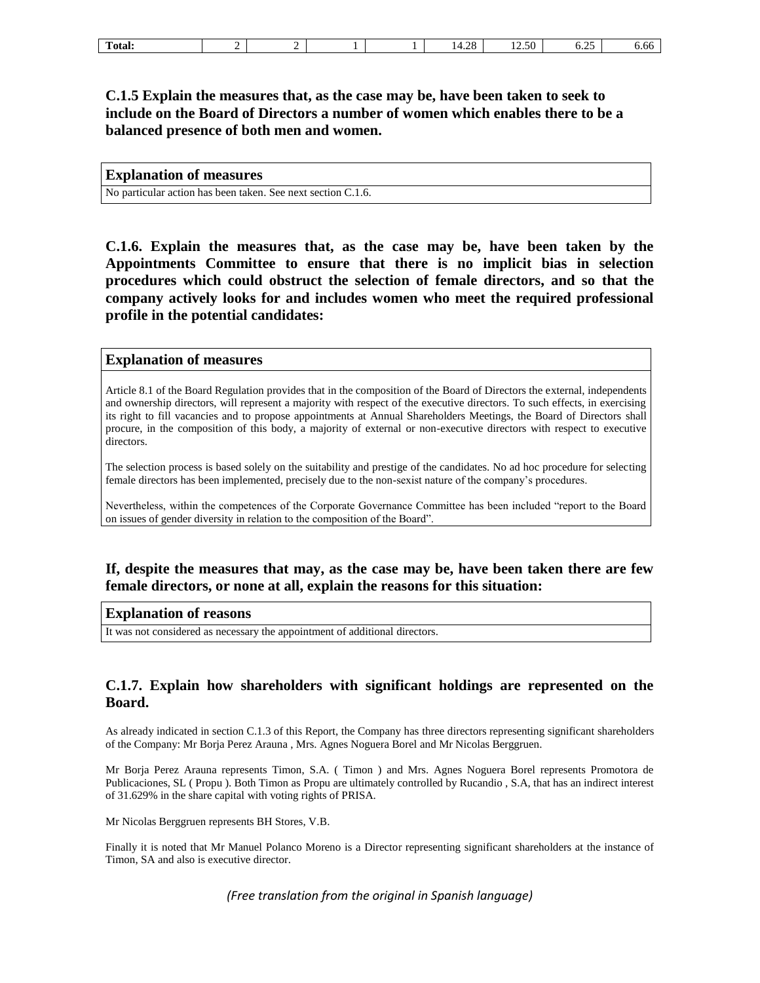# **C.1.5 Explain the measures that, as the case may be, have been taken to seek to include on the Board of Directors a number of women which enables there to be a balanced presence of both men and women.**

### **Explanation of measures**

No particular action has been taken. See next section C.1.6.

**C.1.6. Explain the measures that, as the case may be, have been taken by the Appointments Committee to ensure that there is no implicit bias in selection procedures which could obstruct the selection of female directors, and so that the company actively looks for and includes women who meet the required professional profile in the potential candidates:** 

### **Explanation of measures**

Article 8.1 of the Board Regulation provides that in the composition of the Board of Directors the external, independents and ownership directors, will represent a majority with respect of the executive directors. To such effects, in exercising its right to fill vacancies and to propose appointments at Annual Shareholders Meetings, the Board of Directors shall procure, in the composition of this body, a majority of external or non-executive directors with respect to executive directors.

The selection process is based solely on the suitability and prestige of the candidates. No ad hoc procedure for selecting female directors has been implemented, precisely due to the non-sexist nature of the company's procedures.

Nevertheless, within the competences of the Corporate Governance Committee has been included "report to the Board on issues of gender diversity in relation to the composition of the Board".

## **If, despite the measures that may, as the case may be, have been taken there are few female directors, or none at all, explain the reasons for this situation:**

### **Explanation of reasons**

It was not considered as necessary the appointment of additional directors.

## **C.1.7. Explain how shareholders with significant holdings are represented on the Board.**

As already indicated in section C.1.3 of this Report, the Company has three directors representing significant shareholders of the Company: Mr Borja Perez Arauna , Mrs. Agnes Noguera Borel and Mr Nicolas Berggruen.

Mr Borja Perez Arauna represents Timon, S.A. ( Timon ) and Mrs. Agnes Noguera Borel represents Promotora de Publicaciones, SL ( Propu ). Both Timon as Propu are ultimately controlled by Rucandio , S.A, that has an indirect interest of 31.629% in the share capital with voting rights of PRISA.

Mr Nicolas Berggruen represents BH Stores, V.B.

Finally it is noted that Mr Manuel Polanco Moreno is a Director representing significant shareholders at the instance of Timon, SA and also is executive director.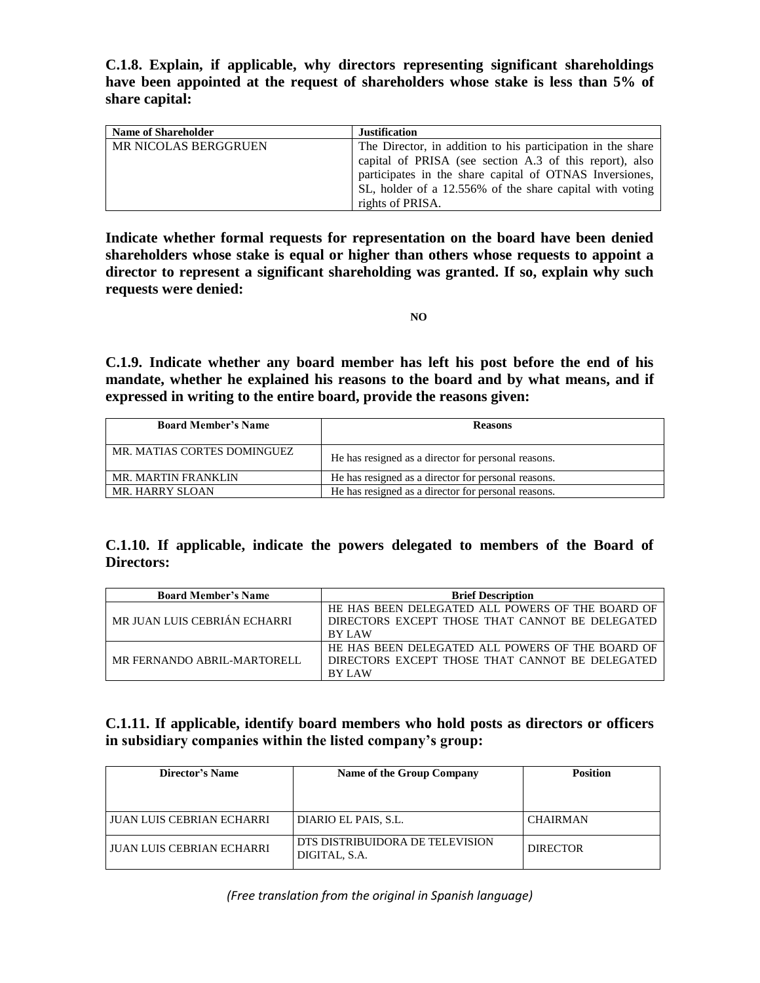**C.1.8. Explain, if applicable, why directors representing significant shareholdings have been appointed at the request of shareholders whose stake is less than 5% of share capital:**

| <b>Name of Shareholder</b>  | <b>Justification</b>                                        |
|-----------------------------|-------------------------------------------------------------|
| <b>MR NICOLAS BERGGRUEN</b> | The Director, in addition to his participation in the share |
|                             | capital of PRISA (see section A.3 of this report), also     |
|                             | participates in the share capital of OTNAS Inversiones,     |
|                             | SL, holder of a 12.556% of the share capital with voting    |
|                             | rights of PRISA.                                            |

**Indicate whether formal requests for representation on the board have been denied shareholders whose stake is equal or higher than others whose requests to appoint a director to represent a significant shareholding was granted. If so, explain why such requests were denied:**

**NO**

**C.1.9. Indicate whether any board member has left his post before the end of his mandate, whether he explained his reasons to the board and by what means, and if expressed in writing to the entire board, provide the reasons given:**

| <b>Board Member's Name</b>  | <b>Reasons</b>                                      |
|-----------------------------|-----------------------------------------------------|
| MR. MATIAS CORTES DOMINGUEZ | He has resigned as a director for personal reasons. |
| <b>MR. MARTIN FRANKLIN</b>  | He has resigned as a director for personal reasons. |
| MR. HARRY SLOAN             | He has resigned as a director for personal reasons. |

# **C.1.10. If applicable, indicate the powers delegated to members of the Board of Directors:**

| <b>Board Member's Name</b>   | <b>Brief Description</b>                         |  |  |
|------------------------------|--------------------------------------------------|--|--|
|                              | HE HAS BEEN DELEGATED ALL POWERS OF THE BOARD OF |  |  |
| MR JUAN LUIS CEBRIÁN ECHARRI | DIRECTORS EXCEPT THOSE THAT CANNOT BE DELEGATED  |  |  |
|                              | <b>BY LAW</b>                                    |  |  |
|                              | HE HAS BEEN DELEGATED ALL POWERS OF THE BOARD OF |  |  |
| MR FERNANDO ABRIL-MARTORELL  | DIRECTORS EXCEPT THOSE THAT CANNOT BE DELEGATED  |  |  |
|                              | <b>BY LAW</b>                                    |  |  |

# **C.1.11. If applicable, identify board members who hold posts as directors or officers in subsidiary companies within the listed company's group:**

| Director's Name           | Name of the Group Company                        | <b>Position</b> |  |
|---------------------------|--------------------------------------------------|-----------------|--|
| JUAN LUIS CEBRIAN ECHARRI | DIARIO EL PAIS, S.L.                             | <b>CHAIRMAN</b> |  |
| JUAN LUIS CEBRIAN ECHARRI | DTS DISTRIBUIDORA DE TELEVISION<br>DIGITAL, S.A. | <b>DIRECTOR</b> |  |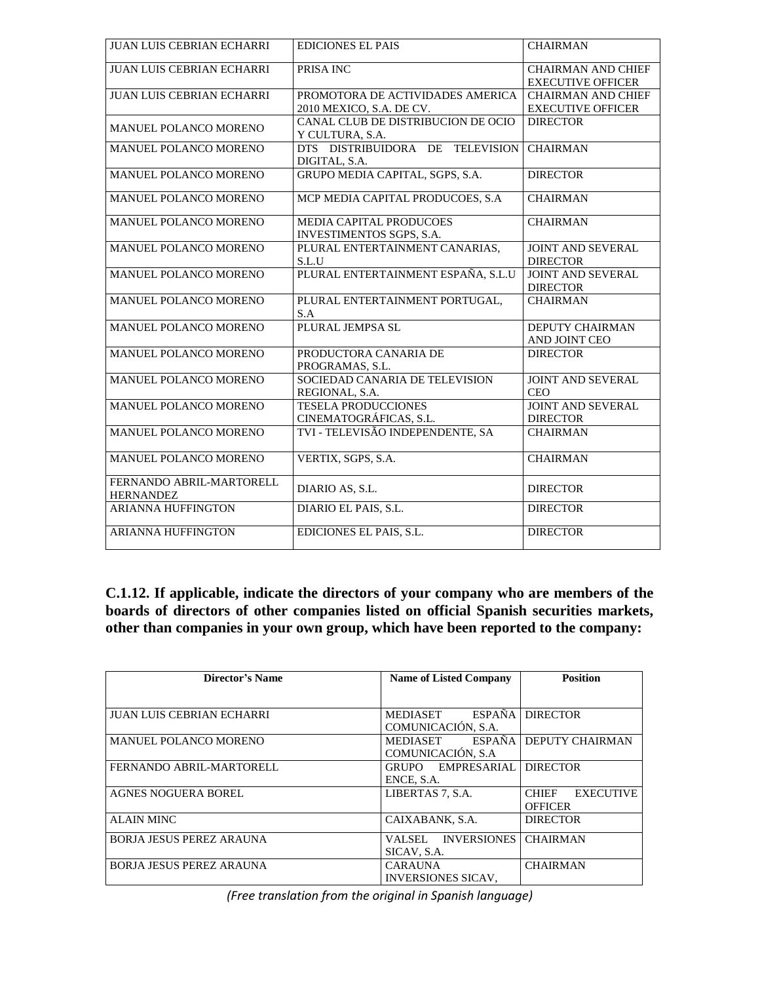| JUAN LUIS CEBRIAN ECHARRI        | <b>EDICIONES EL PAIS</b>           | <b>CHAIRMAN</b>           |
|----------------------------------|------------------------------------|---------------------------|
| <b>JUAN LUIS CEBRIAN ECHARRI</b> | PRISA INC                          | <b>CHAIRMAN AND CHIEF</b> |
|                                  |                                    | <b>EXECUTIVE OFFICER</b>  |
| <b>JUAN LUIS CEBRIAN ECHARRI</b> | PROMOTORA DE ACTIVIDADES AMERICA   | <b>CHAIRMAN AND CHIEF</b> |
|                                  | 2010 MEXICO, S.A. DE CV.           | <b>EXECUTIVE OFFICER</b>  |
|                                  | CANAL CLUB DE DISTRIBUCION DE OCIO | <b>DIRECTOR</b>           |
| MANUEL POLANCO MORENO            | Y CULTURA, S.A.                    |                           |
| MANUEL POLANCO MORENO            | DTS DISTRIBUIDORA DE TELEVISION    | <b>CHAIRMAN</b>           |
|                                  | DIGITAL, S.A.                      |                           |
| MANUEL POLANCO MORENO            | GRUPO MEDIA CAPITAL, SGPS, S.A.    | <b>DIRECTOR</b>           |
| MANUEL POLANCO MORENO            | MCP MEDIA CAPITAL PRODUCOES, S.A.  | <b>CHAIRMAN</b>           |
| MANUEL POLANCO MORENO            | MEDIA CAPITAL PRODUCOES            | <b>CHAIRMAN</b>           |
|                                  | <b>INVESTIMENTOS SGPS, S.A.</b>    |                           |
| MANUEL POLANCO MORENO            | PLURAL ENTERTAINMENT CANARIAS,     | <b>JOINT AND SEVERAL</b>  |
|                                  | S.L.U                              | <b>DIRECTOR</b>           |
| MANUEL POLANCO MORENO            | PLURAL ENTERTAINMENT ESPAÑA, S.L.U | <b>JOINT AND SEVERAL</b>  |
|                                  |                                    | <b>DIRECTOR</b>           |
| MANUEL POLANCO MORENO            | PLURAL ENTERTAINMENT PORTUGAL,     | <b>CHAIRMAN</b>           |
|                                  | S.A                                |                           |
| MANUEL POLANCO MORENO            | PLURAL JEMPSA SL                   | <b>DEPUTY CHAIRMAN</b>    |
|                                  |                                    | AND JOINT CEO             |
| MANUEL POLANCO MORENO            | PRODUCTORA CANARIA DE              | <b>DIRECTOR</b>           |
|                                  | PROGRAMAS, S.L.                    |                           |
| MANUEL POLANCO MORENO            | SOCIEDAD CANARIA DE TELEVISION     | <b>JOINT AND SEVERAL</b>  |
|                                  | REGIONAL, S.A.                     | <b>CEO</b>                |
| MANUEL POLANCO MORENO            | <b>TESELA PRODUCCIONES</b>         | <b>JOINT AND SEVERAL</b>  |
|                                  | CINEMATOGRÁFICAS, S.L.             | <b>DIRECTOR</b>           |
| MANUEL POLANCO MORENO            | TVI - TELEVISÃO INDEPENDENTE, SA   | <b>CHAIRMAN</b>           |
|                                  |                                    |                           |
| MANUEL POLANCO MORENO            | VERTIX, SGPS, S.A.                 | <b>CHAIRMAN</b>           |
| FERNANDO ABRIL-MARTORELL         |                                    |                           |
| <b>HERNANDEZ</b>                 | DIARIO AS, S.L.                    | <b>DIRECTOR</b>           |
| <b>ARIANNA HUFFINGTON</b>        |                                    | <b>DIRECTOR</b>           |
|                                  | DIARIO EL PAIS, S.L.               |                           |
| <b>ARIANNA HUFFINGTON</b>        | EDICIONES EL PAIS, S.L.            | <b>DIRECTOR</b>           |
|                                  |                                    |                           |

**C.1.12. If applicable, indicate the directors of your company who are members of the boards of directors of other companies listed on official Spanish securities markets, other than companies in your own group, which have been reported to the company:** 

| Director's Name                  | <b>Name of Listed Company</b>                          | <b>Position</b>                                    |  |
|----------------------------------|--------------------------------------------------------|----------------------------------------------------|--|
| <b>JUAN LUIS CEBRIAN ECHARRI</b> | <b>ESPAÑA</b><br><b>MEDIASET</b><br>COMUNICACIÓN, S.A. | <b>DIRECTOR</b>                                    |  |
| <b>MANUEL POLANCO MORENO</b>     | ESPAÑA<br>MEDIASET<br>COMUNICACIÓN, S.A.               | <b>DEPUTY CHAIRMAN</b>                             |  |
| FERNANDO ABRIL-MARTORELL         | <b>EMPRESARIAL</b><br><b>GRUPO</b><br>ENCE, S.A.       | <b>DIRECTOR</b>                                    |  |
| <b>AGNES NOGUERA BOREL</b>       | LIBERTAS 7, S.A.                                       | <b>EXECUTIVE</b><br><b>CHIEF</b><br><b>OFFICER</b> |  |
| <b>ALAIN MINC</b>                | CAIXABANK, S.A.                                        | <b>DIRECTOR</b>                                    |  |
| <b>BORJA JESUS PEREZ ARAUNA</b>  | <b>INVERSIONES</b><br>VALSEL.<br>SICAV, S.A.           | <b>CHAIRMAN</b>                                    |  |
| <b>BORJA JESUS PEREZ ARAUNA</b>  | <b>CARAUNA</b><br><b>INVERSIONES SICAV.</b>            | <b>CHAIRMAN</b>                                    |  |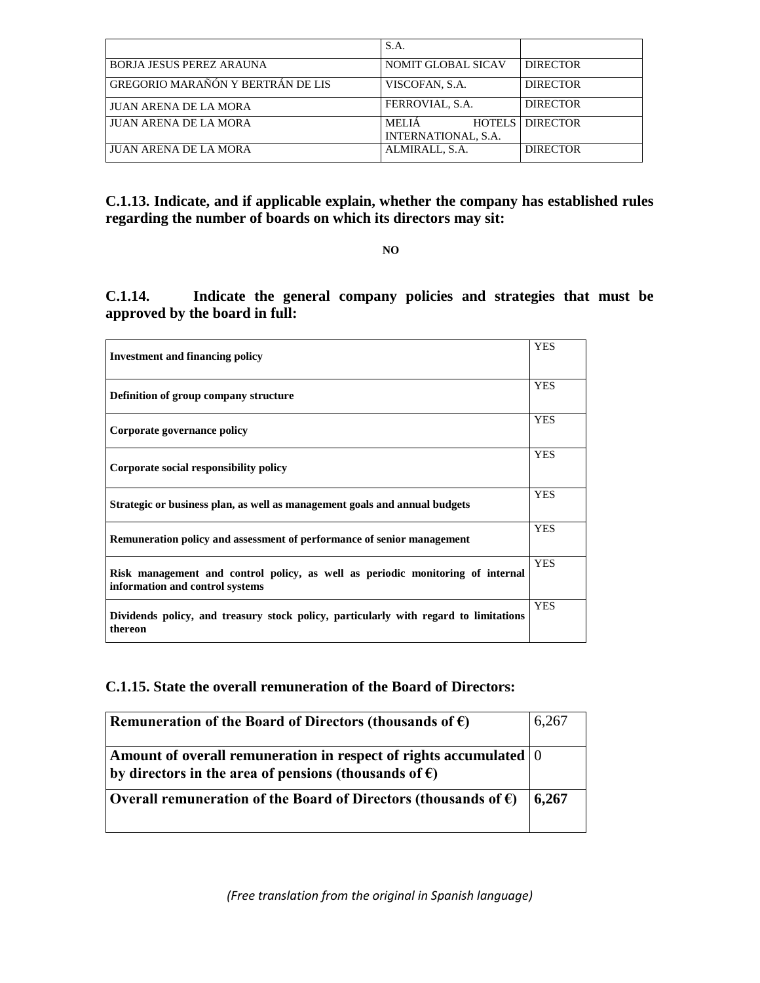|                                          | S.A.                                |                        |
|------------------------------------------|-------------------------------------|------------------------|
| <b>BORJA JESUS PEREZ ARAUNA</b>          | <b>NOMIT GLOBAL SICAV</b>           | <b>DIRECTOR</b>        |
| <b>GREGORIO MARAÑÓN Y BERTRÁN DE LIS</b> | VISCOFAN, S.A.                      | <b>DIRECTOR</b>        |
| <b>JUAN ARENA DE LA MORA</b>             | FERROVIAL, S.A.                     | <b>DIRECTOR</b>        |
| JUAN ARENA DE LA MORA                    | <b>MELIA</b><br>INTERNATIONAL, S.A. | <b>HOTELS DIRECTOR</b> |
| <b>JUAN ARENA DE LA MORA</b>             | ALMIRALL, S.A.                      | <b>DIRECTOR</b>        |

**C.1.13. Indicate, and if applicable explain, whether the company has established rules regarding the number of boards on which its directors may sit:**

**NO**

**C.1.14. Indicate the general company policies and strategies that must be approved by the board in full:** 

| <b>Investment and financing policy</b>                                                                            | <b>YES</b> |
|-------------------------------------------------------------------------------------------------------------------|------------|
| Definition of group company structure                                                                             | <b>YES</b> |
| Corporate governance policy                                                                                       | <b>YES</b> |
| Corporate social responsibility policy                                                                            | <b>YES</b> |
| Strategic or business plan, as well as management goals and annual budgets                                        | <b>YES</b> |
| Remuneration policy and assessment of performance of senior management                                            | <b>YES</b> |
| Risk management and control policy, as well as periodic monitoring of internal<br>information and control systems | <b>YES</b> |
| Dividends policy, and treasury stock policy, particularly with regard to limitations<br>thereon                   | <b>YES</b> |

# **C.1.15. State the overall remuneration of the Board of Directors:**

| Remuneration of the Board of Directors (thousands of $\epsilon$ )                                                                                    | 6,267 |
|------------------------------------------------------------------------------------------------------------------------------------------------------|-------|
| Amount of overall remuneration in respect of rights accumulated $\vert 0 \rangle$<br>by directors in the area of pensions (thousands of $\epsilon$ ) |       |
| Overall remuneration of the Board of Directors (thousands of $\epsilon$ )                                                                            | 6,267 |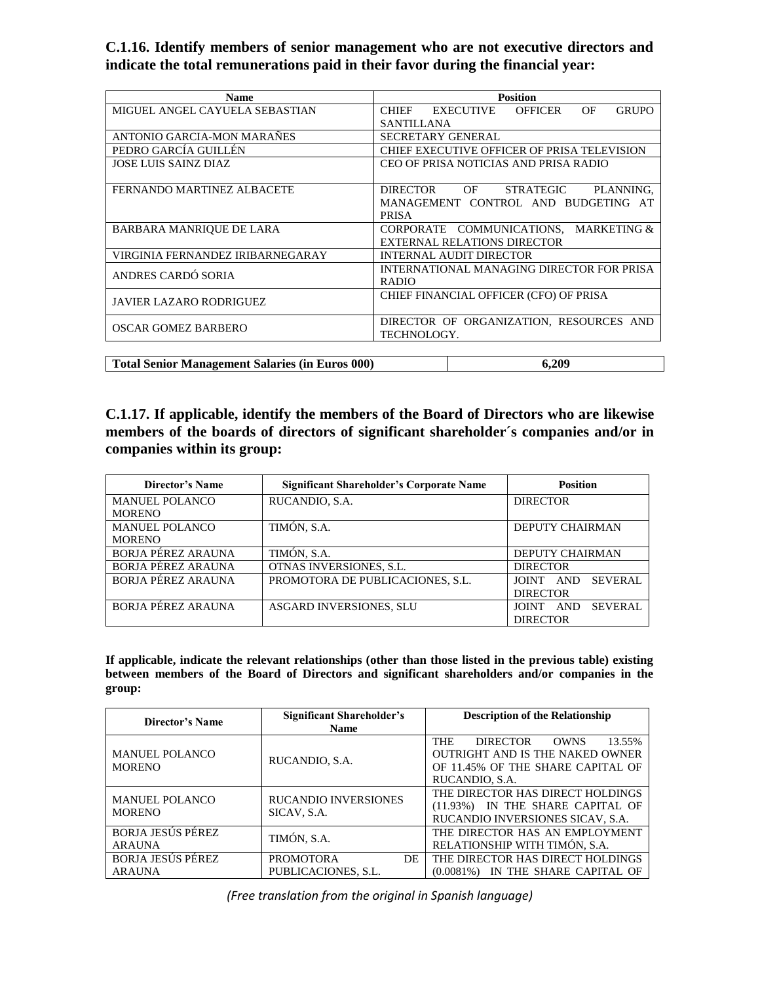**C.1.16. Identify members of senior management who are not executive directors and indicate the total remunerations paid in their favor during the financial year:**

| <b>Name</b>                                            | <b>Position</b>                                                                                               |  |
|--------------------------------------------------------|---------------------------------------------------------------------------------------------------------------|--|
| MIGUEL ANGEL CAYUELA SEBASTIAN                         | <b>CHIEF</b><br><b>EXECUTIVE</b><br><b>OFFICER</b><br>OF<br><b>GRUPO</b>                                      |  |
|                                                        | <b>SANTILLANA</b>                                                                                             |  |
| ANTONIO GARCIA-MON MARAÑES                             | <b>SECRETARY GENERAL</b>                                                                                      |  |
| PEDRO GARCÍA GUILLÉN                                   | CHIEF EXECUTIVE OFFICER OF PRISA TELEVISION                                                                   |  |
| <b>JOSE LUIS SAINZ DIAZ</b>                            | CEO OF PRISA NOTICIAS AND PRISA RADIO                                                                         |  |
| FERNANDO MARTINEZ ALBACETE                             | <b>DIRECTOR</b><br>OF<br><b>STRATEGIC</b><br>PLANNING.<br>MANAGEMENT CONTROL AND BUDGETING AT<br><b>PRISA</b> |  |
| BARBARA MANRIQUE DE LARA                               | CORPORATE COMMUNICATIONS, MARKETING &<br>EXTERNAL RELATIONS DIRECTOR                                          |  |
| VIRGINIA FERNANDEZ IRIBARNEGARAY                       | INTERNAL AUDIT DIRECTOR                                                                                       |  |
| ANDRES CARDÓ SORIA                                     | INTERNATIONAL MANAGING DIRECTOR FOR PRISA<br><b>RADIO</b>                                                     |  |
| <b>JAVIER LAZARO RODRIGUEZ</b>                         | CHIEF FINANCIAL OFFICER (CFO) OF PRISA                                                                        |  |
| OSCAR GOMEZ BARBERO                                    | DIRECTOR OF ORGANIZATION, RESOURCES AND<br>TECHNOLOGY.                                                        |  |
|                                                        |                                                                                                               |  |
| <b>Total Senior Management Salaries (in Euros 000)</b> | 6.209                                                                                                         |  |

**C.1.17. If applicable, identify the members of the Board of Directors who are likewise members of the boards of directors of significant shareholder´s companies and/or in companies within its group:** 

| Director's Name           | <b>Significant Shareholder's Corporate Name</b> | <b>Position</b>                        |
|---------------------------|-------------------------------------------------|----------------------------------------|
| <b>MANUEL POLANCO</b>     | RUCANDIO, S.A.                                  | <b>DIRECTOR</b>                        |
| <b>MORENO</b>             |                                                 |                                        |
| <b>MANUEL POLANCO</b>     | TIMÓN, S.A.                                     | <b>DEPUTY CHAIRMAN</b>                 |
| <b>MORENO</b>             |                                                 |                                        |
| <b>BORJA PÉREZ ARAUNA</b> | TIMÓN, S.A.                                     | <b>DEPUTY CHAIRMAN</b>                 |
| <b>BORJA PÉREZ ARAUNA</b> | OTNAS INVERSIONES, S.L.                         | <b>DIRECTOR</b>                        |
| BORJA PÉREZ ARAUNA        | PROMOTORA DE PUBLICACIONES, S.L.                | <b>SEVERAL</b><br>JOINT AND            |
|                           |                                                 | <b>DIRECTOR</b>                        |
| BORJA PÉREZ ARAUNA        | <b>ASGARD INVERSIONES, SLU</b>                  | <b>SEVERAL</b><br><b>JOINT</b><br>AND. |
|                           |                                                 | <b>DIRECTOR</b>                        |

**If applicable, indicate the relevant relationships (other than those listed in the previous table) existing between members of the Board of Directors and significant shareholders and/or companies in the group:**

| <b>Director's Name</b>                    | Significant Shareholder's<br><b>Name</b>      | <b>Description of the Relationship</b>                                                                                                                  |
|-------------------------------------------|-----------------------------------------------|---------------------------------------------------------------------------------------------------------------------------------------------------------|
| <b>MANUEL POLANCO</b><br><b>MORENO</b>    | RUCANDIO, S.A.                                | <b>THE</b><br><b>DIRECTOR</b><br>13.55%<br><b>OWNS</b><br><b>OUTRIGHT AND IS THE NAKED OWNER</b><br>OF 11.45% OF THE SHARE CAPITAL OF<br>RUCANDIO, S.A. |
| <b>MANUEL POLANCO</b><br><b>MORENO</b>    | <b>RUCANDIO INVERSIONES</b><br>SICAV, S.A.    | THE DIRECTOR HAS DIRECT HOLDINGS<br>IN THE SHARE CAPITAL OF<br>$(11.93\%)$<br>RUCANDIO INVERSIONES SICAV, S.A.                                          |
| <b>BORJA JESÚS PÉREZ</b><br><b>ARAUNA</b> | TIMÓN, S.A.                                   | THE DIRECTOR HAS AN EMPLOYMENT<br>RELATIONSHIP WITH TIMÓN, S.A.                                                                                         |
| <b>BORJA JESÚS PÉREZ</b><br><b>ARAUNA</b> | <b>PROMOTORA</b><br>DE<br>PUBLICACIONES, S.L. | THE DIRECTOR HAS DIRECT HOLDINGS<br>IN THE SHARE CAPITAL OF<br>$(0.0081\%)$                                                                             |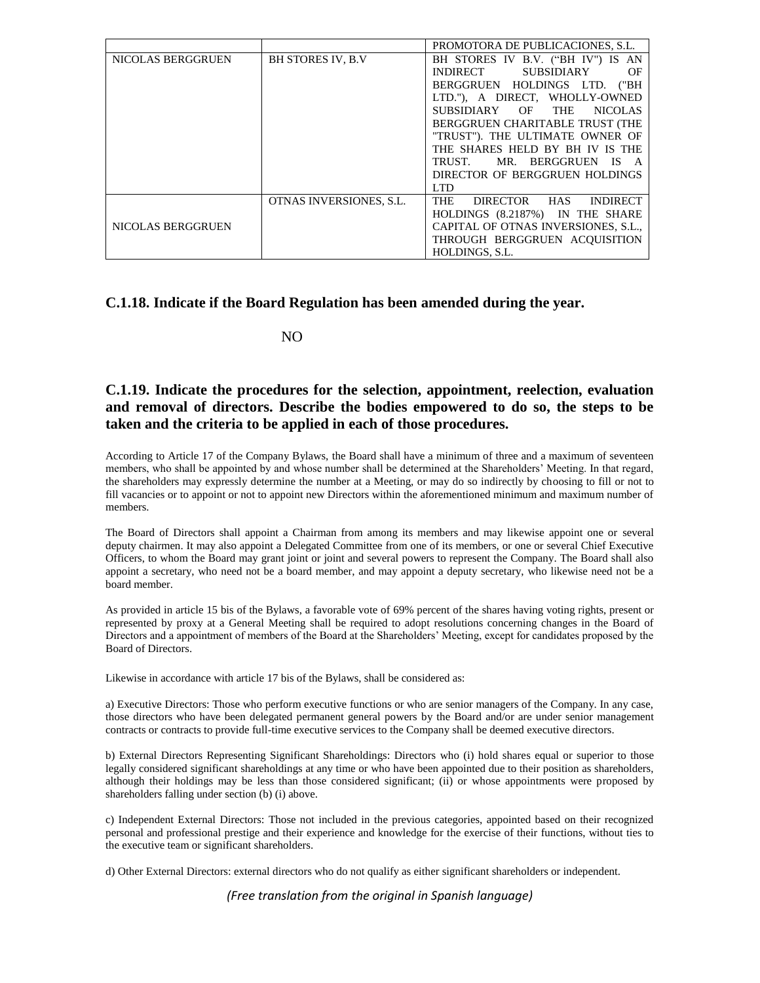|                   |                          | PROMOTORA DE PUBLICACIONES, S.L.       |  |
|-------------------|--------------------------|----------------------------------------|--|
| NICOLAS BERGGRUEN | <b>BH STORES IV, B.V</b> | BH STORES IV B.V. ("BH IV") IS AN      |  |
|                   |                          | SUBSIDIARY<br><b>INDIRECT</b><br>OF    |  |
|                   |                          | BERGGRUEN HOLDINGS LTD. ("BH           |  |
|                   |                          | LTD."), A DIRECT, WHOLLY-OWNED         |  |
|                   |                          | SUBSIDIARY OF THE<br><b>NICOLAS</b>    |  |
|                   |                          | BERGGRUEN CHARITABLE TRUST (THE        |  |
|                   |                          | "TRUST"). THE ULTIMATE OWNER OF        |  |
|                   |                          | THE SHARES HELD BY BH IV IS THE        |  |
|                   |                          | TRUST. MR. BERGGRUEN IS                |  |
|                   |                          | DIRECTOR OF BERGGRUEN HOLDINGS         |  |
|                   |                          | LTD.                                   |  |
|                   | OTNAS INVERSIONES, S.L.  | DIRECTOR HAS<br>THE<br><b>INDIRECT</b> |  |
|                   |                          | HOLDINGS (8.2187%) IN THE SHARE        |  |
| NICOLAS BERGGRUEN |                          | CAPITAL OF OTNAS INVERSIONES, S.L.,    |  |
|                   |                          | THROUGH BERGGRUEN ACOUISITION          |  |
|                   |                          | HOLDINGS, S.L.                         |  |

### **C.1.18. Indicate if the Board Regulation has been amended during the year.**

NO

## **C.1.19. Indicate the procedures for the selection, appointment, reelection, evaluation and removal of directors. Describe the bodies empowered to do so, the steps to be taken and the criteria to be applied in each of those procedures.**

According to Article 17 of the Company Bylaws, the Board shall have a minimum of three and a maximum of seventeen members, who shall be appointed by and whose number shall be determined at the Shareholders' Meeting. In that regard, the shareholders may expressly determine the number at a Meeting, or may do so indirectly by choosing to fill or not to fill vacancies or to appoint or not to appoint new Directors within the aforementioned minimum and maximum number of members.

The Board of Directors shall appoint a Chairman from among its members and may likewise appoint one or several deputy chairmen. It may also appoint a Delegated Committee from one of its members, or one or several Chief Executive Officers, to whom the Board may grant joint or joint and several powers to represent the Company. The Board shall also appoint a secretary, who need not be a board member, and may appoint a deputy secretary, who likewise need not be a board member.

As provided in article 15 bis of the Bylaws, a favorable vote of 69% percent of the shares having voting rights, present or represented by proxy at a General Meeting shall be required to adopt resolutions concerning changes in the Board of Directors and a appointment of members of the Board at the Shareholders' Meeting, except for candidates proposed by the Board of Directors.

Likewise in accordance with article 17 bis of the Bylaws, shall be considered as:

a) Executive Directors: Those who perform executive functions or who are senior managers of the Company. In any case, those directors who have been delegated permanent general powers by the Board and/or are under senior management contracts or contracts to provide full-time executive services to the Company shall be deemed executive directors.

b) External Directors Representing Significant Shareholdings: Directors who (i) hold shares equal or superior to those legally considered significant shareholdings at any time or who have been appointed due to their position as shareholders, although their holdings may be less than those considered significant; (ii) or whose appointments were proposed by shareholders falling under section (b) (i) above.

c) Independent External Directors: Those not included in the previous categories, appointed based on their recognized personal and professional prestige and their experience and knowledge for the exercise of their functions, without ties to the executive team or significant shareholders.

d) Other External Directors: external directors who do not qualify as either significant shareholders or independent.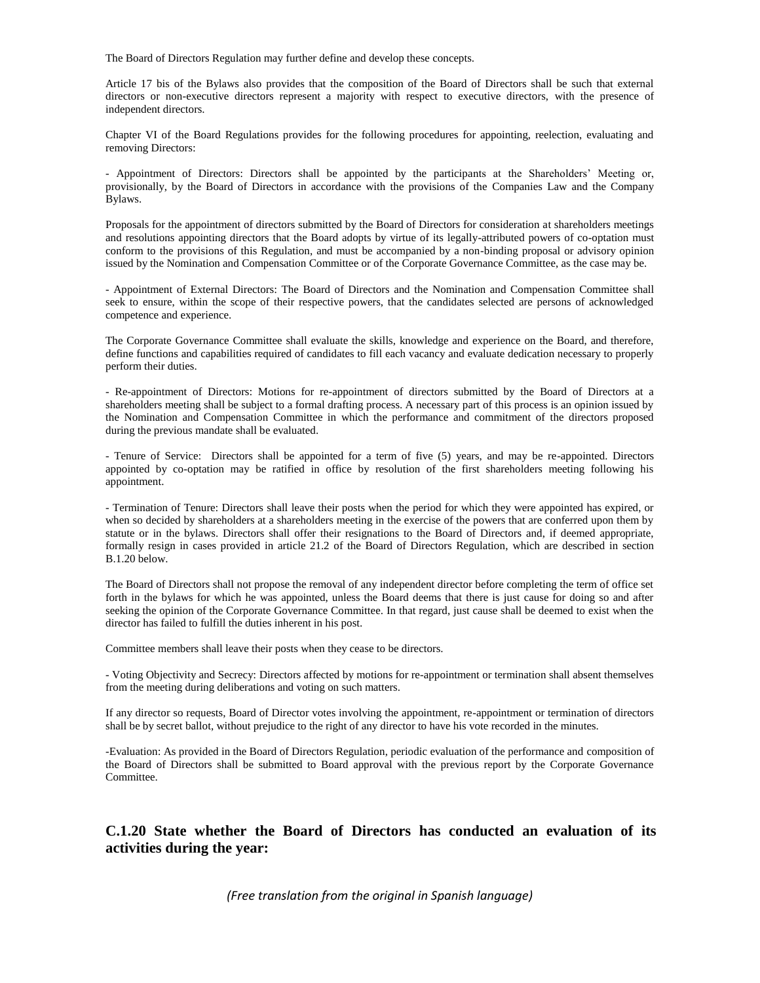The Board of Directors Regulation may further define and develop these concepts.

Article 17 bis of the Bylaws also provides that the composition of the Board of Directors shall be such that external directors or non-executive directors represent a majority with respect to executive directors, with the presence of independent directors.

Chapter VI of the Board Regulations provides for the following procedures for appointing, reelection, evaluating and removing Directors:

- Appointment of Directors: Directors shall be appointed by the participants at the Shareholders' Meeting or, provisionally, by the Board of Directors in accordance with the provisions of the Companies Law and the Company Bylaws.

Proposals for the appointment of directors submitted by the Board of Directors for consideration at shareholders meetings and resolutions appointing directors that the Board adopts by virtue of its legally-attributed powers of co-optation must conform to the provisions of this Regulation, and must be accompanied by a non-binding proposal or advisory opinion issued by the Nomination and Compensation Committee or of the Corporate Governance Committee, as the case may be.

- Appointment of External Directors: The Board of Directors and the Nomination and Compensation Committee shall seek to ensure, within the scope of their respective powers, that the candidates selected are persons of acknowledged competence and experience.

The Corporate Governance Committee shall evaluate the skills, knowledge and experience on the Board, and therefore, define functions and capabilities required of candidates to fill each vacancy and evaluate dedication necessary to properly perform their duties.

- Re-appointment of Directors: Motions for re-appointment of directors submitted by the Board of Directors at a shareholders meeting shall be subject to a formal drafting process. A necessary part of this process is an opinion issued by the Nomination and Compensation Committee in which the performance and commitment of the directors proposed during the previous mandate shall be evaluated.

- Tenure of Service: Directors shall be appointed for a term of five (5) years, and may be re-appointed. Directors appointed by co-optation may be ratified in office by resolution of the first shareholders meeting following his appointment.

- Termination of Tenure: Directors shall leave their posts when the period for which they were appointed has expired, or when so decided by shareholders at a shareholders meeting in the exercise of the powers that are conferred upon them by statute or in the bylaws. Directors shall offer their resignations to the Board of Directors and, if deemed appropriate, formally resign in cases provided in article 21.2 of the Board of Directors Regulation, which are described in section B.1.20 below.

The Board of Directors shall not propose the removal of any independent director before completing the term of office set forth in the bylaws for which he was appointed, unless the Board deems that there is just cause for doing so and after seeking the opinion of the Corporate Governance Committee. In that regard, just cause shall be deemed to exist when the director has failed to fulfill the duties inherent in his post.

Committee members shall leave their posts when they cease to be directors.

- Voting Objectivity and Secrecy: Directors affected by motions for re-appointment or termination shall absent themselves from the meeting during deliberations and voting on such matters.

If any director so requests, Board of Director votes involving the appointment, re-appointment or termination of directors shall be by secret ballot, without prejudice to the right of any director to have his vote recorded in the minutes.

-Evaluation: As provided in the Board of Directors Regulation, periodic evaluation of the performance and composition of the Board of Directors shall be submitted to Board approval with the previous report by the Corporate Governance Committee.

## **C.1.20 State whether the Board of Directors has conducted an evaluation of its activities during the year:**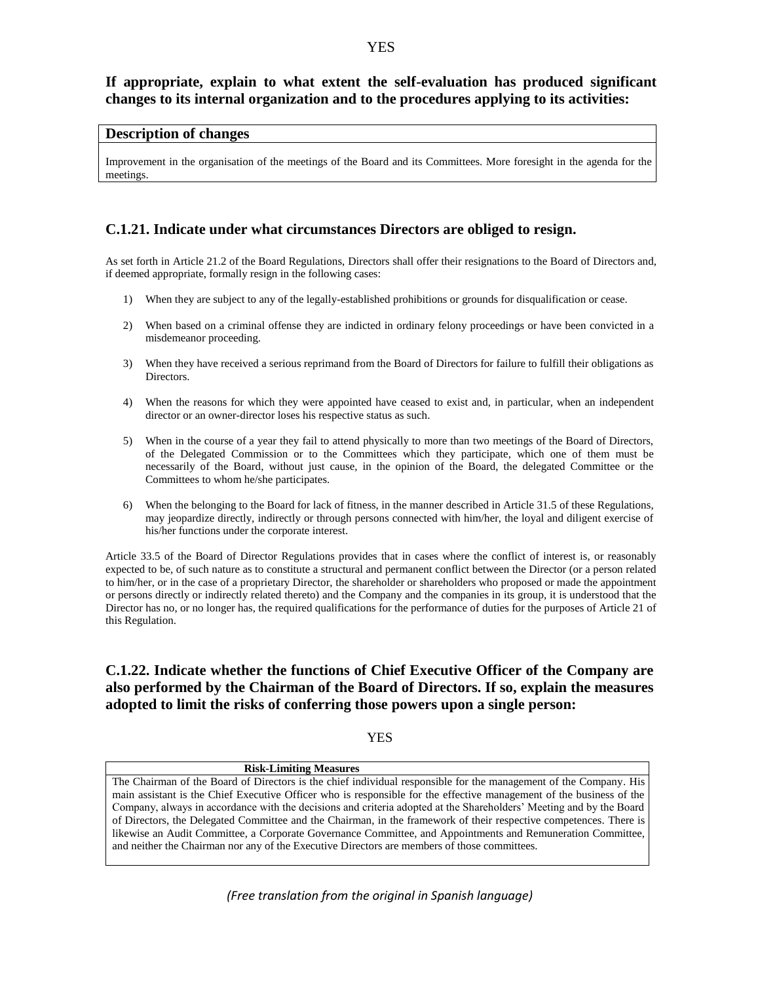### **YES**

# **If appropriate, explain to what extent the self-evaluation has produced significant changes to its internal organization and to the procedures applying to its activities:**

### **Description of changes**

Improvement in the organisation of the meetings of the Board and its Committees. More foresight in the agenda for the meetings.

### **C.1.21. Indicate under what circumstances Directors are obliged to resign.**

As set forth in Article 21.2 of the Board Regulations, Directors shall offer their resignations to the Board of Directors and, if deemed appropriate, formally resign in the following cases:

- 1) When they are subject to any of the legally-established prohibitions or grounds for disqualification or cease.
- 2) When based on a criminal offense they are indicted in ordinary felony proceedings or have been convicted in a misdemeanor proceeding.
- 3) When they have received a serious reprimand from the Board of Directors for failure to fulfill their obligations as Directors.
- 4) When the reasons for which they were appointed have ceased to exist and, in particular, when an independent director or an owner-director loses his respective status as such.
- 5) When in the course of a year they fail to attend physically to more than two meetings of the Board of Directors, of the Delegated Commission or to the Committees which they participate, which one of them must be necessarily of the Board, without just cause, in the opinion of the Board, the delegated Committee or the Committees to whom he/she participates.
- 6) When the belonging to the Board for lack of fitness, in the manner described in Article 31.5 of these Regulations, may jeopardize directly, indirectly or through persons connected with him/her, the loyal and diligent exercise of his/her functions under the corporate interest.

Article 33.5 of the Board of Director Regulations provides that in cases where the conflict of interest is, or reasonably expected to be, of such nature as to constitute a structural and permanent conflict between the Director (or a person related to him/her, or in the case of a proprietary Director, the shareholder or shareholders who proposed or made the appointment or persons directly or indirectly related thereto) and the Company and the companies in its group, it is understood that the Director has no, or no longer has, the required qualifications for the performance of duties for the purposes of Article 21 of this Regulation.

# **C.1.22. Indicate whether the functions of Chief Executive Officer of the Company are also performed by the Chairman of the Board of Directors. If so, explain the measures adopted to limit the risks of conferring those powers upon a single person:**

YES

#### **Risk-Limiting Measures** The Chairman of the Board of Directors is the chief individual responsible for the management of the Company. His main assistant is the Chief Executive Officer who is responsible for the effective management of the business of the Company, always in accordance with the decisions and criteria adopted at the Shareholders' Meeting and by the Board of Directors, the Delegated Committee and the Chairman, in the framework of their respective competences. There is likewise an Audit Committee, a Corporate Governance Committee, and Appointments and Remuneration Committee, and neither the Chairman nor any of the Executive Directors are members of those committees.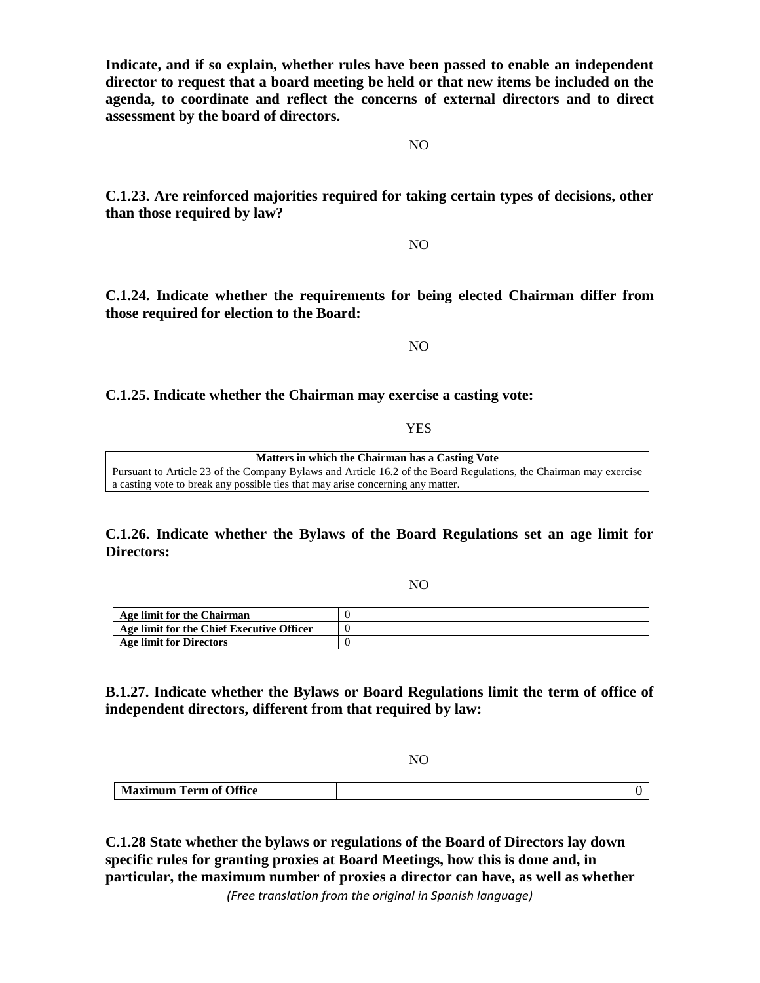**Indicate, and if so explain, whether rules have been passed to enable an independent director to request that a board meeting be held or that new items be included on the agenda, to coordinate and reflect the concerns of external directors and to direct assessment by the board of directors.**

**C.1.23. Are reinforced majorities required for taking certain types of decisions, other than those required by law?**

**C.1.24. Indicate whether the requirements for being elected Chairman differ from those required for election to the Board:**

NO

### **C.1.25. Indicate whether the Chairman may exercise a casting vote:**

YES

**Matters in which the Chairman has a Casting Vote** Pursuant to Article 23 of the Company Bylaws and Article 16.2 of the Board Regulations, the Chairman may exercise a casting vote to break any possible ties that may arise concerning any matter.

**C.1.26. Indicate whether the Bylaws of the Board Regulations set an age limit for Directors:**

NO

| Age limit for the Chairman                |  |
|-------------------------------------------|--|
| Age limit for the Chief Executive Officer |  |
| <b>Age limit for Directors</b>            |  |

**B.1.27. Indicate whether the Bylaws or Board Regulations limit the term of office of independent directors, different from that required by law:**

NO

| <b>Maximum Term of Office</b> |  |
|-------------------------------|--|

**C.1.28 State whether the bylaws or regulations of the Board of Directors lay down specific rules for granting proxies at Board Meetings, how this is done and, in particular, the maximum number of proxies a director can have, as well as whether** 

*(Free translation from the original in Spanish language)*

NO

NO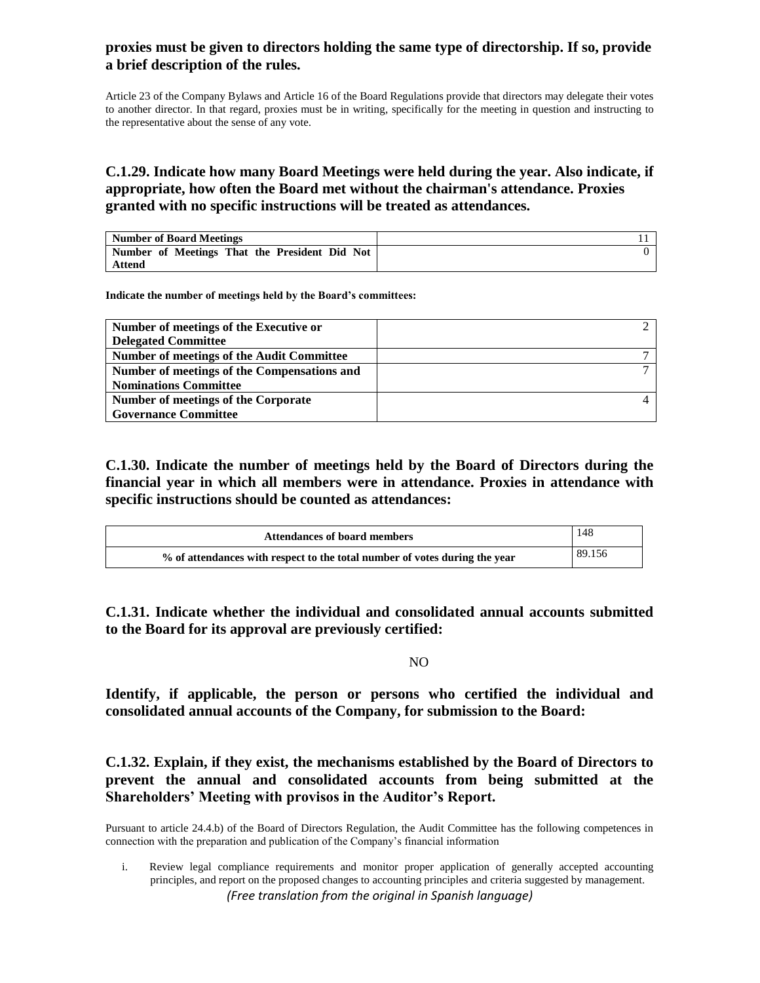# **proxies must be given to directors holding the same type of directorship. If so, provide a brief description of the rules.**

Article 23 of the Company Bylaws and Article 16 of the Board Regulations provide that directors may delegate their votes to another director. In that regard, proxies must be in writing, specifically for the meeting in question and instructing to the representative about the sense of any vote.

# **C.1.29. Indicate how many Board Meetings were held during the year. Also indicate, if appropriate, how often the Board met without the chairman's attendance. Proxies granted with no specific instructions will be treated as attendances.**

| Number of Board Meetings                      |  |
|-----------------------------------------------|--|
| Number of Meetings That the President Did Not |  |
| Attend                                        |  |

**Indicate the number of meetings held by the Board's committees:** 

| Number of meetings of the Executive or           |  |
|--------------------------------------------------|--|
| <b>Delegated Committee</b>                       |  |
| <b>Number of meetings of the Audit Committee</b> |  |
| Number of meetings of the Compensations and      |  |
| <b>Nominations Committee</b>                     |  |
| Number of meetings of the Corporate              |  |
| <b>Governance Committee</b>                      |  |

**C.1.30. Indicate the number of meetings held by the Board of Directors during the financial year in which all members were in attendance. Proxies in attendance with specific instructions should be counted as attendances:**

| <b>Attendances of board members</b>                                        | 148    |
|----------------------------------------------------------------------------|--------|
| % of attendances with respect to the total number of votes during the year | 89.156 |

**C.1.31. Indicate whether the individual and consolidated annual accounts submitted to the Board for its approval are previously certified:** 

### NO

**Identify, if applicable, the person or persons who certified the individual and consolidated annual accounts of the Company, for submission to the Board:**

**C.1.32. Explain, if they exist, the mechanisms established by the Board of Directors to prevent the annual and consolidated accounts from being submitted at the Shareholders' Meeting with provisos in the Auditor's Report.** 

Pursuant to article 24.4.b) of the Board of Directors Regulation, the Audit Committee has the following competences in connection with the preparation and publication of the Company's financial information

*(Free translation from the original in Spanish language)* i. Review legal compliance requirements and monitor proper application of generally accepted accounting principles, and report on the proposed changes to accounting principles and criteria suggested by management.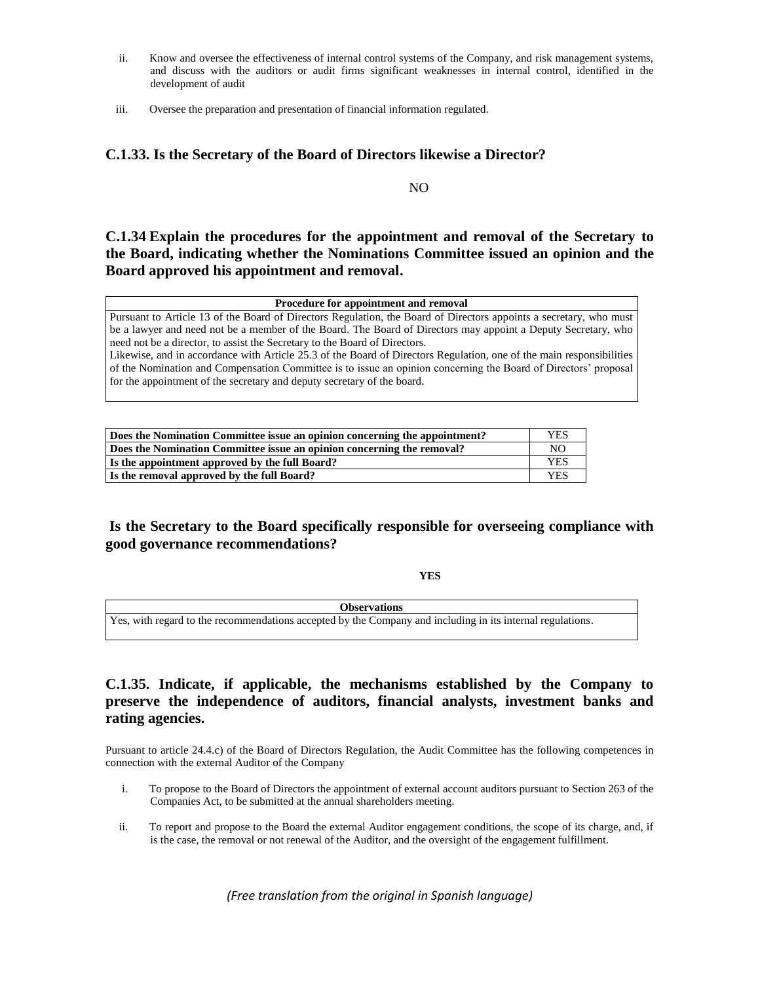- ii. Know and oversee the effectiveness of internal control systems of the Company, and risk management systems, and discuss with the auditors or audit firms significant weaknesses in internal control, identified in the development of audit
- iii. Oversee the preparation and presentation of financial information regulated.

### **C.1.33. Is the Secretary of the Board of Directors likewise a Director?**

NO

**C.1.34 Explain the procedures for the appointment and removal of the Secretary to the Board, indicating whether the Nominations Committee issued an opinion and the Board approved his appointment and removal.**

### **Procedure for appointment and removal**

Pursuant to Article 13 of the Board of Directors Regulation, the Board of Directors appoints a secretary, who must be a lawyer and need not be a member of the Board. The Board of Directors may appoint a Deputy Secretary, who need not be a director, to assist the Secretary to the Board of Directors.

Likewise, and in accordance with Article 25.3 of the Board of Directors Regulation, one of the main responsibilities of the Nomination and Compensation Committee is to issue an opinion concerning the Board of Directors' proposal for the appointment of the secretary and deputy secretary of the board.

| Does the Nomination Committee issue an opinion concerning the appointment? | <b>YES</b> |
|----------------------------------------------------------------------------|------------|
| Does the Nomination Committee issue an opinion concerning the removal?     | NO.        |
| Is the appointment approved by the full Board?                             | YES        |
| Is the removal approved by the full Board?                                 | YES        |

# **Is the Secretary to the Board specifically responsible for overseeing compliance with good governance recommendations?**

**YES**

**Observations** Yes, with regard to the recommendations accepted by the Company and including in its internal regulations.

# **C.1.35. Indicate, if applicable, the mechanisms established by the Company to preserve the independence of auditors, financial analysts, investment banks and rating agencies.**

Pursuant to article 24.4.c) of the Board of Directors Regulation, the Audit Committee has the following competences in connection with the external Auditor of the Company

- i. To propose to the Board of Directors the appointment of external account auditors pursuant to Section 263 of the Companies Act, to be submitted at the annual shareholders meeting.
- ii. To report and propose to the Board the external Auditor engagement conditions, the scope of its charge, and, if is the case, the removal or not renewal of the Auditor, and the oversight of the engagement fulfillment.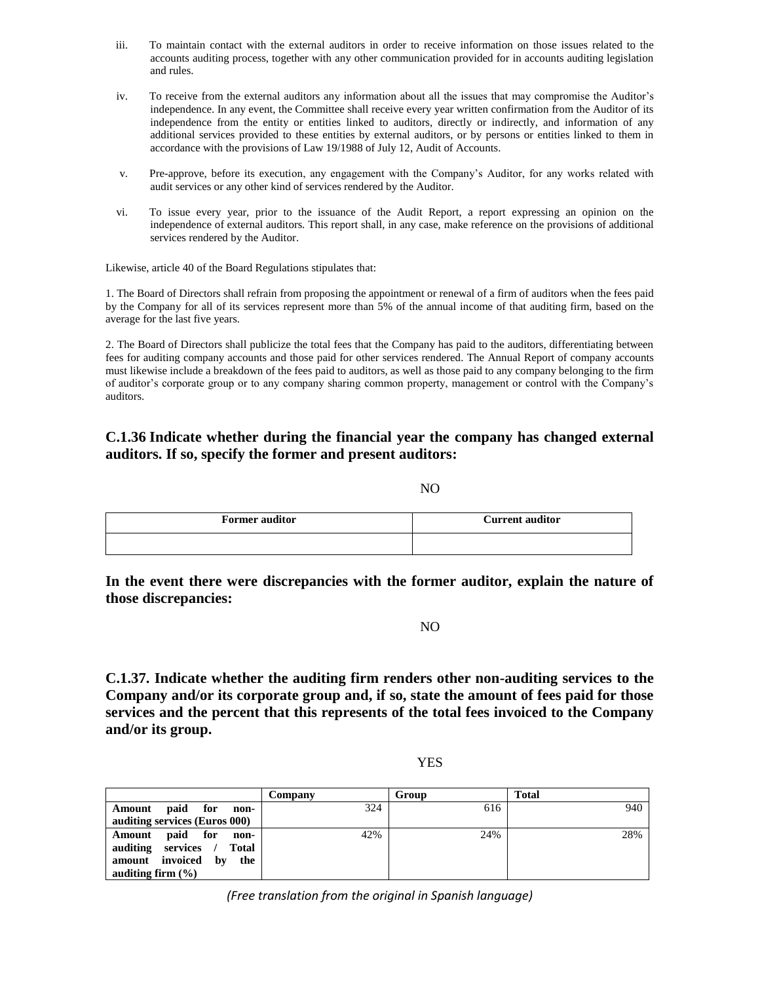- iii. To maintain contact with the external auditors in order to receive information on those issues related to the accounts auditing process, together with any other communication provided for in accounts auditing legislation and rules.
- iv. To receive from the external auditors any information about all the issues that may compromise the Auditor's independence. In any event, the Committee shall receive every year written confirmation from the Auditor of its independence from the entity or entities linked to auditors, directly or indirectly, and information of any additional services provided to these entities by external auditors, or by persons or entities linked to them in accordance with the provisions of Law 19/1988 of July 12, Audit of Accounts.
- v. Pre-approve, before its execution, any engagement with the Company's Auditor, for any works related with audit services or any other kind of services rendered by the Auditor.
- vi. To issue every year, prior to the issuance of the Audit Report, a report expressing an opinion on the independence of external auditors. This report shall, in any case, make reference on the provisions of additional services rendered by the Auditor.

Likewise, article 40 of the Board Regulations stipulates that:

1. The Board of Directors shall refrain from proposing the appointment or renewal of a firm of auditors when the fees paid by the Company for all of its services represent more than 5% of the annual income of that auditing firm, based on the average for the last five years.

2. The Board of Directors shall publicize the total fees that the Company has paid to the auditors, differentiating between fees for auditing company accounts and those paid for other services rendered. The Annual Report of company accounts must likewise include a breakdown of the fees paid to auditors, as well as those paid to any company belonging to the firm of auditor's corporate group or to any company sharing common property, management or control with the Company's auditors.

# **C.1.36 Indicate whether during the financial year the company has changed external auditors. If so, specify the former and present auditors:**

NO

| <b>Former auditor</b> | <b>Current auditor</b> |
|-----------------------|------------------------|
|                       |                        |

**In the event there were discrepancies with the former auditor, explain the nature of those discrepancies:**

NO

**C.1.37. Indicate whether the auditing firm renders other non-auditing services to the Company and/or its corporate group and, if so, state the amount of fees paid for those services and the percent that this represents of the total fees invoiced to the Company and/or its group.**

| . .<br>۰. |
|-----------|

|                                         | Company | Group | <b>Total</b> |
|-----------------------------------------|---------|-------|--------------|
| paid for<br>Amount<br>non-              | 324     | 616   | 940          |
| auditing services (Euros 000)           |         |       |              |
| paid for<br>Amount<br>non-              | 42%     | 24%   | 28%          |
| auditing services /<br>Total            |         |       |              |
| amount invoiced<br>$-$ <b>by</b><br>the |         |       |              |
| auditing firm $(\% )$                   |         |       |              |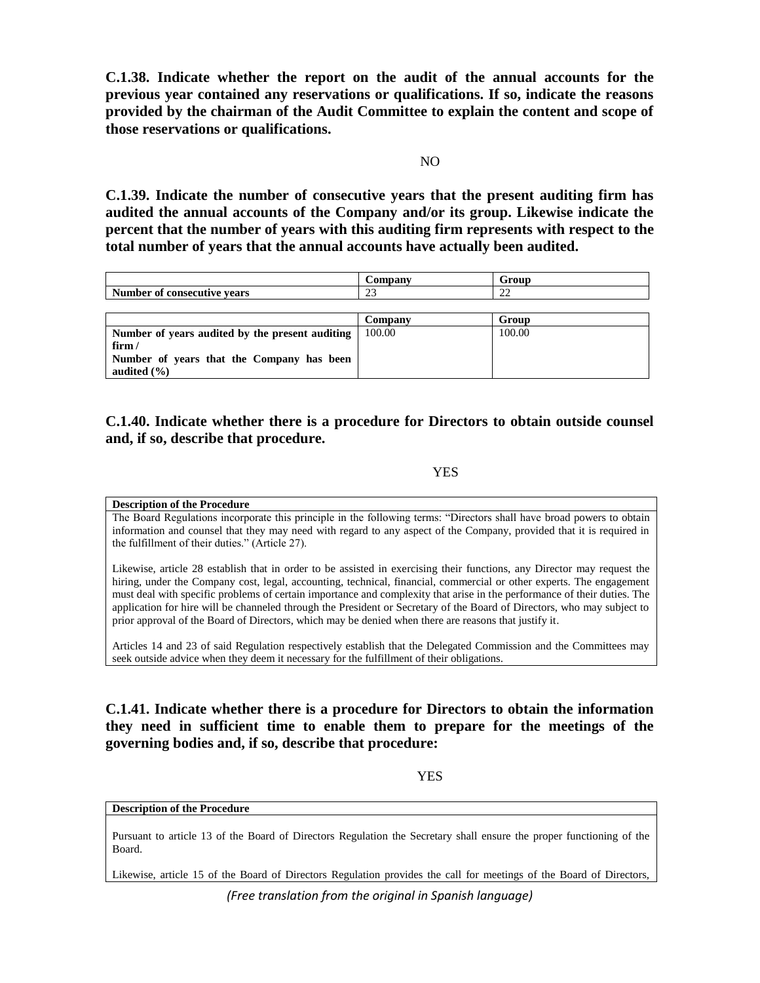**C.1.38. Indicate whether the report on the audit of the annual accounts for the previous year contained any reservations or qualifications. If so, indicate the reasons provided by the chairman of the Audit Committee to explain the content and scope of those reservations or qualifications.**

 $N()$ 

**C.1.39. Indicate the number of consecutive years that the present auditing firm has audited the annual accounts of the Company and/or its group. Likewise indicate the percent that the number of years with this auditing firm represents with respect to the total number of years that the annual accounts have actually been audited.** 

|                                                 | Company | Group  |
|-------------------------------------------------|---------|--------|
| Number of consecutive vears                     | 23      | 22     |
|                                                 |         |        |
|                                                 | Company | Group  |
| Number of years audited by the present auditing | 100.00  | 100.00 |
| $f\lim$                                         |         |        |
| Number of years that the Company has been       |         |        |
| audited $(\% )$                                 |         |        |

# **C.1.40. Indicate whether there is a procedure for Directors to obtain outside counsel and, if so, describe that procedure.**

### YES

### **Description of the Procedure**

The Board Regulations incorporate this principle in the following terms: "Directors shall have broad powers to obtain information and counsel that they may need with regard to any aspect of the Company, provided that it is required in the fulfillment of their duties." (Article 27).

Likewise, article 28 establish that in order to be assisted in exercising their functions, any Director may request the hiring, under the Company cost, legal, accounting, technical, financial, commercial or other experts. The engagement must deal with specific problems of certain importance and complexity that arise in the performance of their duties. The application for hire will be channeled through the President or Secretary of the Board of Directors, who may subject to prior approval of the Board of Directors, which may be denied when there are reasons that justify it.

Articles 14 and 23 of said Regulation respectively establish that the Delegated Commission and the Committees may seek outside advice when they deem it necessary for the fulfillment of their obligations.

**C.1.41. Indicate whether there is a procedure for Directors to obtain the information they need in sufficient time to enable them to prepare for the meetings of the governing bodies and, if so, describe that procedure:** 

YES

### **Description of the Procedure**

Pursuant to article 13 of the Board of Directors Regulation the Secretary shall ensure the proper functioning of the Board.

Likewise, article 15 of the Board of Directors Regulation provides the call for meetings of the Board of Directors,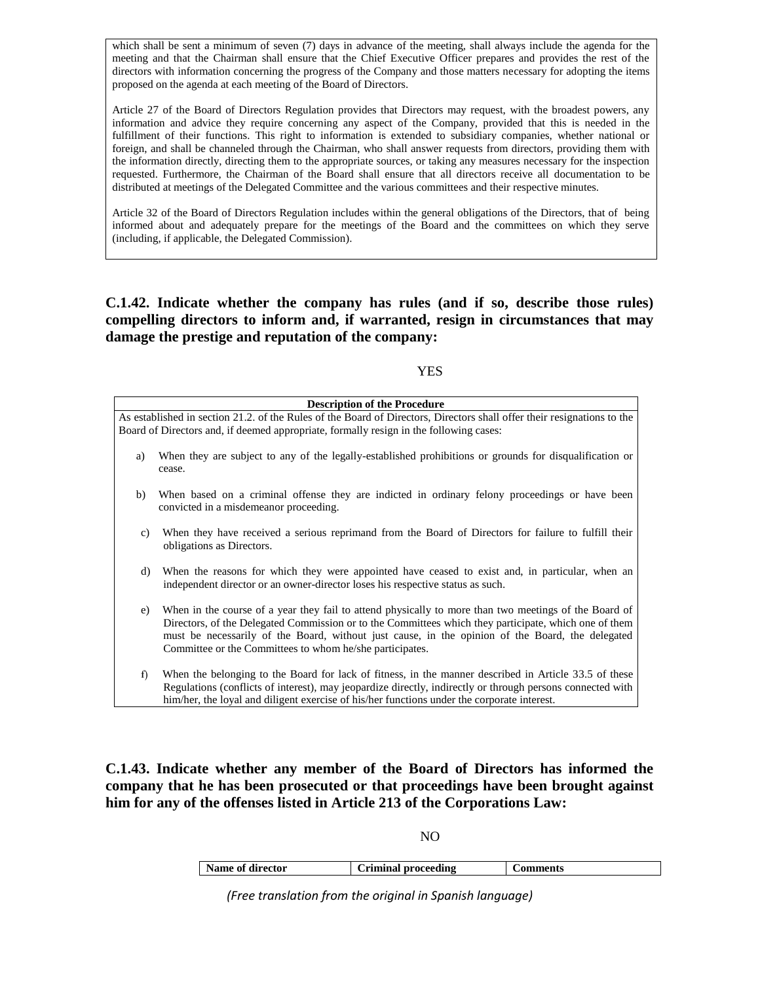which shall be sent a minimum of seven (7) days in advance of the meeting, shall always include the agenda for the meeting and that the Chairman shall ensure that the Chief Executive Officer prepares and provides the rest of the directors with information concerning the progress of the Company and those matters necessary for adopting the items proposed on the agenda at each meeting of the Board of Directors.

Article 27 of the Board of Directors Regulation provides that Directors may request, with the broadest powers, any information and advice they require concerning any aspect of the Company, provided that this is needed in the fulfillment of their functions. This right to information is extended to subsidiary companies, whether national or foreign, and shall be channeled through the Chairman, who shall answer requests from directors, providing them with the information directly, directing them to the appropriate sources, or taking any measures necessary for the inspection requested. Furthermore, the Chairman of the Board shall ensure that all directors receive all documentation to be distributed at meetings of the Delegated Committee and the various committees and their respective minutes.

Article 32 of the Board of Directors Regulation includes within the general obligations of the Directors, that of being informed about and adequately prepare for the meetings of the Board and the committees on which they serve (including, if applicable, the Delegated Commission).

**C.1.42. Indicate whether the company has rules (and if so, describe those rules) compelling directors to inform and, if warranted, resign in circumstances that may damage the prestige and reputation of the company:**

**YES** 

|    | <b>Description of the Procedure</b>                                                                                                                                                                                                                                                                                                                                            |
|----|--------------------------------------------------------------------------------------------------------------------------------------------------------------------------------------------------------------------------------------------------------------------------------------------------------------------------------------------------------------------------------|
|    | As established in section 21.2, of the Rules of the Board of Directors, Directors shall offer their resignations to the<br>Board of Directors and, if deemed appropriate, formally resign in the following cases:                                                                                                                                                              |
|    |                                                                                                                                                                                                                                                                                                                                                                                |
| a) | When they are subject to any of the legally-established prohibitions or grounds for disqualification or<br>cease.                                                                                                                                                                                                                                                              |
| b) | When based on a criminal offense they are indicted in ordinary felony proceedings or have been<br>convicted in a misdemeanor proceeding.                                                                                                                                                                                                                                       |
| C) | When they have received a serious reprimand from the Board of Directors for failure to fulfill their<br>obligations as Directors.                                                                                                                                                                                                                                              |
| d) | When the reasons for which they were appointed have ceased to exist and, in particular, when an<br>independent director or an owner-director loses his respective status as such.                                                                                                                                                                                              |
| e) | When in the course of a year they fail to attend physically to more than two meetings of the Board of<br>Directors, of the Delegated Commission or to the Committees which they participate, which one of them<br>must be necessarily of the Board, without just cause, in the opinion of the Board, the delegated<br>Committee or the Committees to whom he/she participates. |
| f) | When the belonging to the Board for lack of fitness, in the manner described in Article 33.5 of these<br>Regulations (conflicts of interest), may jeopardize directly, indirectly or through persons connected with<br>him/her, the loyal and diligent exercise of his/her functions under the corporate interest.                                                             |

**C.1.43. Indicate whether any member of the Board of Directors has informed the company that he has been prosecuted or that proceedings have been brought against him for any of the offenses listed in Article 213 of the Corporations Law:**

NO

| Name of director | riminal proceeding | ıments |
|------------------|--------------------|--------|
|                  |                    |        |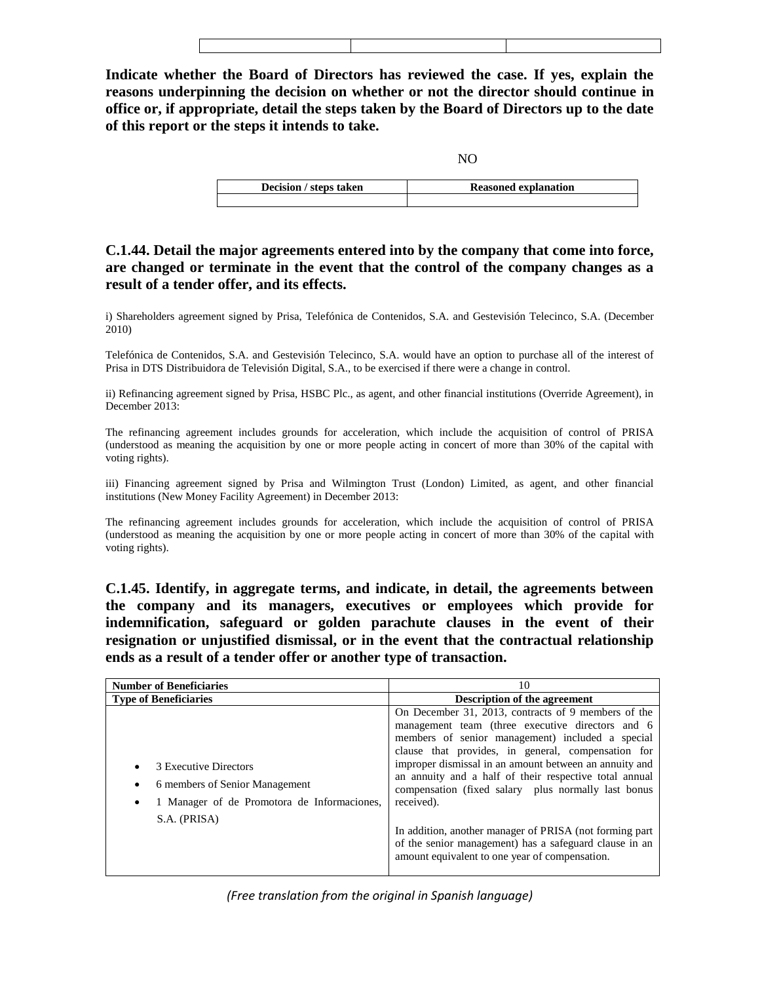**Indicate whether the Board of Directors has reviewed the case. If yes, explain the reasons underpinning the decision on whether or not the director should continue in office or, if appropriate, detail the steps taken by the Board of Directors up to the date of this report or the steps it intends to take.**

NO

| <b>Decision</b> / steps taken | <b>Reasoned explanation</b> |
|-------------------------------|-----------------------------|
|                               |                             |

# **C.1.44. Detail the major agreements entered into by the company that come into force, are changed or terminate in the event that the control of the company changes as a result of a tender offer, and its effects.**

i) Shareholders agreement signed by Prisa, Telefónica de Contenidos, S.A. and Gestevisión Telecinco, S.A. (December 2010)

Telefónica de Contenidos, S.A. and Gestevisión Telecinco, S.A. would have an option to purchase all of the interest of Prisa in DTS Distribuidora de Televisión Digital, S.A., to be exercised if there were a change in control.

ii) Refinancing agreement signed by Prisa, HSBC Plc., as agent, and other financial institutions (Override Agreement), in December 2013:

The refinancing agreement includes grounds for acceleration, which include the acquisition of control of PRISA (understood as meaning the acquisition by one or more people acting in concert of more than 30% of the capital with voting rights).

iii) Financing agreement signed by Prisa and Wilmington Trust (London) Limited, as agent, and other financial institutions (New Money Facility Agreement) in December 2013:

The refinancing agreement includes grounds for acceleration, which include the acquisition of control of PRISA (understood as meaning the acquisition by one or more people acting in concert of more than 30% of the capital with voting rights).

**C.1.45. Identify, in aggregate terms, and indicate, in detail, the agreements between the company and its managers, executives or employees which provide for indemnification, safeguard or golden parachute clauses in the event of their resignation or unjustified dismissal, or in the event that the contractual relationship ends as a result of a tender offer or another type of transaction.** 

| <b>Number of Beneficiaries</b>                                                                                         | 10                                                                                                                                                                                                                                                                                                                                                                                                                                                                                                                                                                                 |
|------------------------------------------------------------------------------------------------------------------------|------------------------------------------------------------------------------------------------------------------------------------------------------------------------------------------------------------------------------------------------------------------------------------------------------------------------------------------------------------------------------------------------------------------------------------------------------------------------------------------------------------------------------------------------------------------------------------|
| <b>Type of Beneficiaries</b>                                                                                           | <b>Description of the agreement</b>                                                                                                                                                                                                                                                                                                                                                                                                                                                                                                                                                |
| 3 Executive Directors<br>6 members of Senior Management<br>1 Manager of de Promotora de Informaciones,<br>S.A. (PRISA) | On December 31, 2013, contracts of 9 members of the<br>management team (three executive directors and 6<br>members of senior management) included a special<br>clause that provides, in general, compensation for<br>improper dismissal in an amount between an annuity and<br>an annuity and a half of their respective total annual<br>compensation (fixed salary plus normally last bonus<br>received).<br>In addition, another manager of PRISA (not forming part)<br>of the senior management) has a safeguard clause in an<br>amount equivalent to one year of compensation. |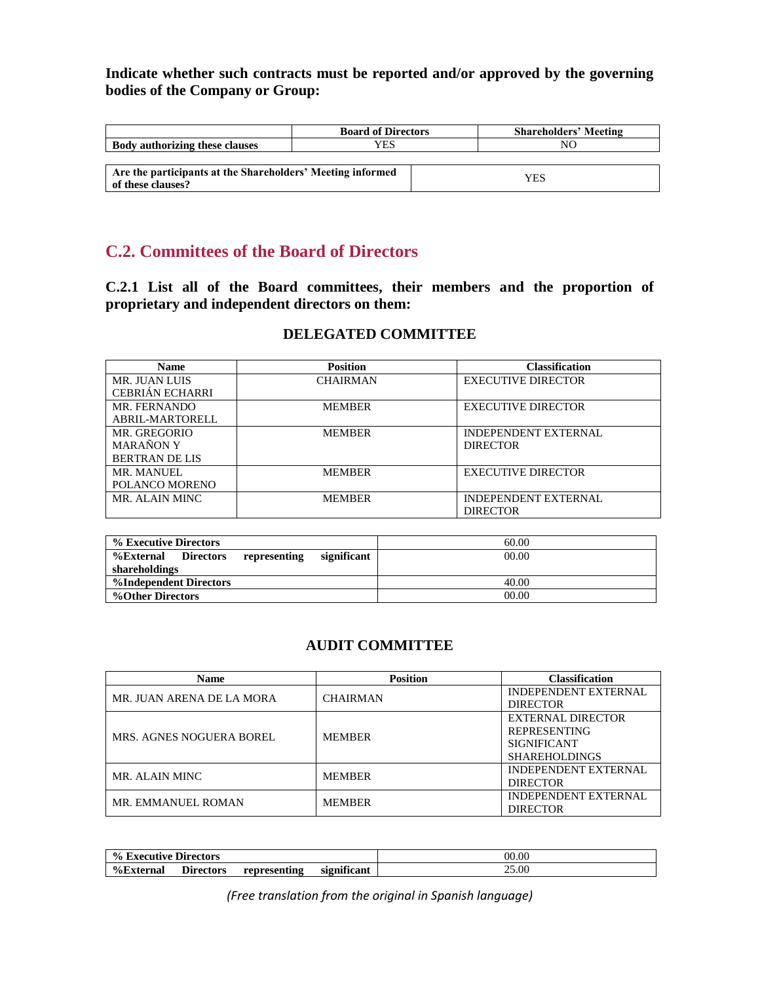**Indicate whether such contracts must be reported and/or approved by the governing bodies of the Company or Group:** 

|                                                                                 | <b>Board of Directors</b> | <b>Shareholders' Meeting</b> |
|---------------------------------------------------------------------------------|---------------------------|------------------------------|
| <b>Body authorizing these clauses</b>                                           | YES                       | NΟ                           |
|                                                                                 |                           |                              |
| Are the participants at the Shareholders' Meeting informed<br>of these clauses? |                           | <b>YES</b>                   |

# **C.2. Committees of the Board of Directors**

**C.2.1 List all of the Board committees, their members and the proportion of proprietary and independent directors on them:**

# **DELEGATED COMMITTEE**

| <b>Name</b>            | <b>Position</b> | <b>Classification</b>       |
|------------------------|-----------------|-----------------------------|
| MR. JUAN LUIS          | <b>CHAIRMAN</b> | <b>EXECUTIVE DIRECTOR</b>   |
| <b>CEBRIÁN ECHARRI</b> |                 |                             |
| MR. FERNANDO           | <b>MEMBER</b>   | <b>EXECUTIVE DIRECTOR</b>   |
| ABRIL-MARTORELL        |                 |                             |
| MR. GREGORIO           | <b>MEMBER</b>   | <b>INDEPENDENT EXTERNAL</b> |
| <b>MARANON Y</b>       |                 | <b>DIRECTOR</b>             |
| <b>BERTRAN DE LIS</b>  |                 |                             |
| MR. MANUEL             | <b>MEMBER</b>   | <b>EXECUTIVE DIRECTOR</b>   |
| POLANCO MORENO         |                 |                             |
| MR. ALAIN MINC         | <b>MEMBER</b>   | <b>INDEPENDENT EXTERNAL</b> |
|                        |                 | <b>DIRECTOR</b>             |

| % Executive Directors                                        | 60.00 |
|--------------------------------------------------------------|-------|
| significant<br>%External<br><b>Directors</b><br>representing | 00.00 |
| shareholdings                                                |       |
| %Independent Directors                                       | 40.00 |
| %Other Directors                                             | 00.00 |

# **AUDIT COMMITTEE**

| <b>Name</b>                     | <b>Position</b> | <b>Classification</b>       |
|---------------------------------|-----------------|-----------------------------|
| MR. JUAN ARENA DE LA MORA       | <b>CHAIRMAN</b> | <b>INDEPENDENT EXTERNAL</b> |
|                                 |                 | <b>DIRECTOR</b>             |
|                                 |                 | <b>EXTERNAL DIRECTOR</b>    |
| <b>MRS. AGNES NOGUERA BOREL</b> | <b>MEMBER</b>   | <b>REPRESENTING</b>         |
|                                 |                 | <b>SIGNIFICANT</b>          |
|                                 |                 | <b>SHAREHOLDINGS</b>        |
| MR. ALAIN MINC                  | <b>MEMBER</b>   | <b>INDEPENDENT EXTERNAL</b> |
|                                 |                 | <b>DIRECTOR</b>             |
| MR. EMMANUEL ROMAN              | <b>MEMBER</b>   | <b>INDEPENDENT EXTERNAL</b> |
|                                 |                 | <b>DIRECTOR</b>             |

| $\frac{0}{0}$<br>, Executive Directors |           |              | 00.00                              |       |
|----------------------------------------|-----------|--------------|------------------------------------|-------|
| <b>%External</b>                       | Directors | representing | $\bullet$ $\bullet$<br>significant | 25.00 |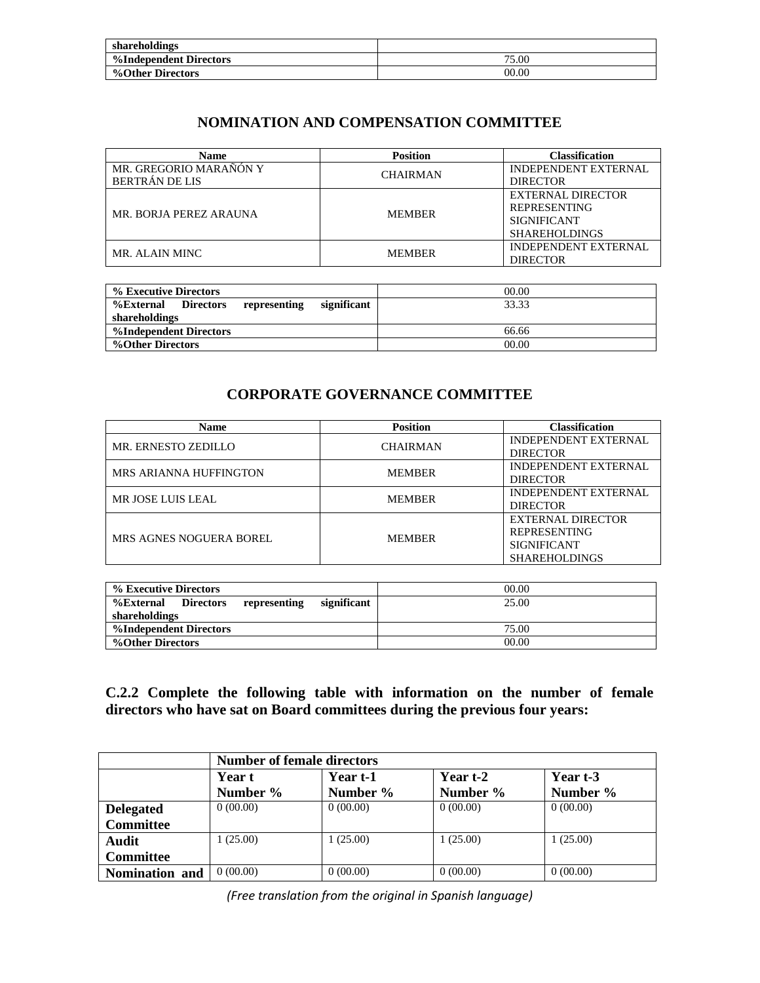| shareholdings          |       |
|------------------------|-------|
| %Independent Directors | 75.00 |
| %Other Directors       | 00.00 |

# **NOMINATION AND COMPENSATION COMMITTEE**

| <b>Name</b>            | <b>Position</b> | Classification              |
|------------------------|-----------------|-----------------------------|
| MR. GREGORIO MARAÑÓN Y | <b>CHAIRMAN</b> | <b>INDEPENDENT EXTERNAL</b> |
| <b>BERTRÁN DE LIS</b>  |                 | <b>DIRECTOR</b>             |
| MR. BORJA PEREZ ARAUNA |                 | EXTERNAL DIRECTOR           |
|                        | <b>MEMBER</b>   | <b>REPRESENTING</b>         |
|                        |                 | <b>SIGNIFICANT</b>          |
|                        |                 | <b>SHAREHOLDINGS</b>        |
| MR. ALAIN MINC         | <b>MEMBER</b>   | <b>INDEPENDENT EXTERNAL</b> |
|                        |                 | <b>DIRECTOR</b>             |

| % Executive Directors                                               | 00.00 |
|---------------------------------------------------------------------|-------|
| significant<br><b>Directors</b><br><b>%External</b><br>representing | 33.33 |
| shareholdings                                                       |       |
| %Independent Directors                                              | 66.66 |
| %Other Directors                                                    | 00.00 |

# **CORPORATE GOVERNANCE COMMITTEE**

| <b>Name</b>                   | <b>Position</b> | <b>Classification</b>       |
|-------------------------------|-----------------|-----------------------------|
| MR. ERNESTO ZEDILLO           | <b>CHAIRMAN</b> | <b>INDEPENDENT EXTERNAL</b> |
|                               |                 | <b>DIRECTOR</b>             |
| <b>MRS ARIANNA HUFFINGTON</b> | <b>MEMBER</b>   | <b>INDEPENDENT EXTERNAL</b> |
|                               |                 | <b>DIRECTOR</b>             |
| MR JOSE LUIS LEAL             | <b>MEMBER</b>   | <b>INDEPENDENT EXTERNAL</b> |
|                               |                 | <b>DIRECTOR</b>             |
|                               |                 | EXTERNAL DIRECTOR           |
| MRS AGNES NOGUERA BOREL       | <b>MEMBER</b>   | <b>REPRESENTING</b>         |
|                               |                 | <b>SIGNIFICANT</b>          |
|                               |                 | <b>SHAREHOLDINGS</b>        |

| % Executive Directors                                        | 00.00 |
|--------------------------------------------------------------|-------|
| significant<br><b>Directors</b><br>%External<br>representing | 25.00 |
| shareholdings                                                |       |
| %Independent Directors                                       | 75.00 |
| %Other Directors                                             | 00.00 |

**C.2.2 Complete the following table with information on the number of female directors who have sat on Board committees during the previous four years:**

|                  | <b>Number of female directors</b> |          |          |          |
|------------------|-----------------------------------|----------|----------|----------|
|                  | Year t                            | Year t-1 | Year t-2 | Year t-3 |
|                  | Number %                          | Number % | Number % | Number % |
| <b>Delegated</b> | 0(00.00)                          | 0(00.00) | 0(00.00) | 0(00.00) |
| <b>Committee</b> |                                   |          |          |          |
| Audit            | 1(25.00)                          | 1(25.00) | 1(25.00) | 1(25.00) |
| <b>Committee</b> |                                   |          |          |          |
| Nomination and   | 0(00.00)                          | 0(00.00) | 0(00.00) | 0(00.00) |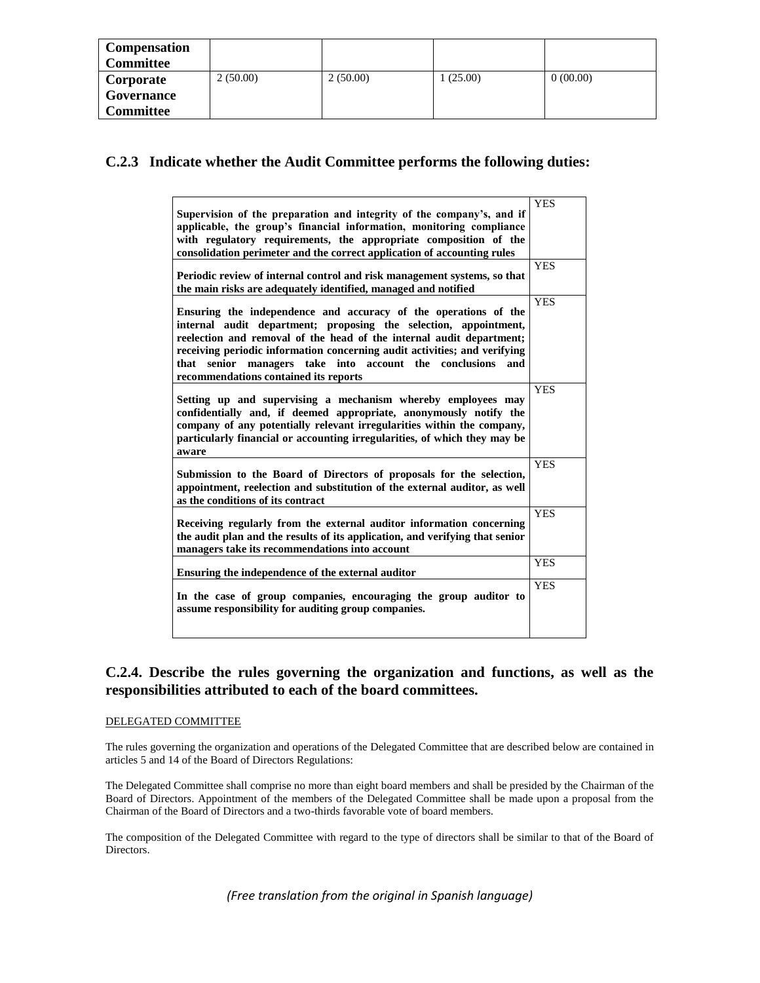| <b>Compensation</b><br><b>Committee</b> |          |          |          |          |
|-----------------------------------------|----------|----------|----------|----------|
| Corporate                               | 2(50.00) | 2(50.00) | 1(25.00) | 0(00.00) |
| Governance                              |          |          |          |          |
| <b>Committee</b>                        |          |          |          |          |

# **C.2.3 Indicate whether the Audit Committee performs the following duties:**

| Supervision of the preparation and integrity of the company's, and if<br>applicable, the group's financial information, monitoring compliance<br>with regulatory requirements, the appropriate composition of the<br>consolidation perimeter and the correct application of accounting rules                                                                                                       | <b>YES</b><br><b>YES</b> |
|----------------------------------------------------------------------------------------------------------------------------------------------------------------------------------------------------------------------------------------------------------------------------------------------------------------------------------------------------------------------------------------------------|--------------------------|
| Periodic review of internal control and risk management systems, so that<br>the main risks are adequately identified, managed and notified                                                                                                                                                                                                                                                         |                          |
| Ensuring the independence and accuracy of the operations of the<br>internal audit department; proposing the selection, appointment,<br>reelection and removal of the head of the internal audit department;<br>receiving periodic information concerning audit activities; and verifying<br>that senior managers take into account the conclusions<br>and<br>recommendations contained its reports | <b>YES</b>               |
| Setting up and supervising a mechanism whereby employees may<br>confidentially and, if deemed appropriate, anonymously notify the<br>company of any potentially relevant irregularities within the company,<br>particularly financial or accounting irregularities, of which they may be<br>aware                                                                                                  | <b>YES</b>               |
| Submission to the Board of Directors of proposals for the selection,<br>appointment, reelection and substitution of the external auditor, as well<br>as the conditions of its contract                                                                                                                                                                                                             | <b>YES</b>               |
| Receiving regularly from the external auditor information concerning<br>the audit plan and the results of its application, and verifying that senior<br>managers take its recommendations into account                                                                                                                                                                                             | <b>YES</b>               |
| Ensuring the independence of the external auditor                                                                                                                                                                                                                                                                                                                                                  | <b>YES</b>               |
| In the case of group companies, encouraging the group auditor to<br>assume responsibility for auditing group companies.                                                                                                                                                                                                                                                                            | <b>YES</b>               |

## **C.2.4. Describe the rules governing the organization and functions, as well as the responsibilities attributed to each of the board committees.**

### DELEGATED COMMITTEE

The rules governing the organization and operations of the Delegated Committee that are described below are contained in articles 5 and 14 of the Board of Directors Regulations:

The Delegated Committee shall comprise no more than eight board members and shall be presided by the Chairman of the Board of Directors. Appointment of the members of the Delegated Committee shall be made upon a proposal from the Chairman of the Board of Directors and a two-thirds favorable vote of board members.

The composition of the Delegated Committee with regard to the type of directors shall be similar to that of the Board of Directors.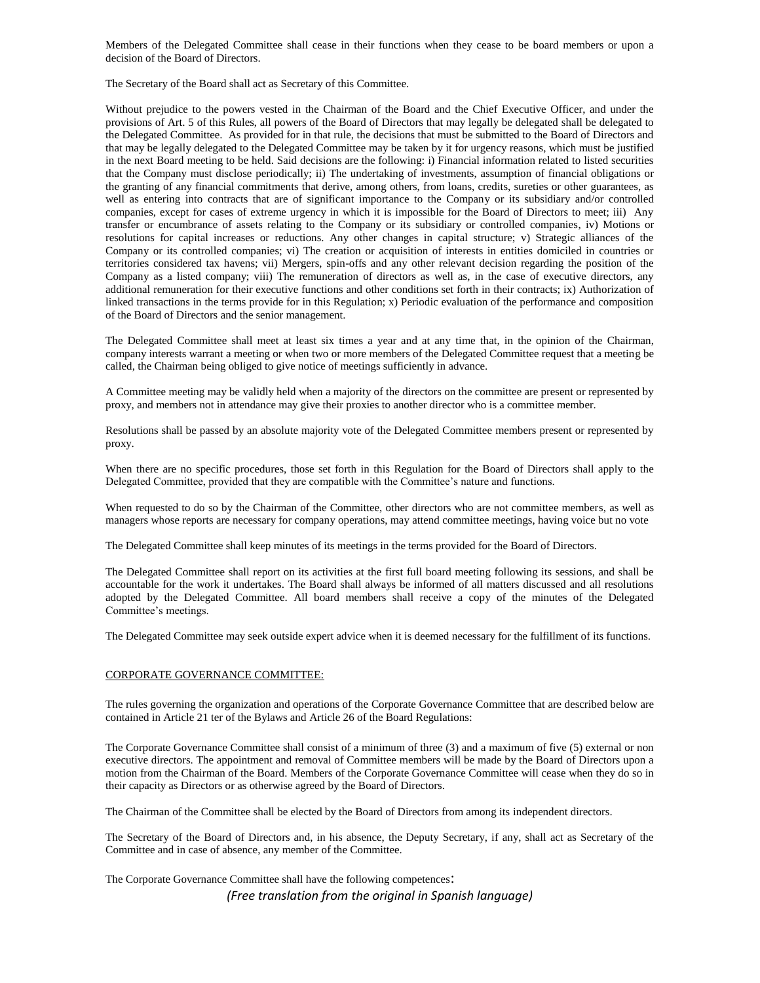Members of the Delegated Committee shall cease in their functions when they cease to be board members or upon a decision of the Board of Directors.

The Secretary of the Board shall act as Secretary of this Committee.

Without prejudice to the powers vested in the Chairman of the Board and the Chief Executive Officer, and under the provisions of Art. 5 of this Rules, all powers of the Board of Directors that may legally be delegated shall be delegated to the Delegated Committee. As provided for in that rule, the decisions that must be submitted to the Board of Directors and that may be legally delegated to the Delegated Committee may be taken by it for urgency reasons, which must be justified in the next Board meeting to be held. Said decisions are the following: i) Financial information related to listed securities that the Company must disclose periodically; ii) The undertaking of investments, assumption of financial obligations or the granting of any financial commitments that derive, among others, from loans, credits, sureties or other guarantees, as well as entering into contracts that are of significant importance to the Company or its subsidiary and/or controlled companies, except for cases of extreme urgency in which it is impossible for the Board of Directors to meet; iii) Any transfer or encumbrance of assets relating to the Company or its subsidiary or controlled companies, iv) Motions or resolutions for capital increases or reductions. Any other changes in capital structure; v) Strategic alliances of the Company or its controlled companies; vi) The creation or acquisition of interests in entities domiciled in countries or territories considered tax havens; vii) Mergers, spin-offs and any other relevant decision regarding the position of the Company as a listed company; viii) The remuneration of directors as well as, in the case of executive directors, any additional remuneration for their executive functions and other conditions set forth in their contracts; ix) Authorization of linked transactions in the terms provide for in this Regulation; x) Periodic evaluation of the performance and composition of the Board of Directors and the senior management.

The Delegated Committee shall meet at least six times a year and at any time that, in the opinion of the Chairman, company interests warrant a meeting or when two or more members of the Delegated Committee request that a meeting be called, the Chairman being obliged to give notice of meetings sufficiently in advance.

A Committee meeting may be validly held when a majority of the directors on the committee are present or represented by proxy, and members not in attendance may give their proxies to another director who is a committee member.

Resolutions shall be passed by an absolute majority vote of the Delegated Committee members present or represented by proxy.

When there are no specific procedures, those set forth in this Regulation for the Board of Directors shall apply to the Delegated Committee, provided that they are compatible with the Committee's nature and functions.

When requested to do so by the Chairman of the Committee, other directors who are not committee members, as well as managers whose reports are necessary for company operations, may attend committee meetings, having voice but no vote

The Delegated Committee shall keep minutes of its meetings in the terms provided for the Board of Directors.

The Delegated Committee shall report on its activities at the first full board meeting following its sessions, and shall be accountable for the work it undertakes. The Board shall always be informed of all matters discussed and all resolutions adopted by the Delegated Committee. All board members shall receive a copy of the minutes of the Delegated Committee's meetings.

The Delegated Committee may seek outside expert advice when it is deemed necessary for the fulfillment of its functions.

#### CORPORATE GOVERNANCE COMMITTEE:

The rules governing the organization and operations of the Corporate Governance Committee that are described below are contained in Article 21 ter of the Bylaws and Article 26 of the Board Regulations:

The Corporate Governance Committee shall consist of a minimum of three (3) and a maximum of five (5) external or non executive directors. The appointment and removal of Committee members will be made by the Board of Directors upon a motion from the Chairman of the Board. Members of the Corporate Governance Committee will cease when they do so in their capacity as Directors or as otherwise agreed by the Board of Directors.

The Chairman of the Committee shall be elected by the Board of Directors from among its independent directors.

The Secretary of the Board of Directors and, in his absence, the Deputy Secretary, if any, shall act as Secretary of the Committee and in case of absence, any member of the Committee.

The Corporate Governance Committee shall have the following competences: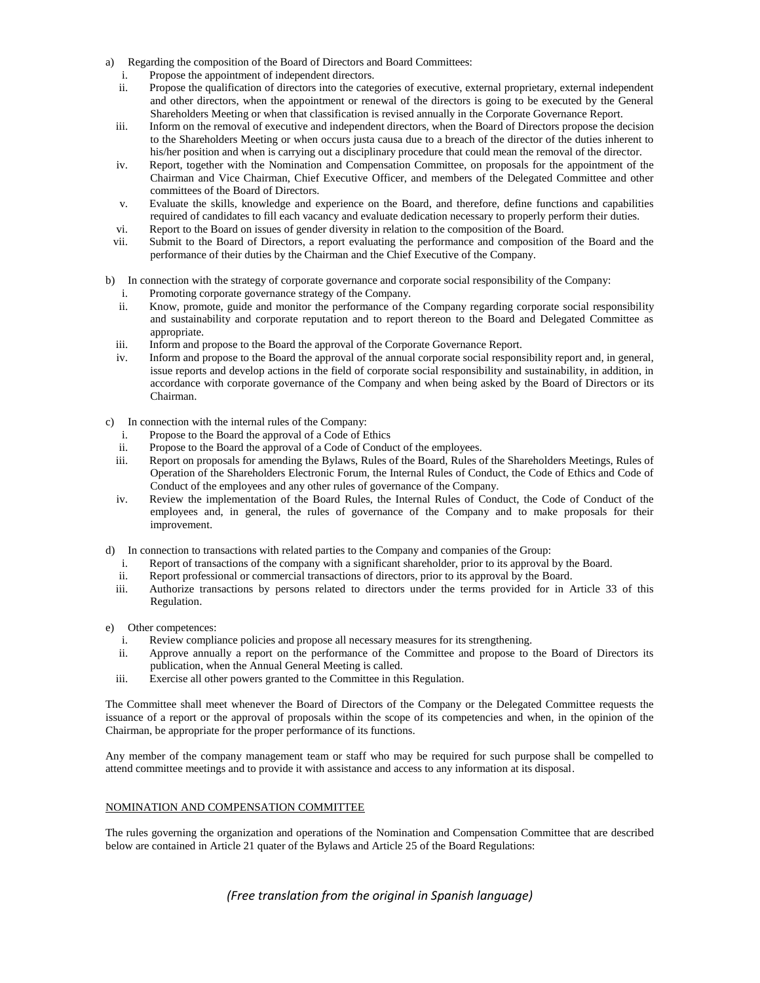- a) Regarding the composition of the Board of Directors and Board Committees:
	- i. Propose the appointment of independent directors.
	- ii. Propose the qualification of directors into the categories of executive, external proprietary, external independent and other directors, when the appointment or renewal of the directors is going to be executed by the General Shareholders Meeting or when that classification is revised annually in the Corporate Governance Report.
	- iii. Inform on the removal of executive and independent directors, when the Board of Directors propose the decision to the Shareholders Meeting or when occurs justa causa due to a breach of the director of the duties inherent to his/her position and when is carrying out a disciplinary procedure that could mean the removal of the director.
	- iv. Report, together with the Nomination and Compensation Committee, on proposals for the appointment of the Chairman and Vice Chairman, Chief Executive Officer, and members of the Delegated Committee and other committees of the Board of Directors.
	- v. Evaluate the skills, knowledge and experience on the Board, and therefore, define functions and capabilities required of candidates to fill each vacancy and evaluate dedication necessary to properly perform their duties.
	- vi. Report to the Board on issues of gender diversity in relation to the composition of the Board.
	- vii. Submit to the Board of Directors, a report evaluating the performance and composition of the Board and the performance of their duties by the Chairman and the Chief Executive of the Company.
- b) In connection with the strategy of corporate governance and corporate social responsibility of the Company:
	- Promoting corporate governance strategy of the Company.
	- ii. Know, promote, guide and monitor the performance of the Company regarding corporate social responsibility and sustainability and corporate reputation and to report thereon to the Board and Delegated Committee as appropriate.
	- iii. Inform and propose to the Board the approval of the Corporate Governance Report.
	- iv. Inform and propose to the Board the approval of the annual corporate social responsibility report and, in general, issue reports and develop actions in the field of corporate social responsibility and sustainability, in addition, in accordance with corporate governance of the Company and when being asked by the Board of Directors or its Chairman.
- c) In connection with the internal rules of the Company:
	- i. Propose to the Board the approval of a Code of Ethics
	- ii. Propose to the Board the approval of a Code of Conduct of the employees.
	- iii. Report on proposals for amending the Bylaws, Rules of the Board, Rules of the Shareholders Meetings, Rules of Operation of the Shareholders Electronic Forum, the Internal Rules of Conduct, the Code of Ethics and Code of Conduct of the employees and any other rules of governance of the Company.
	- iv. Review the implementation of the Board Rules, the Internal Rules of Conduct, the Code of Conduct of the employees and, in general, the rules of governance of the Company and to make proposals for their improvement.
- d) In connection to transactions with related parties to the Company and companies of the Group:
	- i. Report of transactions of the company with a significant shareholder, prior to its approval by the Board.
	- ii. Report professional or commercial transactions of directors, prior to its approval by the Board.
	- iii. Authorize transactions by persons related to directors under the terms provided for in Article 33 of this Regulation.
- e) Other competences:
	- i. Review compliance policies and propose all necessary measures for its strengthening.
	- ii. Approve annually a report on the performance of the Committee and propose to the Board of Directors its publication, when the Annual General Meeting is called.
	- iii. Exercise all other powers granted to the Committee in this Regulation.

The Committee shall meet whenever the Board of Directors of the Company or the Delegated Committee requests the issuance of a report or the approval of proposals within the scope of its competencies and when, in the opinion of the Chairman, be appropriate for the proper performance of its functions.

Any member of the company management team or staff who may be required for such purpose shall be compelled to attend committee meetings and to provide it with assistance and access to any information at its disposal.

#### NOMINATION AND COMPENSATION COMMITTEE

The rules governing the organization and operations of the Nomination and Compensation Committee that are described below are contained in Article 21 quater of the Bylaws and Article 25 of the Board Regulations: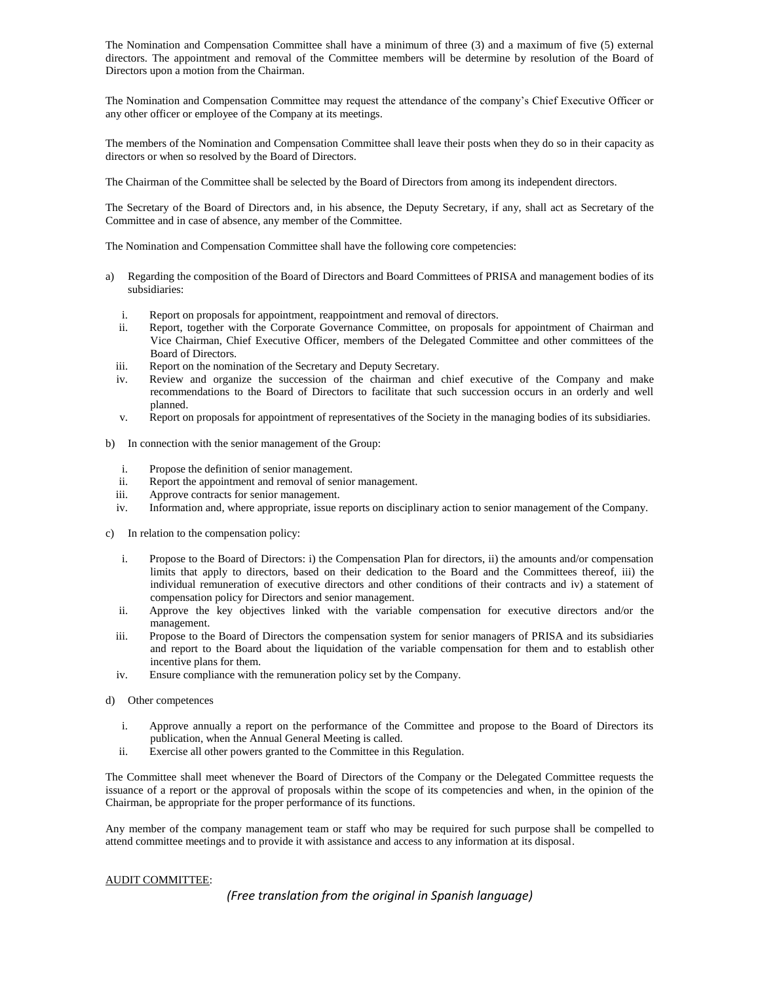The Nomination and Compensation Committee shall have a minimum of three (3) and a maximum of five (5) external directors. The appointment and removal of the Committee members will be determine by resolution of the Board of Directors upon a motion from the Chairman.

The Nomination and Compensation Committee may request the attendance of the company's Chief Executive Officer or any other officer or employee of the Company at its meetings.

The members of the Nomination and Compensation Committee shall leave their posts when they do so in their capacity as directors or when so resolved by the Board of Directors.

The Chairman of the Committee shall be selected by the Board of Directors from among its independent directors.

The Secretary of the Board of Directors and, in his absence, the Deputy Secretary, if any, shall act as Secretary of the Committee and in case of absence, any member of the Committee.

The Nomination and Compensation Committee shall have the following core competencies:

- a) Regarding the composition of the Board of Directors and Board Committees of PRISA and management bodies of its subsidiaries:
	- i. Report on proposals for appointment, reappointment and removal of directors.
	- ii. Report, together with the Corporate Governance Committee, on proposals for appointment of Chairman and Vice Chairman, Chief Executive Officer, members of the Delegated Committee and other committees of the Board of Directors.
	- iii. Report on the nomination of the Secretary and Deputy Secretary.
	- iv. Review and organize the succession of the chairman and chief executive of the Company and make recommendations to the Board of Directors to facilitate that such succession occurs in an orderly and well planned.
	- v. Report on proposals for appointment of representatives of the Society in the managing bodies of its subsidiaries.
- b) In connection with the senior management of the Group:
	- i. Propose the definition of senior management.
	- ii. Report the appointment and removal of senior management.
	- iii. Approve contracts for senior management.
	- iv. Information and, where appropriate, issue reports on disciplinary action to senior management of the Company.
- c) In relation to the compensation policy:
	- i. Propose to the Board of Directors: i) the Compensation Plan for directors, ii) the amounts and/or compensation limits that apply to directors, based on their dedication to the Board and the Committees thereof, iii) the individual remuneration of executive directors and other conditions of their contracts and iv) a statement of compensation policy for Directors and senior management.
	- ii. Approve the key objectives linked with the variable compensation for executive directors and/or the management.
	- iii. Propose to the Board of Directors the compensation system for senior managers of PRISA and its subsidiaries and report to the Board about the liquidation of the variable compensation for them and to establish other incentive plans for them.
	- iv. Ensure compliance with the remuneration policy set by the Company.
- d) Other competences
	- i. Approve annually a report on the performance of the Committee and propose to the Board of Directors its publication, when the Annual General Meeting is called.
	- ii. Exercise all other powers granted to the Committee in this Regulation.

The Committee shall meet whenever the Board of Directors of the Company or the Delegated Committee requests the issuance of a report or the approval of proposals within the scope of its competencies and when, in the opinion of the Chairman, be appropriate for the proper performance of its functions.

Any member of the company management team or staff who may be required for such purpose shall be compelled to attend committee meetings and to provide it with assistance and access to any information at its disposal.

#### AUDIT COMMITTEE: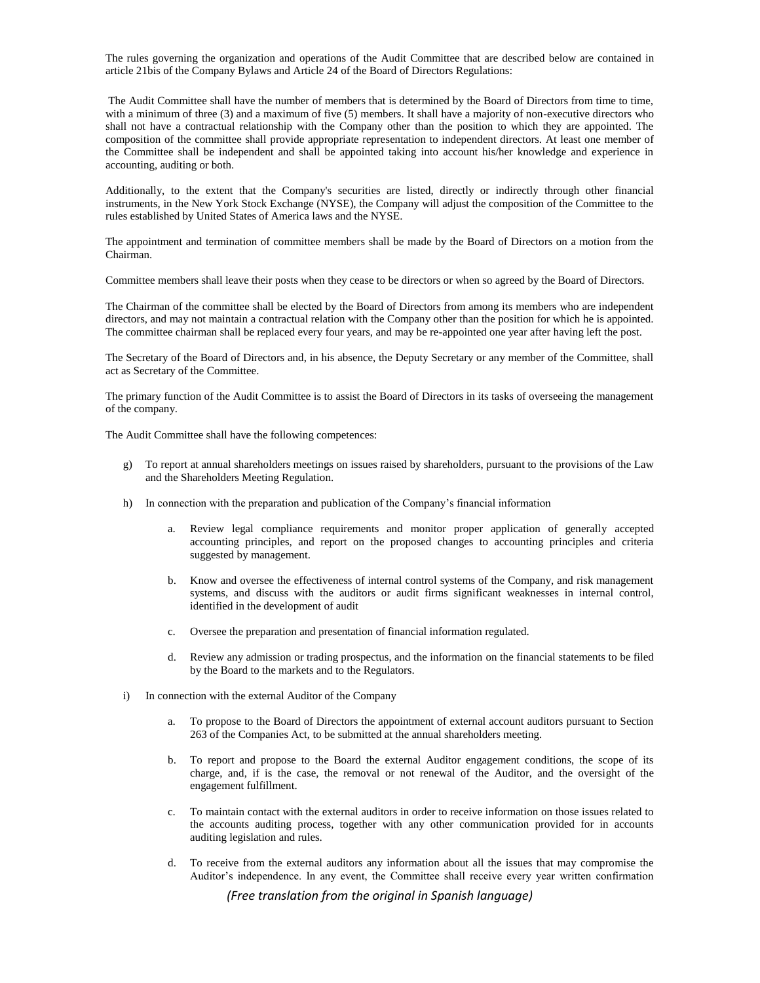The rules governing the organization and operations of the Audit Committee that are described below are contained in article 21bis of the Company Bylaws and Article 24 of the Board of Directors Regulations:

The Audit Committee shall have the number of members that is determined by the Board of Directors from time to time, with a minimum of three (3) and a maximum of five (5) members. It shall have a majority of non-executive directors who shall not have a contractual relationship with the Company other than the position to which they are appointed. The composition of the committee shall provide appropriate representation to independent directors. At least one member of the Committee shall be independent and shall be appointed taking into account his/her knowledge and experience in accounting, auditing or both.

Additionally, to the extent that the Company's securities are listed, directly or indirectly through other financial instruments, in the New York Stock Exchange (NYSE), the Company will adjust the composition of the Committee to the rules established by United States of America laws and the NYSE.

The appointment and termination of committee members shall be made by the Board of Directors on a motion from the Chairman.

Committee members shall leave their posts when they cease to be directors or when so agreed by the Board of Directors.

The Chairman of the committee shall be elected by the Board of Directors from among its members who are independent directors, and may not maintain a contractual relation with the Company other than the position for which he is appointed. The committee chairman shall be replaced every four years, and may be re-appointed one year after having left the post.

The Secretary of the Board of Directors and, in his absence, the Deputy Secretary or any member of the Committee, shall act as Secretary of the Committee.

The primary function of the Audit Committee is to assist the Board of Directors in its tasks of overseeing the management of the company.

The Audit Committee shall have the following competences:

- g) To report at annual shareholders meetings on issues raised by shareholders, pursuant to the provisions of the Law and the Shareholders Meeting Regulation.
- h) In connection with the preparation and publication of the Company's financial information
	- a. Review legal compliance requirements and monitor proper application of generally accepted accounting principles, and report on the proposed changes to accounting principles and criteria suggested by management.
	- b. Know and oversee the effectiveness of internal control systems of the Company, and risk management systems, and discuss with the auditors or audit firms significant weaknesses in internal control, identified in the development of audit
	- c. Oversee the preparation and presentation of financial information regulated.
	- d. Review any admission or trading prospectus, and the information on the financial statements to be filed by the Board to the markets and to the Regulators.
- i) In connection with the external Auditor of the Company
	- a. To propose to the Board of Directors the appointment of external account auditors pursuant to Section 263 of the Companies Act, to be submitted at the annual shareholders meeting.
	- b. To report and propose to the Board the external Auditor engagement conditions, the scope of its charge, and, if is the case, the removal or not renewal of the Auditor, and the oversight of the engagement fulfillment.
	- c. To maintain contact with the external auditors in order to receive information on those issues related to the accounts auditing process, together with any other communication provided for in accounts auditing legislation and rules.
	- d. To receive from the external auditors any information about all the issues that may compromise the Auditor's independence. In any event, the Committee shall receive every year written confirmation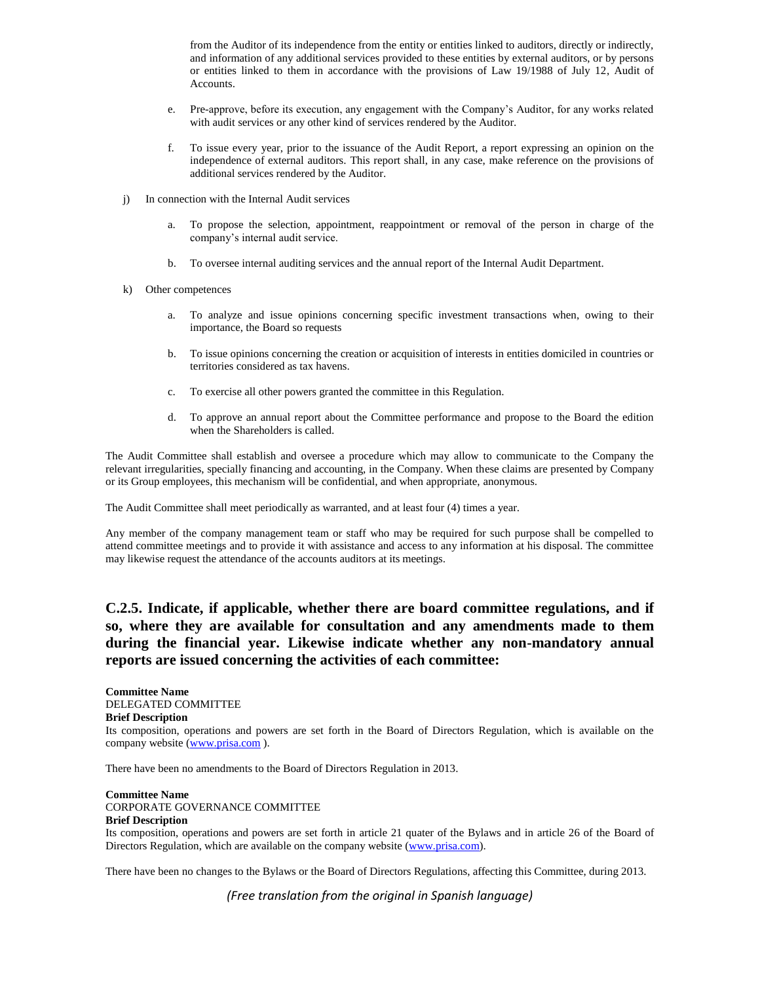from the Auditor of its independence from the entity or entities linked to auditors, directly or indirectly, and information of any additional services provided to these entities by external auditors, or by persons or entities linked to them in accordance with the provisions of Law 19/1988 of July 12, Audit of Accounts.

- e. Pre-approve, before its execution, any engagement with the Company's Auditor, for any works related with audit services or any other kind of services rendered by the Auditor.
- f. To issue every year, prior to the issuance of the Audit Report, a report expressing an opinion on the independence of external auditors. This report shall, in any case, make reference on the provisions of additional services rendered by the Auditor.
- j) In connection with the Internal Audit services
	- a. To propose the selection, appointment, reappointment or removal of the person in charge of the company's internal audit service.
	- b. To oversee internal auditing services and the annual report of the Internal Audit Department.
- k) Other competences
	- a. To analyze and issue opinions concerning specific investment transactions when, owing to their importance, the Board so requests
	- b. To issue opinions concerning the creation or acquisition of interests in entities domiciled in countries or territories considered as tax havens.
	- c. To exercise all other powers granted the committee in this Regulation.
	- d. To approve an annual report about the Committee performance and propose to the Board the edition when the Shareholders is called.

The Audit Committee shall establish and oversee a procedure which may allow to communicate to the Company the relevant irregularities, specially financing and accounting, in the Company. When these claims are presented by Company or its Group employees, this mechanism will be confidential, and when appropriate, anonymous.

The Audit Committee shall meet periodically as warranted, and at least four (4) times a year.

Any member of the company management team or staff who may be required for such purpose shall be compelled to attend committee meetings and to provide it with assistance and access to any information at his disposal. The committee may likewise request the attendance of the accounts auditors at its meetings.

#### **C.2.5. Indicate, if applicable, whether there are board committee regulations, and if so, where they are available for consultation and any amendments made to them during the financial year. Likewise indicate whether any non-mandatory annual reports are issued concerning the activities of each committee:**

**Committee Name** DELEGATED COMMITTEE **Brief Description**

Its composition, operations and powers are set forth in the Board of Directors Regulation, which is available on the company website [\(www.prisa.com](http://www.prisa.com/)).

There have been no amendments to the Board of Directors Regulation in 2013.

#### **Committee Name** CORPORATE GOVERNANCE COMMITTEE **Brief Description**

Its composition, operations and powers are set forth in article 21 quater of the Bylaws and in article 26 of the Board of Directors Regulation, which are available on the company website [\(www.prisa.com\)](http://www.prisa.com/).

There have been no changes to the Bylaws or the Board of Directors Regulations, affecting this Committee, during 2013.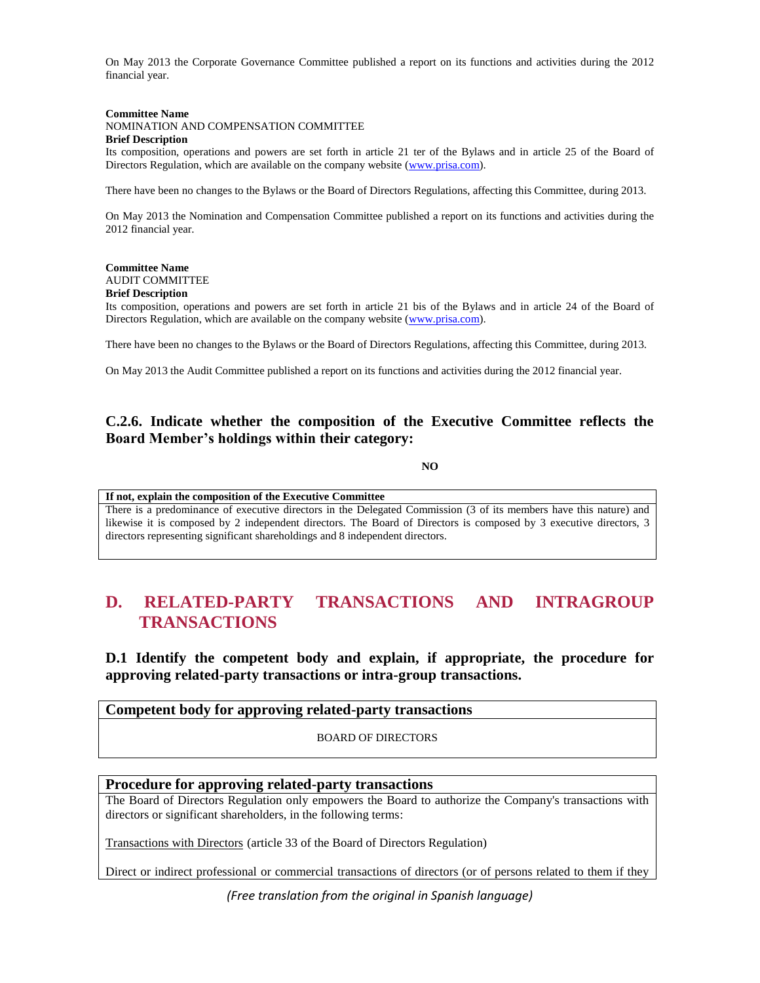On May 2013 the Corporate Governance Committee published a report on its functions and activities during the 2012 financial year.

#### **Committee Name** NOMINATION AND COMPENSATION COMMITTEE **Brief Description**

Its composition, operations and powers are set forth in article 21 ter of the Bylaws and in article 25 of the Board of Directors Regulation, which are available on the company website [\(www.prisa.com\)](http://www.prisa.com/).

There have been no changes to the Bylaws or the Board of Directors Regulations, affecting this Committee, during 2013.

On May 2013 the Nomination and Compensation Committee published a report on its functions and activities during the 2012 financial year.

#### **Committee Name** AUDIT COMMITTEE **Brief Description**

Its composition, operations and powers are set forth in article 21 bis of the Bylaws and in article 24 of the Board of Directors Regulation, which are available on the company website [\(www.prisa.com\)](http://www.prisa.com/).

There have been no changes to the Bylaws or the Board of Directors Regulations, affecting this Committee, during 2013.

On May 2013 the Audit Committee published a report on its functions and activities during the 2012 financial year.

#### **C.2.6. Indicate whether the composition of the Executive Committee reflects the Board Member's holdings within their category:**

#### **NO**

**If not, explain the composition of the Executive Committee** There is a predominance of executive directors in the Delegated Commission (3 of its members have this nature) and likewise it is composed by 2 independent directors. The Board of Directors is composed by 3 executive directors, 3 directors representing significant shareholdings and 8 independent directors.

# **D. RELATED-PARTY TRANSACTIONS AND INTRAGROUP TRANSACTIONS**

**D.1 Identify the competent body and explain, if appropriate, the procedure for approving related-party transactions or intra-group transactions.** 

#### **Competent body for approving related-party transactions**

BOARD OF DIRECTORS

#### **Procedure for approving related-party transactions**

The Board of Directors Regulation only empowers the Board to authorize the Company's transactions with directors or significant shareholders, in the following terms:

Transactions with Directors (article 33 of the Board of Directors Regulation)

Direct or indirect professional or commercial transactions of directors (or of persons related to them if they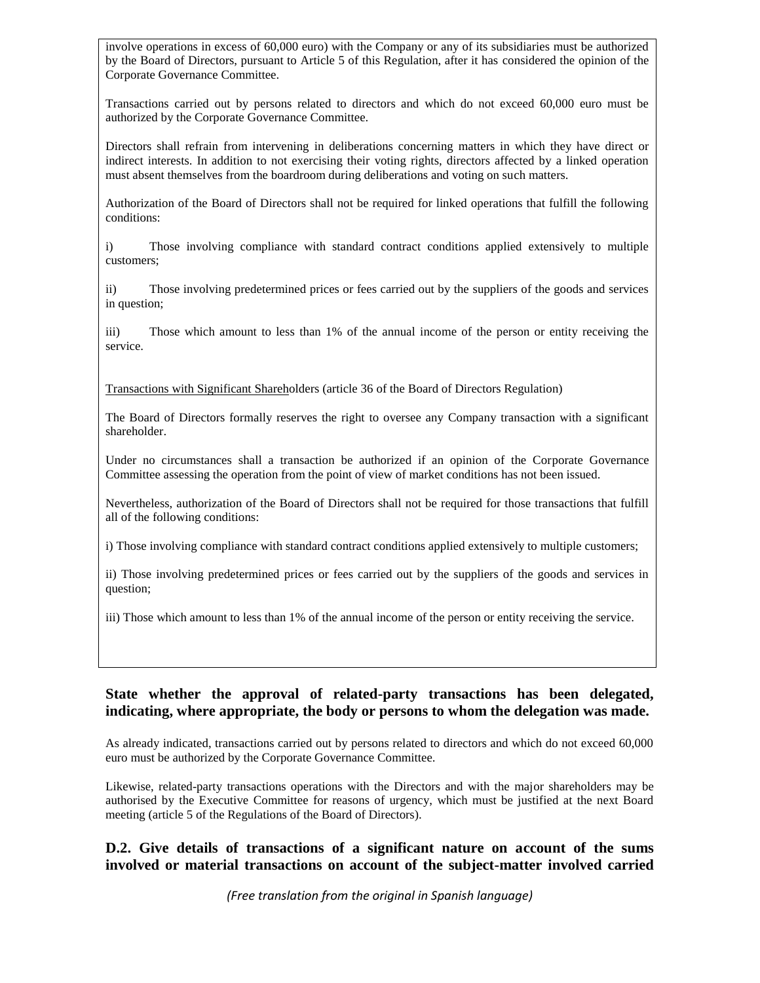involve operations in excess of 60,000 euro) with the Company or any of its subsidiaries must be authorized by the Board of Directors, pursuant to Article 5 of this Regulation, after it has considered the opinion of the Corporate Governance Committee.

Transactions carried out by persons related to directors and which do not exceed 60,000 euro must be authorized by the Corporate Governance Committee.

Directors shall refrain from intervening in deliberations concerning matters in which they have direct or indirect interests. In addition to not exercising their voting rights, directors affected by a linked operation must absent themselves from the boardroom during deliberations and voting on such matters.

Authorization of the Board of Directors shall not be required for linked operations that fulfill the following conditions:

i) Those involving compliance with standard contract conditions applied extensively to multiple customers;

ii) Those involving predetermined prices or fees carried out by the suppliers of the goods and services in question;

iii) Those which amount to less than 1% of the annual income of the person or entity receiving the service.

Transactions with Significant Shareholders (article 36 of the Board of Directors Regulation)

The Board of Directors formally reserves the right to oversee any Company transaction with a significant shareholder.

Under no circumstances shall a transaction be authorized if an opinion of the Corporate Governance Committee assessing the operation from the point of view of market conditions has not been issued.

Nevertheless, authorization of the Board of Directors shall not be required for those transactions that fulfill all of the following conditions:

i) Those involving compliance with standard contract conditions applied extensively to multiple customers;

ii) Those involving predetermined prices or fees carried out by the suppliers of the goods and services in question;

iii) Those which amount to less than 1% of the annual income of the person or entity receiving the service.

#### **State whether the approval of related-party transactions has been delegated, indicating, where appropriate, the body or persons to whom the delegation was made.**

As already indicated, transactions carried out by persons related to directors and which do not exceed 60,000 euro must be authorized by the Corporate Governance Committee.

Likewise, related-party transactions operations with the Directors and with the major shareholders may be authorised by the Executive Committee for reasons of urgency, which must be justified at the next Board meeting (article 5 of the Regulations of the Board of Directors).

#### **D.2. Give details of transactions of a significant nature on account of the sums involved or material transactions on account of the subject-matter involved carried**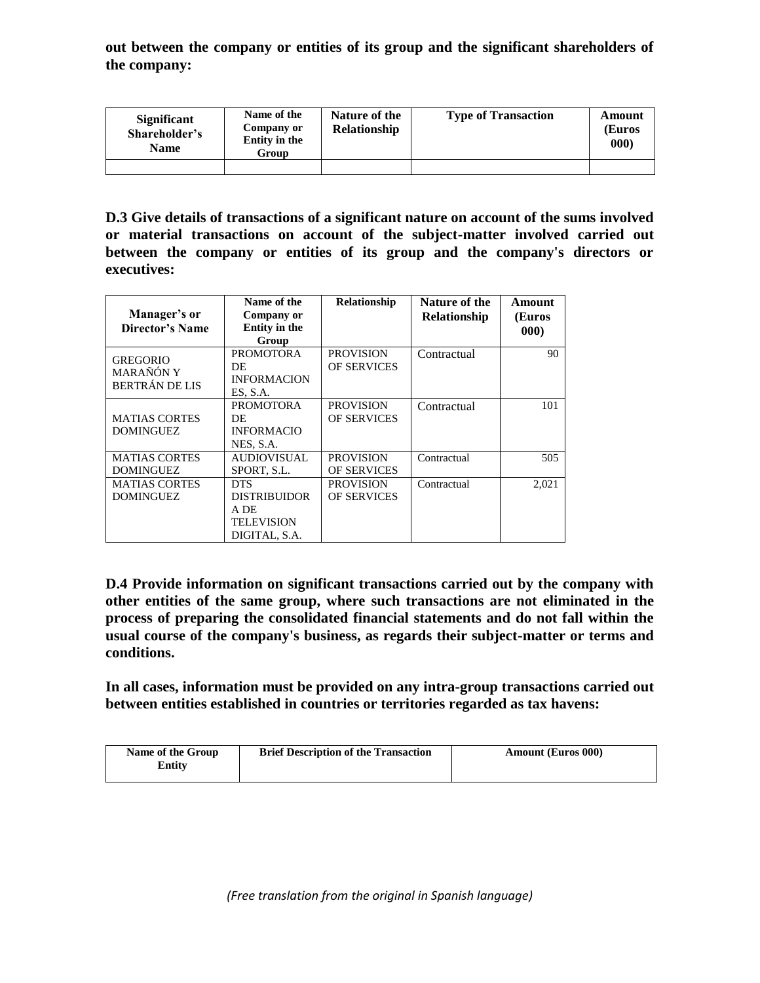**out between the company or entities of its group and the significant shareholders of the company:**

| <b>Significant</b><br>Shareholder's<br><b>Name</b> | Name of the<br>Company or<br>Entity in the<br>Group | Nature of the<br><b>Relationship</b> | <b>Type of Transaction</b> | Amount<br>(Euros<br>$ 000\rangle$ |
|----------------------------------------------------|-----------------------------------------------------|--------------------------------------|----------------------------|-----------------------------------|
|                                                    |                                                     |                                      |                            |                                   |

**D.3 Give details of transactions of a significant nature on account of the sums involved or material transactions on account of the subject-matter involved carried out between the company or entities of its group and the company's directors or executives:**

| Manager's or<br><b>Director's Name</b>         | Name of the<br>Company or<br><b>Entity in the</b><br>Group               | <b>Relationship</b>                    | Nature of the<br><b>Relationship</b> | Amount<br>(Euros<br>000) |
|------------------------------------------------|--------------------------------------------------------------------------|----------------------------------------|--------------------------------------|--------------------------|
| <b>GREGORIO</b><br>MARAÑÓN Y<br>BERTRÁN DE LIS | <b>PROMOTORA</b><br>DE<br><b>INFORMACION</b><br>ES, S.A.                 | <b>PROVISION</b><br><b>OF SERVICES</b> | Contractual                          | 90                       |
| <b>MATIAS CORTES</b><br><b>DOMINGUEZ</b>       | <b>PROMOTORA</b><br>DE<br><b>INFORMACIO</b><br>NES, S.A.                 | <b>PROVISION</b><br><b>OF SERVICES</b> | Contractual                          | 101                      |
| <b>MATIAS CORTES</b><br><b>DOMINGUEZ</b>       | <b>AUDIOVISUAL</b><br>SPORT, S.L.                                        | <b>PROVISION</b><br><b>OF SERVICES</b> | Contractual                          | 505                      |
| <b>MATIAS CORTES</b><br><b>DOMINGUEZ</b>       | <b>DTS</b><br><b>DISTRIBUIDOR</b><br>A DE<br>TELEVISION<br>DIGITAL, S.A. | <b>PROVISION</b><br><b>OF SERVICES</b> | Contractual                          | 2,021                    |

**D.4 Provide information on significant transactions carried out by the company with other entities of the same group, where such transactions are not eliminated in the process of preparing the consolidated financial statements and do not fall within the usual course of the company's business, as regards their subject-matter or terms and conditions.** 

**In all cases, information must be provided on any intra-group transactions carried out between entities established in countries or territories regarded as tax havens:** 

| Name of the Group | <b>Brief Description of the Transaction</b> | <b>Amount (Euros 000)</b> |
|-------------------|---------------------------------------------|---------------------------|
| Entity            |                                             |                           |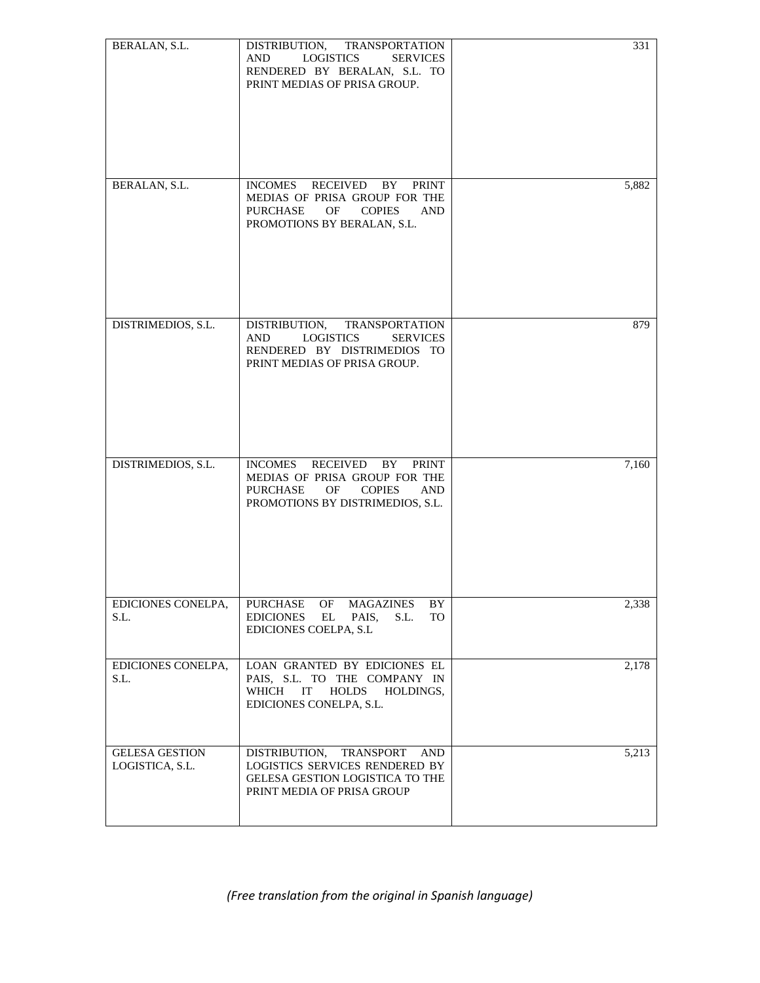| BERALAN, S.L.                            | DISTRIBUTION, TRANSPORTATION<br><b>LOGISTICS</b><br><b>SERVICES</b><br>AND<br>RENDERED BY BERALAN, S.L. TO<br>PRINT MEDIAS OF PRISA GROUP.                | 331   |
|------------------------------------------|-----------------------------------------------------------------------------------------------------------------------------------------------------------|-------|
| BERALAN, S.L.                            | INCOMES RECEIVED BY PRINT<br>MEDIAS OF PRISA GROUP FOR THE<br><b>PURCHASE</b><br>OF<br><b>COPIES</b><br><b>AND</b><br>PROMOTIONS BY BERALAN, S.L.         | 5,882 |
| DISTRIMEDIOS, S.L.                       | DISTRIBUTION,<br><b>TRANSPORTATION</b><br>LOGISTICS<br><b>AND</b><br><b>SERVICES</b><br>RENDERED BY DISTRIMEDIOS TO<br>PRINT MEDIAS OF PRISA GROUP.       | 879   |
| DISTRIMEDIOS, S.L.                       | INCOMES RECEIVED BY<br><b>PRINT</b><br>MEDIAS OF PRISA GROUP FOR THE<br>PURCHASE<br>OF<br><b>COPIES</b><br><b>AND</b><br>PROMOTIONS BY DISTRIMEDIOS, S.L. | 7,160 |
| EDICIONES CONELPA,<br>S.L.               | PURCHASE<br>OF<br><b>MAGAZINES</b><br>BY<br><b>EDICIONES</b><br>EL<br>PAIS,<br>S.L.<br>TO<br>EDICIONES COELPA, S.L                                        | 2,338 |
| EDICIONES CONELPA,<br>S.L.               | LOAN GRANTED BY EDICIONES EL<br>PAIS, S.L. TO THE COMPANY IN<br>WHICH<br>IT<br><b>HOLDS</b><br>HOLDINGS,<br>EDICIONES CONELPA, S.L.                       | 2,178 |
| <b>GELESA GESTION</b><br>LOGISTICA, S.L. | DISTRIBUTION,<br>TRANSPORT<br><b>AND</b><br>LOGISTICS SERVICES RENDERED BY<br>GELESA GESTION LOGISTICA TO THE<br>PRINT MEDIA OF PRISA GROUP               | 5,213 |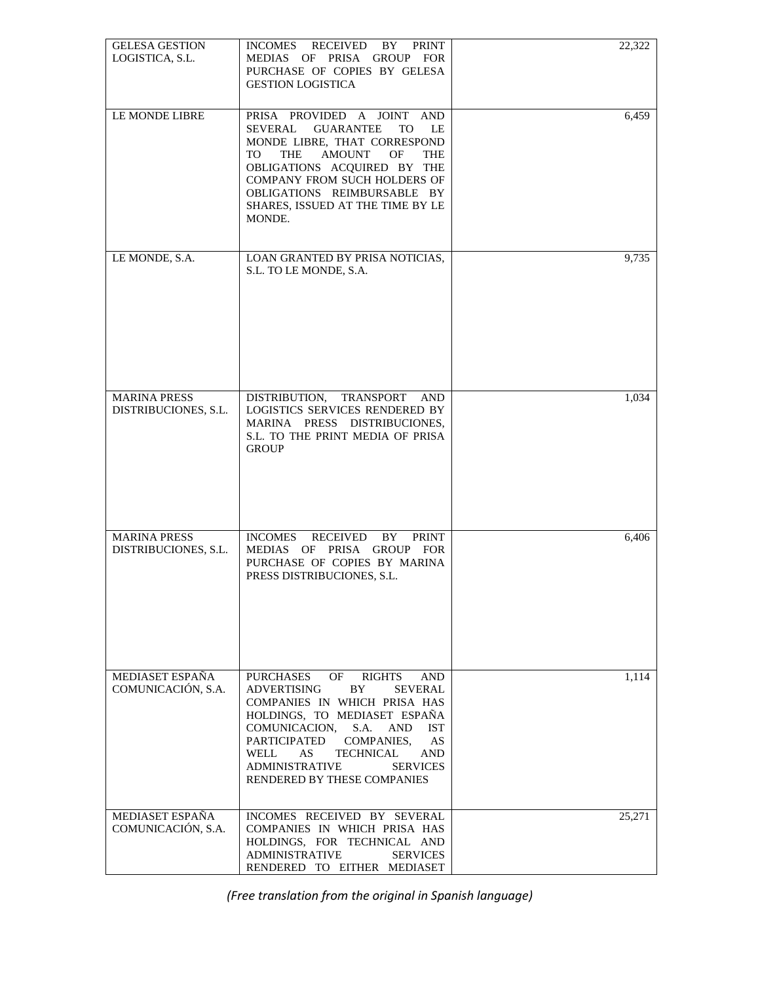| <b>GELESA GESTION</b><br>LOGISTICA, S.L.    | INCOMES<br>RECEIVED<br>BY<br><b>PRINT</b><br>MEDIAS OF PRISA GROUP FOR<br>PURCHASE OF COPIES BY GELESA<br><b>GESTION LOGISTICA</b>                                                                                                                                                                                                                                                       | 22,322 |
|---------------------------------------------|------------------------------------------------------------------------------------------------------------------------------------------------------------------------------------------------------------------------------------------------------------------------------------------------------------------------------------------------------------------------------------------|--------|
| LE MONDE LIBRE                              | PRISA PROVIDED A JOINT AND<br><b>GUARANTEE</b><br>SEVERAL<br>TO.<br>LE.<br>MONDE LIBRE, THAT CORRESPOND<br><b>AMOUNT</b><br>OF<br>TO.<br>THE<br><b>THE</b><br>OBLIGATIONS ACQUIRED BY THE<br><b>COMPANY FROM SUCH HOLDERS OF</b><br>OBLIGATIONS REIMBURSABLE BY<br>SHARES, ISSUED AT THE TIME BY LE<br>MONDE.                                                                            | 6,459  |
| LE MONDE, S.A.                              | LOAN GRANTED BY PRISA NOTICIAS,<br>S.L. TO LE MONDE, S.A.                                                                                                                                                                                                                                                                                                                                | 9,735  |
| <b>MARINA PRESS</b><br>DISTRIBUCIONES, S.L. | DISTRIBUTION.<br>TRANSPORT AND<br>LOGISTICS SERVICES RENDERED BY<br>MARINA PRESS DISTRIBUCIONES,<br>S.L. TO THE PRINT MEDIA OF PRISA<br><b>GROUP</b>                                                                                                                                                                                                                                     | 1,034  |
| <b>MARINA PRESS</b><br>DISTRIBUCIONES, S.L. | <b>RECEIVED</b><br>INCOMES<br>BY<br><b>PRINT</b><br>MEDIAS OF PRISA GROUP FOR<br>PURCHASE OF COPIES BY MARINA<br>PRESS DISTRIBUCIONES, S.L.                                                                                                                                                                                                                                              | 6,406  |
| MEDIASET ESPAÑA<br>COMUNICACIÓN, S.A.       | <b>PURCHASES</b><br><b>RIGHTS</b><br>OF<br><b>AND</b><br><b>ADVERTISING</b><br>BY.<br><b>SEVERAL</b><br>COMPANIES IN WHICH PRISA HAS<br>HOLDINGS, TO MEDIASET ESPAÑA<br>COMUNICACION,<br>S.A.<br>AND<br><b>IST</b><br>PARTICIPATED<br><b>COMPANIES.</b><br>AS<br>WELL<br><b>TECHNICAL</b><br>AS<br><b>AND</b><br><b>ADMINISTRATIVE</b><br><b>SERVICES</b><br>RENDERED BY THESE COMPANIES | 1,114  |
| MEDIASET ESPAÑA<br>COMUNICACIÓN, S.A.       | INCOMES RECEIVED BY SEVERAL<br>COMPANIES IN WHICH PRISA HAS<br>HOLDINGS, FOR TECHNICAL AND<br><b>ADMINISTRATIVE</b><br><b>SERVICES</b><br>RENDERED TO EITHER MEDIASET                                                                                                                                                                                                                    | 25,271 |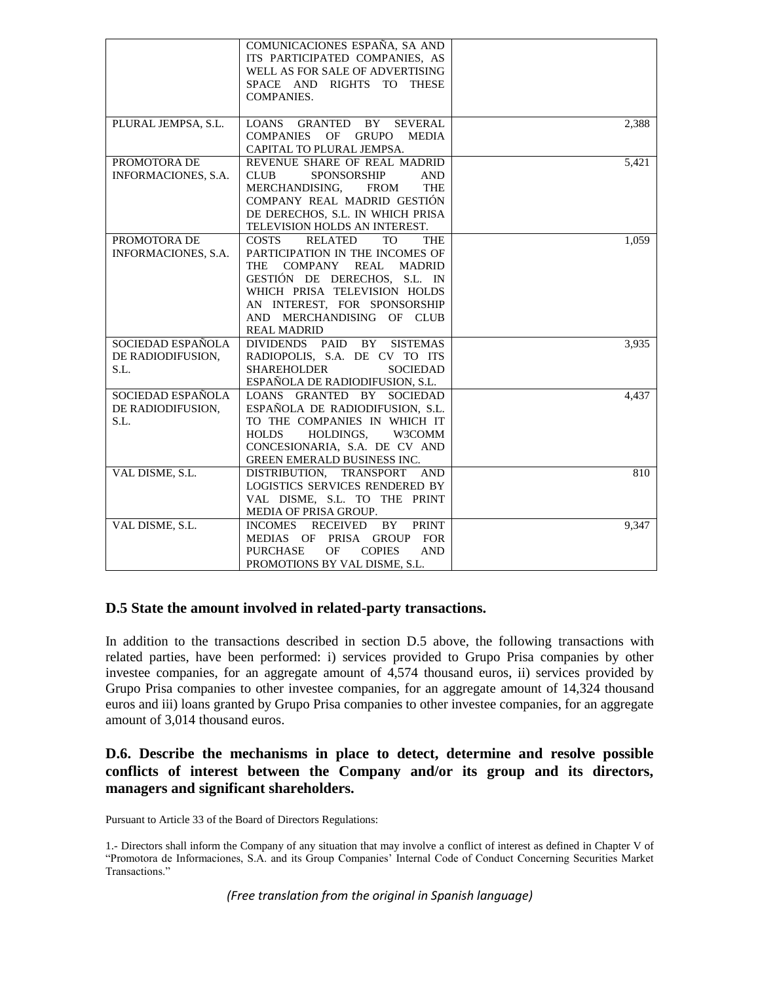|                                                | COMUNICACIONES ESPAÑA, SA AND<br>ITS PARTICIPATED COMPANIES, AS<br>WELL AS FOR SALE OF ADVERTISING<br>SPACE AND RIGHTS TO THESE<br><b>COMPANIES.</b>                                                                                                                                              |       |
|------------------------------------------------|---------------------------------------------------------------------------------------------------------------------------------------------------------------------------------------------------------------------------------------------------------------------------------------------------|-------|
| PLURAL JEMPSA, S.L.                            | LOANS GRANTED BY SEVERAL<br><b>COMPANIES</b><br>OF<br><b>GRUPO</b><br><b>MEDIA</b><br>CAPITAL TO PLURAL JEMPSA.                                                                                                                                                                                   | 2,388 |
| PROMOTORA DE<br>INFORMACIONES, S.A.            | REVENUE SHARE OF REAL MADRID<br><b>CLUB</b><br><b>SPONSORSHIP</b><br>AND<br>MERCHANDISING,<br><b>FROM</b><br><b>THE</b><br>COMPANY REAL MADRID GESTIÓN<br>DE DERECHOS, S.L. IN WHICH PRISA<br>TELEVISION HOLDS AN INTEREST.                                                                       | 5,421 |
| PROMOTORA DE<br>INFORMACIONES, S.A.            | <b>COSTS</b><br><b>RELATED</b><br><b>TO</b><br><b>THE</b><br>PARTICIPATION IN THE INCOMES OF<br>COMPANY<br>REAL<br><b>THE</b><br><b>MADRID</b><br>GESTIÓN DE DERECHOS, S.L. IN<br>WHICH PRISA TELEVISION HOLDS<br>AN INTEREST, FOR SPONSORSHIP<br>AND MERCHANDISING OF CLUB<br><b>REAL MADRID</b> | 1,059 |
| SOCIEDAD ESPAÑOLA<br>DE RADIODIFUSION.<br>S.L. | DIVIDENDS PAID<br>BY<br><b>SISTEMAS</b><br>RADIOPOLIS, S.A. DE CV TO ITS<br><b>SHAREHOLDER</b><br><b>SOCIEDAD</b><br>ESPAÑOLA DE RADIODIFUSION, S.L.                                                                                                                                              | 3,935 |
| SOCIEDAD ESPAÑOLA<br>DE RADIODIFUSION,<br>S.L. | LOANS GRANTED BY SOCIEDAD<br>ESPAÑOLA DE RADIODIFUSION, S.L.<br>TO THE COMPANIES IN WHICH IT<br>HOLDINGS,<br><b>HOLDS</b><br>W3COMM<br>CONCESIONARIA, S.A. DE CV AND<br>GREEN EMERALD BUSINESS INC.                                                                                               | 4,437 |
| VAL DISME, S.L.                                | DISTRIBUTION, TRANSPORT<br>AND<br>LOGISTICS SERVICES RENDERED BY<br>VAL DISME, S.L. TO THE PRINT<br>MEDIA OF PRISA GROUP.                                                                                                                                                                         | 810   |
| VAL DISME, S.L.                                | <b>RECEIVED</b><br><b>INCOMES</b><br>BY.<br><b>PRINT</b><br>PRISA GROUP<br><b>FOR</b><br>MEDIAS OF<br><b>PURCHASE</b><br>OF<br><b>COPIES</b><br><b>AND</b><br>PROMOTIONS BY VAL DISME, S.L.                                                                                                       | 9,347 |

#### **D.5 State the amount involved in related-party transactions.**

In addition to the transactions described in section D.5 above, the following transactions with related parties, have been performed: i) services provided to Grupo Prisa companies by other investee companies, for an aggregate amount of 4,574 thousand euros, ii) services provided by Grupo Prisa companies to other investee companies, for an aggregate amount of 14,324 thousand euros and iii) loans granted by Grupo Prisa companies to other investee companies, for an aggregate amount of 3,014 thousand euros.

#### **D.6. Describe the mechanisms in place to detect, determine and resolve possible conflicts of interest between the Company and/or its group and its directors, managers and significant shareholders.**

Pursuant to Article 33 of the Board of Directors Regulations:

<sup>1.-</sup> Directors shall inform the Company of any situation that may involve a conflict of interest as defined in Chapter V of "Promotora de Informaciones, S.A. and its Group Companies' Internal Code of Conduct Concerning Securities Market Transactions."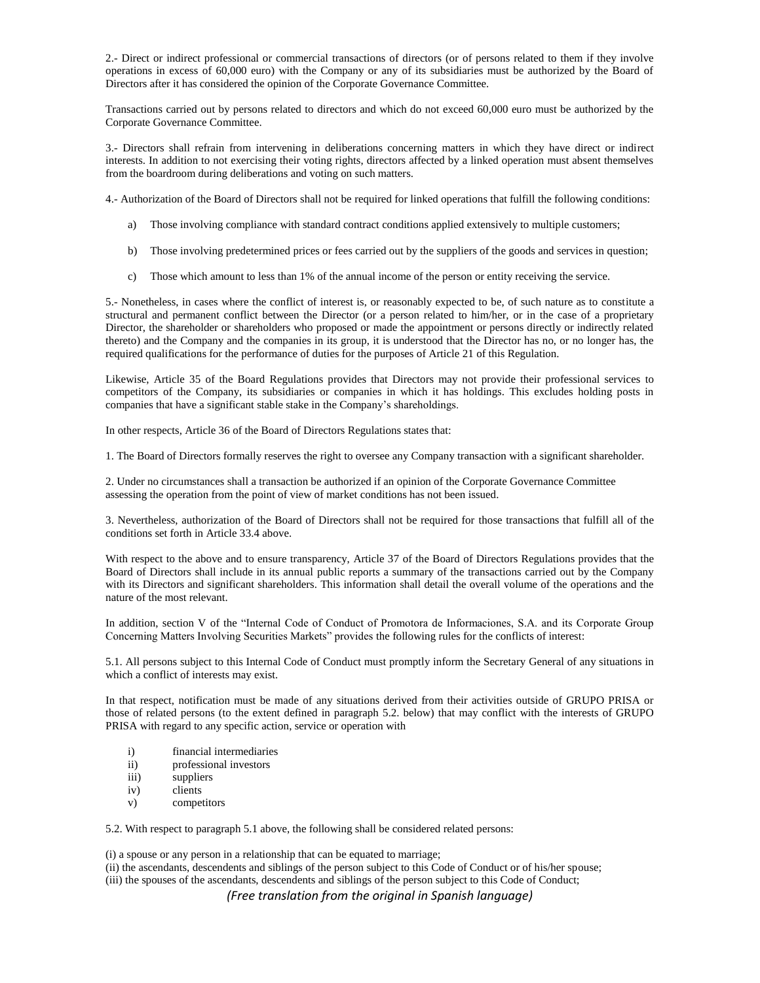2.- Direct or indirect professional or commercial transactions of directors (or of persons related to them if they involve operations in excess of 60,000 euro) with the Company or any of its subsidiaries must be authorized by the Board of Directors after it has considered the opinion of the Corporate Governance Committee.

Transactions carried out by persons related to directors and which do not exceed 60,000 euro must be authorized by the Corporate Governance Committee.

3.- Directors shall refrain from intervening in deliberations concerning matters in which they have direct or indirect interests. In addition to not exercising their voting rights, directors affected by a linked operation must absent themselves from the boardroom during deliberations and voting on such matters.

4.- Authorization of the Board of Directors shall not be required for linked operations that fulfill the following conditions:

- a) Those involving compliance with standard contract conditions applied extensively to multiple customers;
- b) Those involving predetermined prices or fees carried out by the suppliers of the goods and services in question;
- c) Those which amount to less than 1% of the annual income of the person or entity receiving the service.

5.- Nonetheless, in cases where the conflict of interest is, or reasonably expected to be, of such nature as to constitute a structural and permanent conflict between the Director (or a person related to him/her, or in the case of a proprietary Director, the shareholder or shareholders who proposed or made the appointment or persons directly or indirectly related thereto) and the Company and the companies in its group, it is understood that the Director has no, or no longer has, the required qualifications for the performance of duties for the purposes of Article 21 of this Regulation.

Likewise, Article 35 of the Board Regulations provides that Directors may not provide their professional services to competitors of the Company, its subsidiaries or companies in which it has holdings. This excludes holding posts in companies that have a significant stable stake in the Company's shareholdings.

In other respects, Article 36 of the Board of Directors Regulations states that:

1. The Board of Directors formally reserves the right to oversee any Company transaction with a significant shareholder.

2. Under no circumstances shall a transaction be authorized if an opinion of the Corporate Governance Committee assessing the operation from the point of view of market conditions has not been issued.

3. Nevertheless, authorization of the Board of Directors shall not be required for those transactions that fulfill all of the conditions set forth in Article 33.4 above.

With respect to the above and to ensure transparency, Article 37 of the Board of Directors Regulations provides that the Board of Directors shall include in its annual public reports a summary of the transactions carried out by the Company with its Directors and significant shareholders. This information shall detail the overall volume of the operations and the nature of the most relevant.

In addition, section V of the "Internal Code of Conduct of Promotora de Informaciones, S.A. and its Corporate Group Concerning Matters Involving Securities Markets" provides the following rules for the conflicts of interest:

5.1. All persons subject to this Internal Code of Conduct must promptly inform the Secretary General of any situations in which a conflict of interests may exist.

In that respect, notification must be made of any situations derived from their activities outside of GRUPO PRISA or those of related persons (to the extent defined in paragraph 5.2. below) that may conflict with the interests of GRUPO PRISA with regard to any specific action, service or operation with

- i) financial intermediaries
- ii) professional investors
- iii) suppliers
- iv) clients
- v) competitors

5.2. With respect to paragraph 5.1 above, the following shall be considered related persons:

(i) a spouse or any person in a relationship that can be equated to marriage;

(ii) the ascendants, descendents and siblings of the person subject to this Code of Conduct or of his/her spouse; (iii) the spouses of the ascendants, descendents and siblings of the person subject to this Code of Conduct;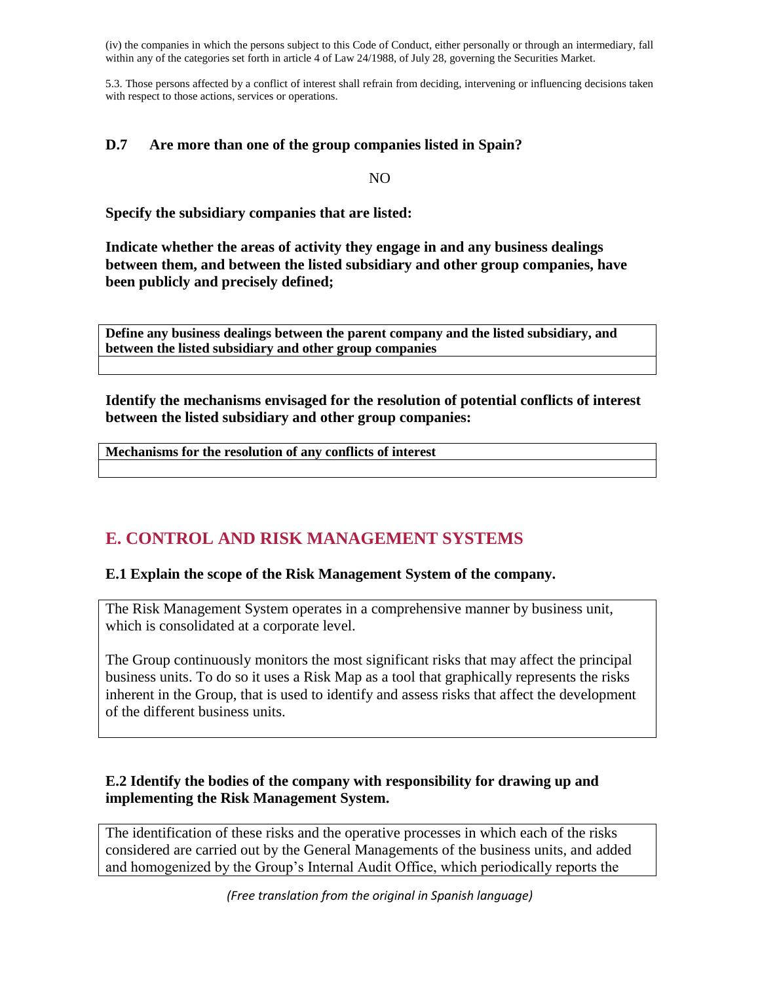(iv) the companies in which the persons subject to this Code of Conduct, either personally or through an intermediary, fall within any of the categories set forth in article 4 of Law 24/1988, of July 28, governing the Securities Market.

5.3. Those persons affected by a conflict of interest shall refrain from deciding, intervening or influencing decisions taken with respect to those actions, services or operations.

#### **D.7 Are more than one of the group companies listed in Spain?**

NO

**Specify the subsidiary companies that are listed:**

**Indicate whether the areas of activity they engage in and any business dealings between them, and between the listed subsidiary and other group companies, have been publicly and precisely defined;**

**Define any business dealings between the parent company and the listed subsidiary, and between the listed subsidiary and other group companies**

**Identify the mechanisms envisaged for the resolution of potential conflicts of interest between the listed subsidiary and other group companies:** 

**Mechanisms for the resolution of any conflicts of interest**

# **E. CONTROL AND RISK MANAGEMENT SYSTEMS**

#### **E.1 Explain the scope of the Risk Management System of the company.**

The Risk Management System operates in a comprehensive manner by business unit, which is consolidated at a corporate level.

The Group continuously monitors the most significant risks that may affect the principal business units. To do so it uses a Risk Map as a tool that graphically represents the risks inherent in the Group, that is used to identify and assess risks that affect the development of the different business units.

# **E.2 Identify the bodies of the company with responsibility for drawing up and implementing the Risk Management System.**

The identification of these risks and the operative processes in which each of the risks considered are carried out by the General Managements of the business units, and added and homogenized by the Group's Internal Audit Office, which periodically reports the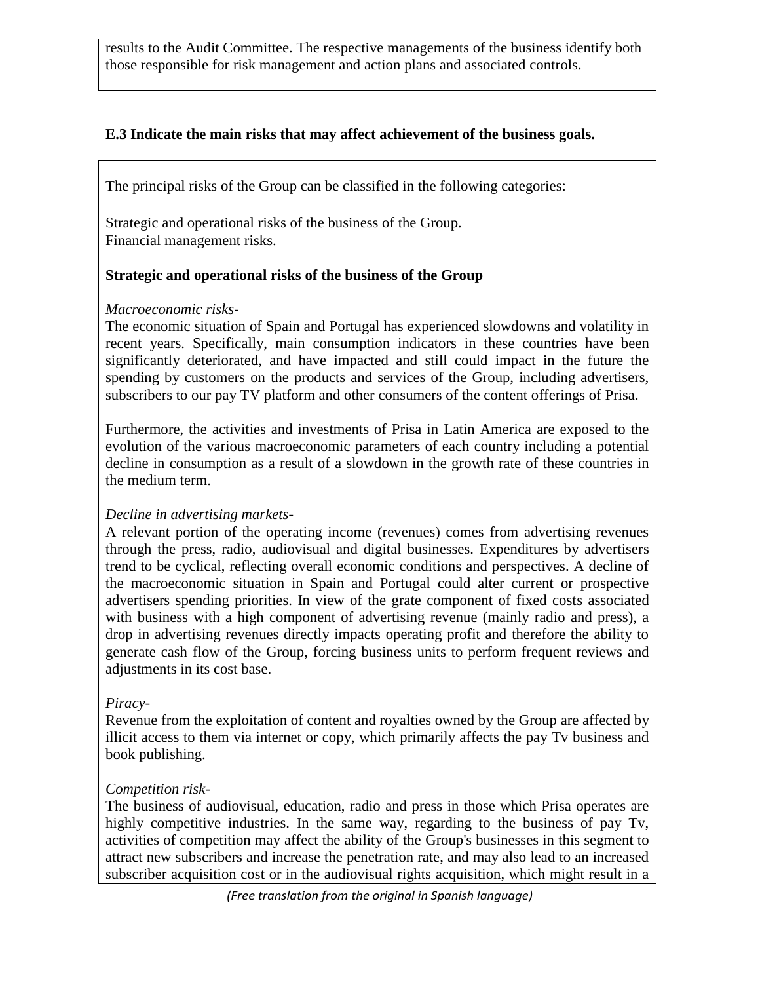results to the Audit Committee. The respective managements of the business identify both those responsible for risk management and action plans and associated controls.

# **E.3 Indicate the main risks that may affect achievement of the business goals.**

The principal risks of the Group can be classified in the following categories:

 Strategic and operational risks of the business of the Group. Financial management risks.

# **Strategic and operational risks of the business of the Group**

## *Macroeconomic risks-*

The economic situation of Spain and Portugal has experienced slowdowns and volatility in recent years. Specifically, main consumption indicators in these countries have been significantly deteriorated, and have impacted and still could impact in the future the spending by customers on the products and services of the Group, including advertisers, subscribers to our pay TV platform and other consumers of the content offerings of Prisa.

Furthermore, the activities and investments of Prisa in Latin America are exposed to the evolution of the various macroeconomic parameters of each country including a potential decline in consumption as a result of a slowdown in the growth rate of these countries in the medium term.

# *Decline in advertising markets-*

A relevant portion of the operating income (revenues) comes from advertising revenues through the press, radio, audiovisual and digital businesses. Expenditures by advertisers trend to be cyclical, reflecting overall economic conditions and perspectives. A decline of the macroeconomic situation in Spain and Portugal could alter current or prospective advertisers spending priorities. In view of the grate component of fixed costs associated with business with a high component of advertising revenue (mainly radio and press), a drop in advertising revenues directly impacts operating profit and therefore the ability to generate cash flow of the Group, forcing business units to perform frequent reviews and adjustments in its cost base.

#### *Piracy-*

Revenue from the exploitation of content and royalties owned by the Group are affected by illicit access to them via internet or copy, which primarily affects the pay Tv business and book publishing.

# *Competition risk-*

The business of audiovisual, education, radio and press in those which Prisa operates are highly competitive industries. In the same way, regarding to the business of pay Tv, activities of competition may affect the ability of the Group's businesses in this segment to attract new subscribers and increase the penetration rate, and may also lead to an increased subscriber acquisition cost or in the audiovisual rights acquisition, which might result in a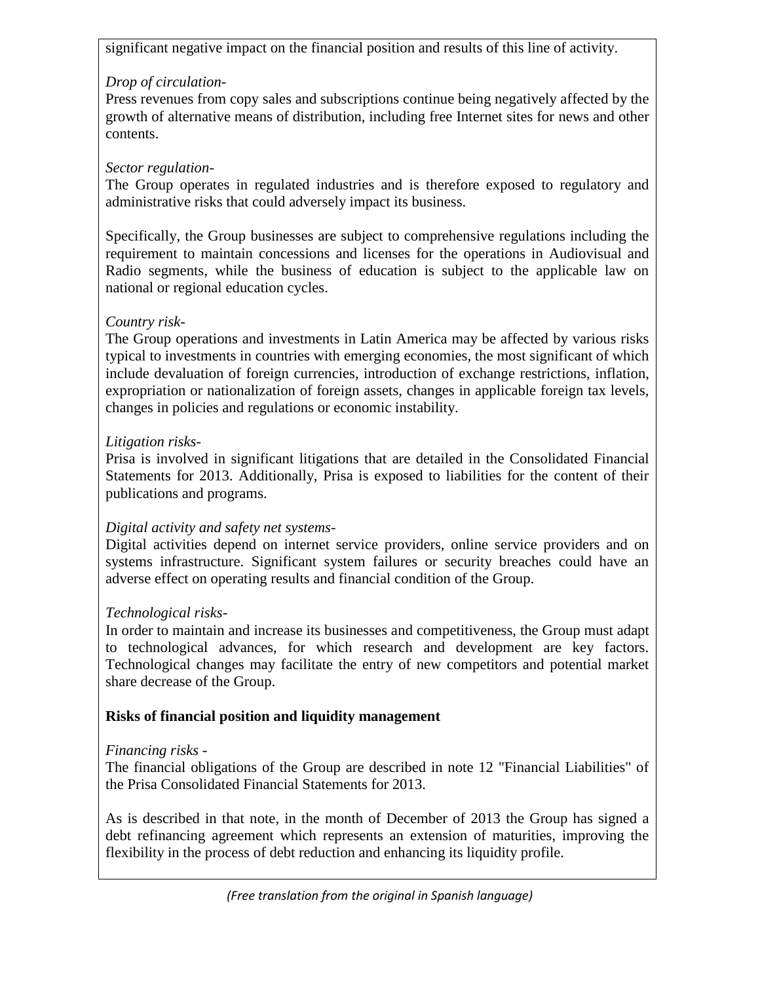significant negative impact on the financial position and results of this line of activity.

# *Drop of circulation-*

Press revenues from copy sales and subscriptions continue being negatively affected by the growth of alternative means of distribution, including free Internet sites for news and other contents.

# *Sector regulation-*

The Group operates in regulated industries and is therefore exposed to regulatory and administrative risks that could adversely impact its business.

Specifically, the Group businesses are subject to comprehensive regulations including the requirement to maintain concessions and licenses for the operations in Audiovisual and Radio segments, while the business of education is subject to the applicable law on national or regional education cycles.

# *Country risk-*

The Group operations and investments in Latin America may be affected by various risks typical to investments in countries with emerging economies, the most significant of which include devaluation of foreign currencies, introduction of exchange restrictions, inflation, expropriation or nationalization of foreign assets, changes in applicable foreign tax levels, changes in policies and regulations or economic instability.

# *Litigation risks-*

Prisa is involved in significant litigations that are detailed in the Consolidated Financial Statements for 2013. Additionally, Prisa is exposed to liabilities for the content of their publications and programs.

# *Digital activity and safety net systems-*

Digital activities depend on internet service providers, online service providers and on systems infrastructure. Significant system failures or security breaches could have an adverse effect on operating results and financial condition of the Group.

# *Technological risks-*

In order to maintain and increase its businesses and competitiveness, the Group must adapt to technological advances, for which research and development are key factors. Technological changes may facilitate the entry of new competitors and potential market share decrease of the Group.

# **Risks of financial position and liquidity management**

# *Financing risks -*

The financial obligations of the Group are described in note 12 "Financial Liabilities" of the Prisa Consolidated Financial Statements for 2013.

As is described in that note, in the month of December of 2013 the Group has signed a debt refinancing agreement which represents an extension of maturities, improving the flexibility in the process of debt reduction and enhancing its liquidity profile.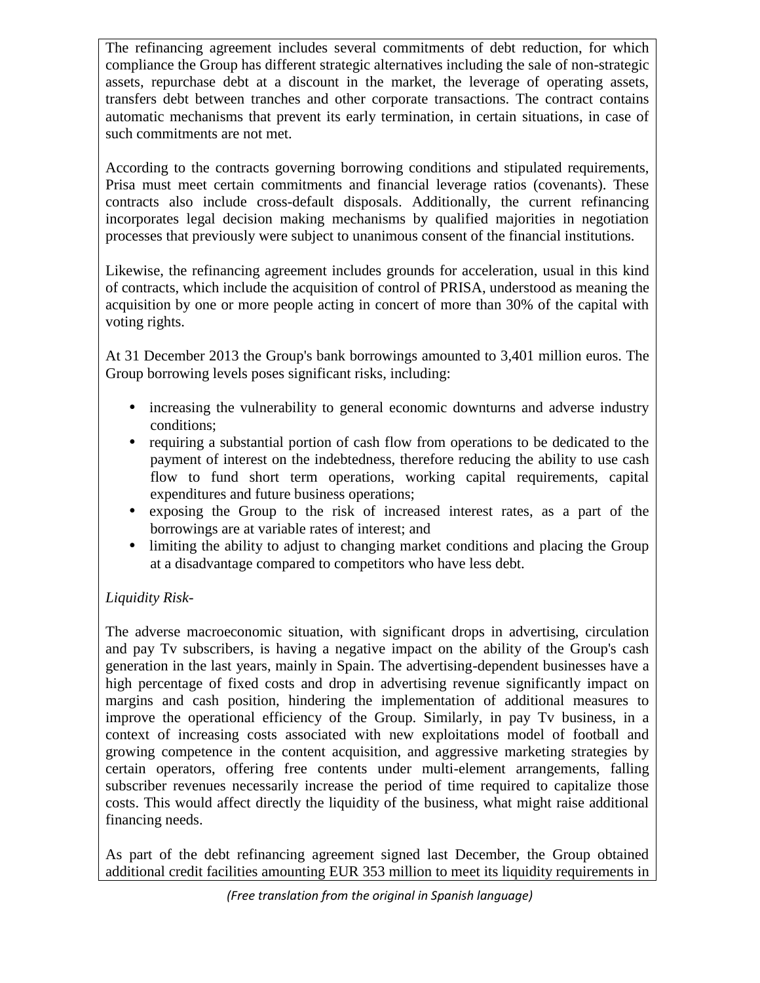The refinancing agreement includes several commitments of debt reduction, for which compliance the Group has different strategic alternatives including the sale of non-strategic assets, repurchase debt at a discount in the market, the leverage of operating assets, transfers debt between tranches and other corporate transactions. The contract contains automatic mechanisms that prevent its early termination, in certain situations, in case of such commitments are not met.

According to the contracts governing borrowing conditions and stipulated requirements, Prisa must meet certain commitments and financial leverage ratios (covenants). These contracts also include cross-default disposals. Additionally, the current refinancing incorporates legal decision making mechanisms by qualified majorities in negotiation processes that previously were subject to unanimous consent of the financial institutions.

Likewise, the refinancing agreement includes grounds for acceleration, usual in this kind of contracts, which include the acquisition of control of PRISA, understood as meaning the acquisition by one or more people acting in concert of more than 30% of the capital with voting rights.

At 31 December 2013 the Group's bank borrowings amounted to 3,401 million euros. The Group borrowing levels poses significant risks, including:

- increasing the vulnerability to general economic downturns and adverse industry conditions;
- requiring a substantial portion of cash flow from operations to be dedicated to the payment of interest on the indebtedness, therefore reducing the ability to use cash flow to fund short term operations, working capital requirements, capital expenditures and future business operations;
- exposing the Group to the risk of increased interest rates, as a part of the borrowings are at variable rates of interest; and
- limiting the ability to adjust to changing market conditions and placing the Group at a disadvantage compared to competitors who have less debt.

# *Liquidity Risk-*

The adverse macroeconomic situation, with significant drops in advertising, circulation and pay Tv subscribers, is having a negative impact on the ability of the Group's cash generation in the last years, mainly in Spain. The advertising-dependent businesses have a high percentage of fixed costs and drop in advertising revenue significantly impact on margins and cash position, hindering the implementation of additional measures to improve the operational efficiency of the Group. Similarly, in pay Tv business, in a context of increasing costs associated with new exploitations model of football and growing competence in the content acquisition, and aggressive marketing strategies by certain operators, offering free contents under multi-element arrangements, falling subscriber revenues necessarily increase the period of time required to capitalize those costs. This would affect directly the liquidity of the business, what might raise additional financing needs.

As part of the debt refinancing agreement signed last December, the Group obtained additional credit facilities amounting EUR 353 million to meet its liquidity requirements in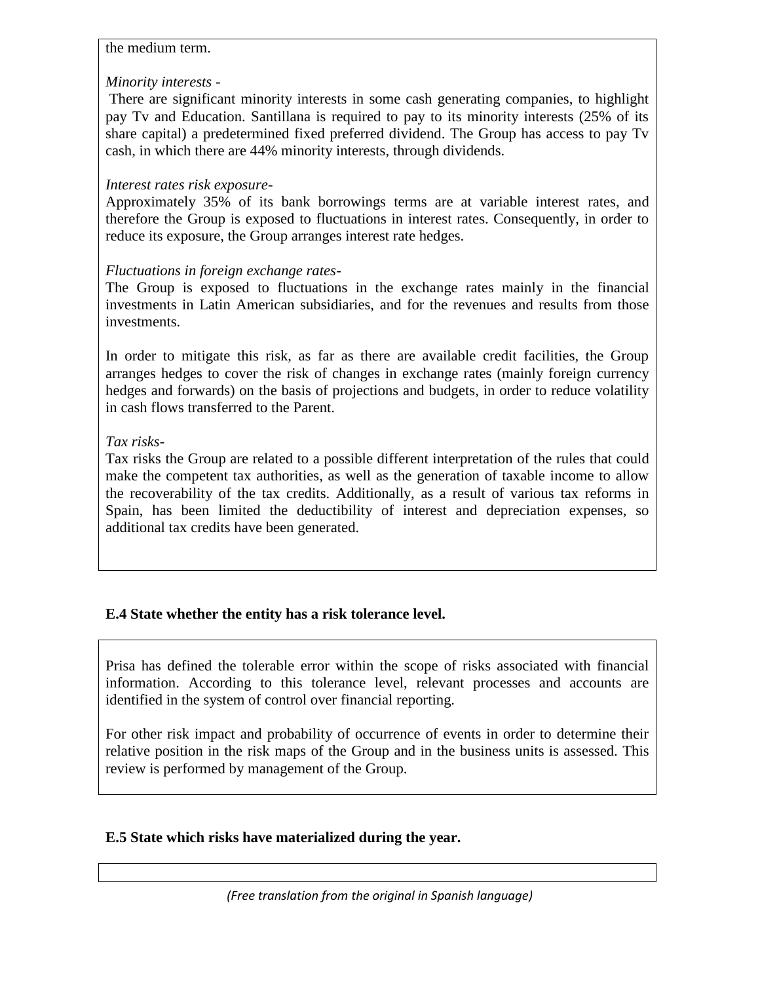## the medium term.

## *Minority interests -*

There are significant minority interests in some cash generating companies, to highlight pay Tv and Education. Santillana is required to pay to its minority interests (25% of its share capital) a predetermined fixed preferred dividend. The Group has access to pay Tv cash, in which there are 44% minority interests, through dividends.

## *Interest rates risk exposure-*

Approximately 35% of its bank borrowings terms are at variable interest rates, and therefore the Group is exposed to fluctuations in interest rates. Consequently, in order to reduce its exposure, the Group arranges interest rate hedges.

## *Fluctuations in foreign exchange rates-*

The Group is exposed to fluctuations in the exchange rates mainly in the financial investments in Latin American subsidiaries, and for the revenues and results from those investments.

In order to mitigate this risk, as far as there are available credit facilities, the Group arranges hedges to cover the risk of changes in exchange rates (mainly foreign currency hedges and forwards) on the basis of projections and budgets, in order to reduce volatility in cash flows transferred to the Parent.

# *Tax risks-*

Tax risks the Group are related to a possible different interpretation of the rules that could make the competent tax authorities, as well as the generation of taxable income to allow the recoverability of the tax credits. Additionally, as a result of various tax reforms in Spain, has been limited the deductibility of interest and depreciation expenses, so additional tax credits have been generated.

# **E.4 State whether the entity has a risk tolerance level.**

Prisa has defined the tolerable error within the scope of risks associated with financial information. According to this tolerance level, relevant processes and accounts are identified in the system of control over financial reporting.

For other risk impact and probability of occurrence of events in order to determine their relative position in the risk maps of the Group and in the business units is assessed. This review is performed by management of the Group.

# **E.5 State which risks have materialized during the year.**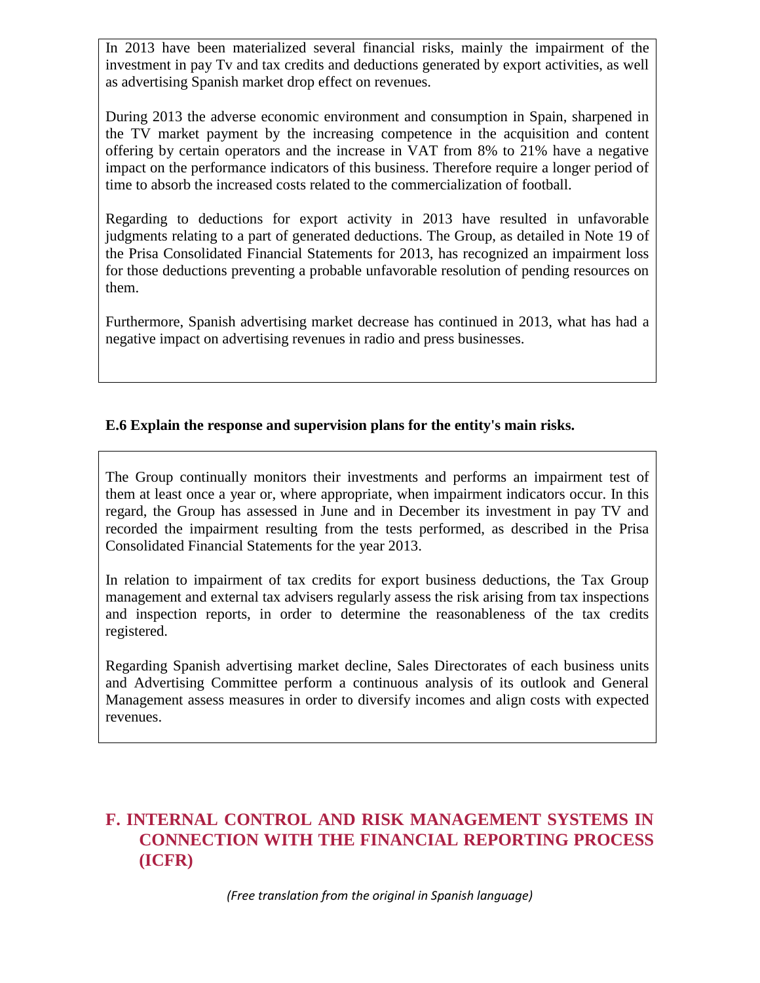In 2013 have been materialized several financial risks, mainly the impairment of the investment in pay Tv and tax credits and deductions generated by export activities, as well as advertising Spanish market drop effect on revenues.

During 2013 the adverse economic environment and consumption in Spain, sharpened in the TV market payment by the increasing competence in the acquisition and content offering by certain operators and the increase in VAT from 8% to 21% have a negative impact on the performance indicators of this business. Therefore require a longer period of time to absorb the increased costs related to the commercialization of football.

Regarding to deductions for export activity in 2013 have resulted in unfavorable judgments relating to a part of generated deductions. The Group, as detailed in Note 19 of the Prisa Consolidated Financial Statements for 2013, has recognized an impairment loss for those deductions preventing a probable unfavorable resolution of pending resources on them.

Furthermore, Spanish advertising market decrease has continued in 2013, what has had a negative impact on advertising revenues in radio and press businesses.

# **E.6 Explain the response and supervision plans for the entity's main risks.**

The Group continually monitors their investments and performs an impairment test of them at least once a year or, where appropriate, when impairment indicators occur. In this regard, the Group has assessed in June and in December its investment in pay TV and recorded the impairment resulting from the tests performed, as described in the Prisa Consolidated Financial Statements for the year 2013.

In relation to impairment of tax credits for export business deductions, the Tax Group management and external tax advisers regularly assess the risk arising from tax inspections and inspection reports, in order to determine the reasonableness of the tax credits registered.

Regarding Spanish advertising market decline, Sales Directorates of each business units and Advertising Committee perform a continuous analysis of its outlook and General Management assess measures in order to diversify incomes and align costs with expected revenues.

# **F. INTERNAL CONTROL AND RISK MANAGEMENT SYSTEMS IN CONNECTION WITH THE FINANCIAL REPORTING PROCESS (ICFR)**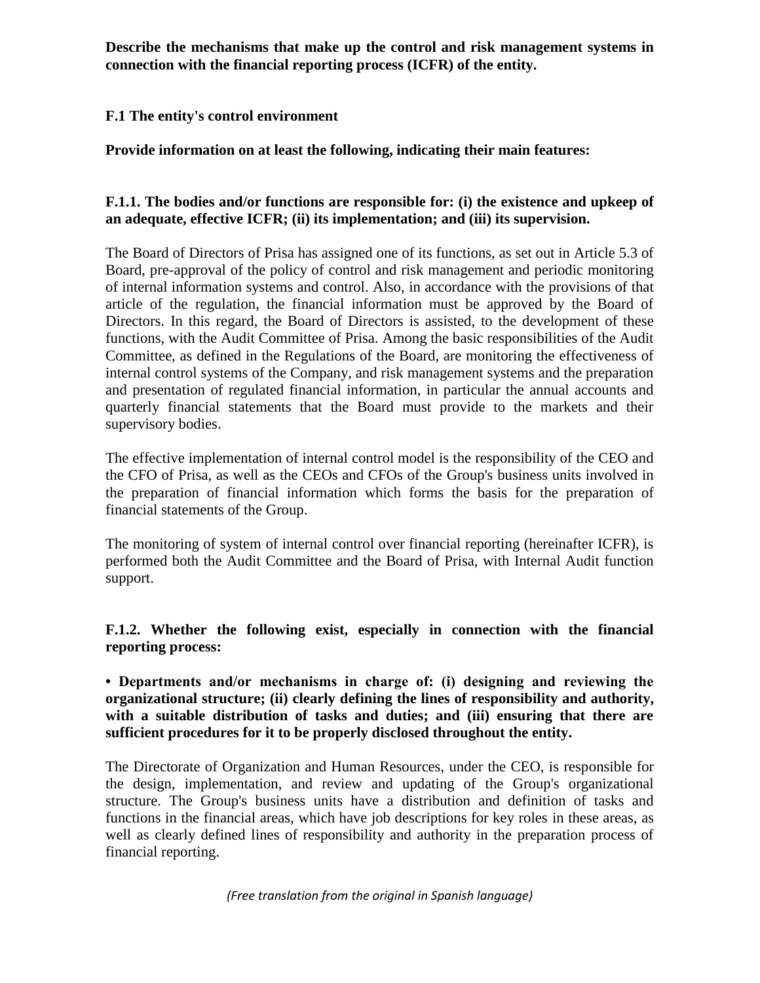**Describe the mechanisms that make up the control and risk management systems in connection with the financial reporting process (ICFR) of the entity.** 

## **F.1 The entity's control environment**

**Provide information on at least the following, indicating their main features:** 

## **F.1.1. The bodies and/or functions are responsible for: (i) the existence and upkeep of an adequate, effective ICFR; (ii) its implementation; and (iii) its supervision.**

The Board of Directors of Prisa has assigned one of its functions, as set out in Article 5.3 of Board, pre-approval of the policy of control and risk management and periodic monitoring of internal information systems and control. Also, in accordance with the provisions of that article of the regulation, the financial information must be approved by the Board of Directors. In this regard, the Board of Directors is assisted, to the development of these functions, with the Audit Committee of Prisa. Among the basic responsibilities of the Audit Committee, as defined in the Regulations of the Board, are monitoring the effectiveness of internal control systems of the Company, and risk management systems and the preparation and presentation of regulated financial information, in particular the annual accounts and quarterly financial statements that the Board must provide to the markets and their supervisory bodies.

The effective implementation of internal control model is the responsibility of the CEO and the CFO of Prisa, as well as the CEOs and CFOs of the Group's business units involved in the preparation of financial information which forms the basis for the preparation of financial statements of the Group.

The monitoring of system of internal control over financial reporting (hereinafter ICFR), is performed both the Audit Committee and the Board of Prisa, with Internal Audit function support.

**F.1.2. Whether the following exist, especially in connection with the financial reporting process:** 

**• Departments and/or mechanisms in charge of: (i) designing and reviewing the organizational structure; (ii) clearly defining the lines of responsibility and authority, with a suitable distribution of tasks and duties; and (iii) ensuring that there are sufficient procedures for it to be properly disclosed throughout the entity.**

The Directorate of Organization and Human Resources, under the CEO, is responsible for the design, implementation, and review and updating of the Group's organizational structure. The Group's business units have a distribution and definition of tasks and functions in the financial areas, which have job descriptions for key roles in these areas, as well as clearly defined lines of responsibility and authority in the preparation process of financial reporting.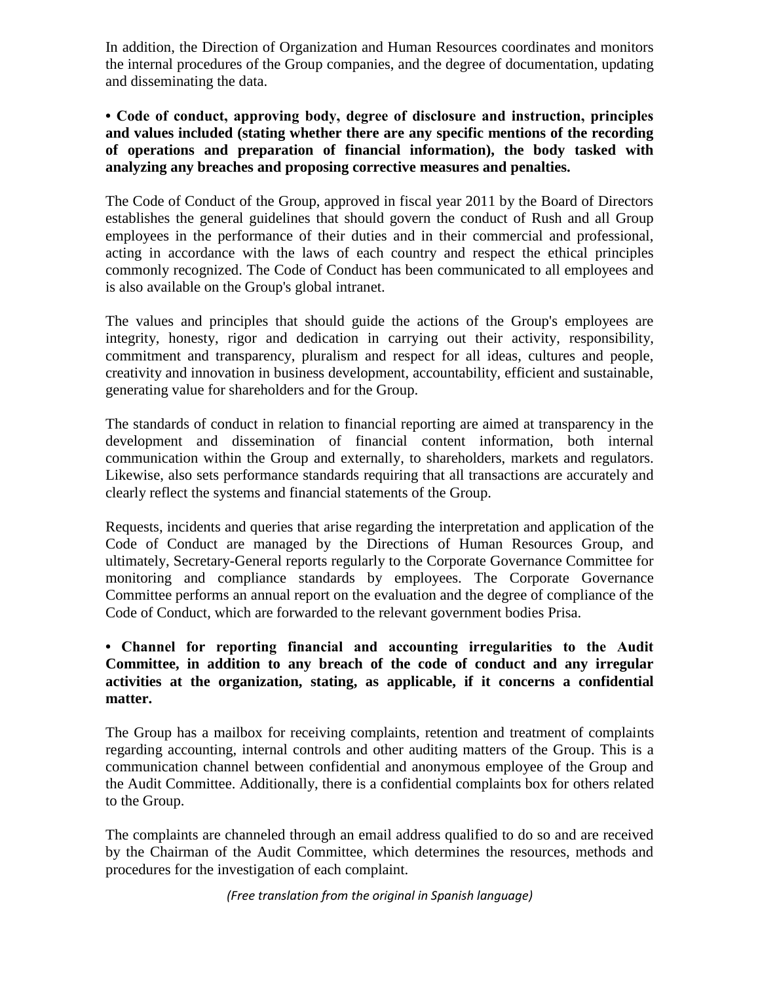In addition, the Direction of Organization and Human Resources coordinates and monitors the internal procedures of the Group companies, and the degree of documentation, updating and disseminating the data.

**• Code of conduct, approving body, degree of disclosure and instruction, principles and values included (stating whether there are any specific mentions of the recording of operations and preparation of financial information), the body tasked with analyzing any breaches and proposing corrective measures and penalties.**

The Code of Conduct of the Group, approved in fiscal year 2011 by the Board of Directors establishes the general guidelines that should govern the conduct of Rush and all Group employees in the performance of their duties and in their commercial and professional, acting in accordance with the laws of each country and respect the ethical principles commonly recognized. The Code of Conduct has been communicated to all employees and is also available on the Group's global intranet.

The values and principles that should guide the actions of the Group's employees are integrity, honesty, rigor and dedication in carrying out their activity, responsibility, commitment and transparency, pluralism and respect for all ideas, cultures and people, creativity and innovation in business development, accountability, efficient and sustainable, generating value for shareholders and for the Group.

The standards of conduct in relation to financial reporting are aimed at transparency in the development and dissemination of financial content information, both internal communication within the Group and externally, to shareholders, markets and regulators. Likewise, also sets performance standards requiring that all transactions are accurately and clearly reflect the systems and financial statements of the Group.

Requests, incidents and queries that arise regarding the interpretation and application of the Code of Conduct are managed by the Directions of Human Resources Group, and ultimately, Secretary-General reports regularly to the Corporate Governance Committee for monitoring and compliance standards by employees. The Corporate Governance Committee performs an annual report on the evaluation and the degree of compliance of the Code of Conduct, which are forwarded to the relevant government bodies Prisa.

## **• Channel for reporting financial and accounting irregularities to the Audit Committee, in addition to any breach of the code of conduct and any irregular activities at the organization, stating, as applicable, if it concerns a confidential matter.**

The Group has a mailbox for receiving complaints, retention and treatment of complaints regarding accounting, internal controls and other auditing matters of the Group. This is a communication channel between confidential and anonymous employee of the Group and the Audit Committee. Additionally, there is a confidential complaints box for others related to the Group.

The complaints are channeled through an email address qualified to do so and are received by the Chairman of the Audit Committee, which determines the resources, methods and procedures for the investigation of each complaint.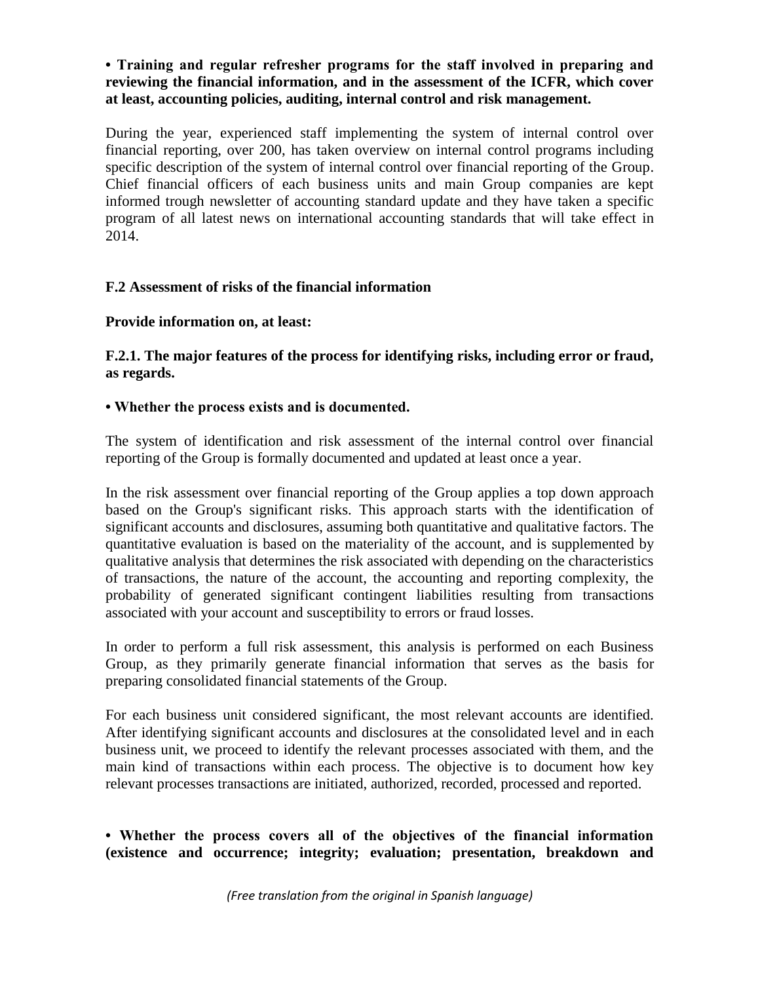# **• Training and regular refresher programs for the staff involved in preparing and reviewing the financial information, and in the assessment of the ICFR, which cover at least, accounting policies, auditing, internal control and risk management.**

During the year, experienced staff implementing the system of internal control over financial reporting, over 200, has taken overview on internal control programs including specific description of the system of internal control over financial reporting of the Group. Chief financial officers of each business units and main Group companies are kept informed trough newsletter of accounting standard update and they have taken a specific program of all latest news on international accounting standards that will take effect in 2014.

# **F.2 Assessment of risks of the financial information**

#### **Provide information on, at least:**

**F.2.1. The major features of the process for identifying risks, including error or fraud, as regards.** 

#### **• Whether the process exists and is documented.**

The system of identification and risk assessment of the internal control over financial reporting of the Group is formally documented and updated at least once a year.

In the risk assessment over financial reporting of the Group applies a top down approach based on the Group's significant risks. This approach starts with the identification of significant accounts and disclosures, assuming both quantitative and qualitative factors. The quantitative evaluation is based on the materiality of the account, and is supplemented by qualitative analysis that determines the risk associated with depending on the characteristics of transactions, the nature of the account, the accounting and reporting complexity, the probability of generated significant contingent liabilities resulting from transactions associated with your account and susceptibility to errors or fraud losses.

In order to perform a full risk assessment, this analysis is performed on each Business Group, as they primarily generate financial information that serves as the basis for preparing consolidated financial statements of the Group.

For each business unit considered significant, the most relevant accounts are identified. After identifying significant accounts and disclosures at the consolidated level and in each business unit, we proceed to identify the relevant processes associated with them, and the main kind of transactions within each process. The objective is to document how key relevant processes transactions are initiated, authorized, recorded, processed and reported.

## **• Whether the process covers all of the objectives of the financial information (existence and occurrence; integrity; evaluation; presentation, breakdown and**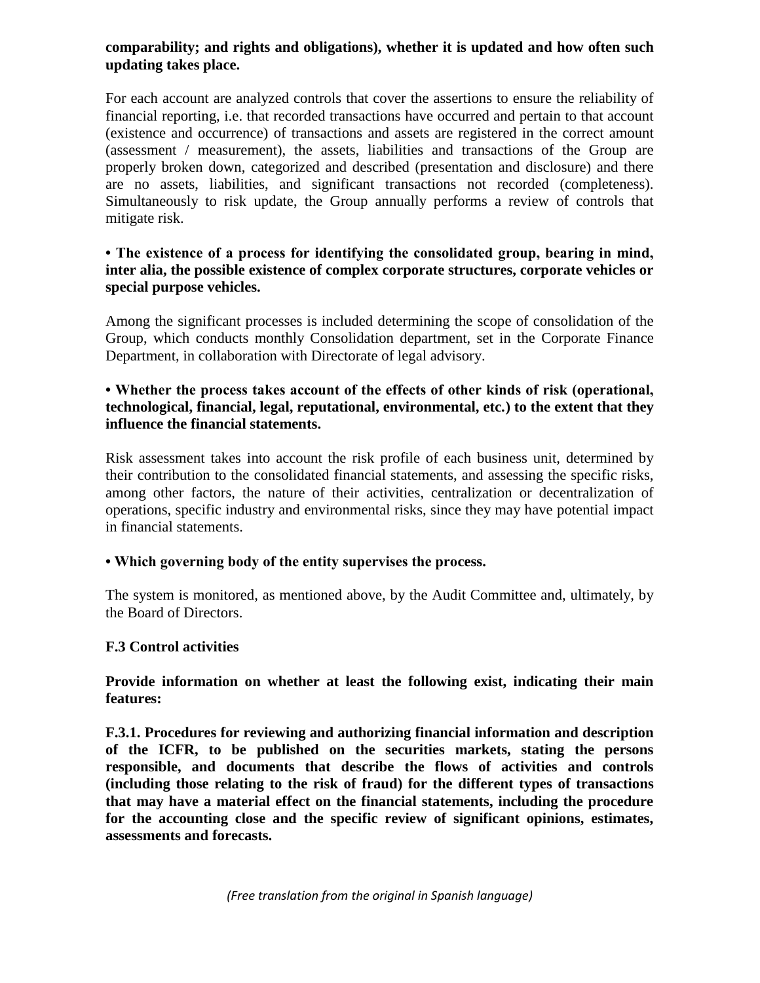# **comparability; and rights and obligations), whether it is updated and how often such updating takes place.**

For each account are analyzed controls that cover the assertions to ensure the reliability of financial reporting, i.e. that recorded transactions have occurred and pertain to that account (existence and occurrence) of transactions and assets are registered in the correct amount (assessment / measurement), the assets, liabilities and transactions of the Group are properly broken down, categorized and described (presentation and disclosure) and there are no assets, liabilities, and significant transactions not recorded (completeness). Simultaneously to risk update, the Group annually performs a review of controls that mitigate risk.

## **• The existence of a process for identifying the consolidated group, bearing in mind, inter alia, the possible existence of complex corporate structures, corporate vehicles or special purpose vehicles.**

Among the significant processes is included determining the scope of consolidation of the Group, which conducts monthly Consolidation department, set in the Corporate Finance Department, in collaboration with Directorate of legal advisory.

# **• Whether the process takes account of the effects of other kinds of risk (operational, technological, financial, legal, reputational, environmental, etc.) to the extent that they influence the financial statements.**

Risk assessment takes into account the risk profile of each business unit, determined by their contribution to the consolidated financial statements, and assessing the specific risks, among other factors, the nature of their activities, centralization or decentralization of operations, specific industry and environmental risks, since they may have potential impact in financial statements.

# **• Which governing body of the entity supervises the process.**

The system is monitored, as mentioned above, by the Audit Committee and, ultimately, by the Board of Directors.

# **F.3 Control activities**

**Provide information on whether at least the following exist, indicating their main features:** 

**F.3.1. Procedures for reviewing and authorizing financial information and description of the ICFR, to be published on the securities markets, stating the persons responsible, and documents that describe the flows of activities and controls (including those relating to the risk of fraud) for the different types of transactions that may have a material effect on the financial statements, including the procedure for the accounting close and the specific review of significant opinions, estimates, assessments and forecasts.**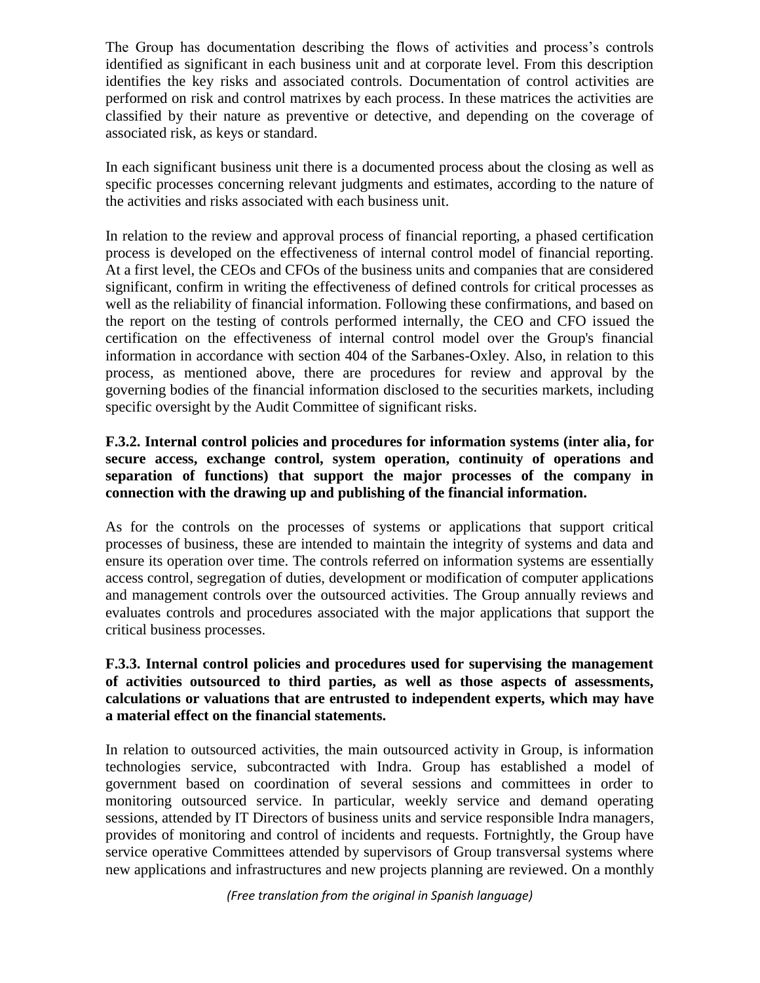The Group has documentation describing the flows of activities and process's controls identified as significant in each business unit and at corporate level. From this description identifies the key risks and associated controls. Documentation of control activities are performed on risk and control matrixes by each process. In these matrices the activities are classified by their nature as preventive or detective, and depending on the coverage of associated risk, as keys or standard.

In each significant business unit there is a documented process about the closing as well as specific processes concerning relevant judgments and estimates, according to the nature of the activities and risks associated with each business unit.

In relation to the review and approval process of financial reporting, a phased certification process is developed on the effectiveness of internal control model of financial reporting. At a first level, the CEOs and CFOs of the business units and companies that are considered significant, confirm in writing the effectiveness of defined controls for critical processes as well as the reliability of financial information. Following these confirmations, and based on the report on the testing of controls performed internally, the CEO and CFO issued the certification on the effectiveness of internal control model over the Group's financial information in accordance with section 404 of the Sarbanes-Oxley. Also, in relation to this process, as mentioned above, there are procedures for review and approval by the governing bodies of the financial information disclosed to the securities markets, including specific oversight by the Audit Committee of significant risks.

# **F.3.2. Internal control policies and procedures for information systems (inter alia, for secure access, exchange control, system operation, continuity of operations and separation of functions) that support the major processes of the company in connection with the drawing up and publishing of the financial information.**

As for the controls on the processes of systems or applications that support critical processes of business, these are intended to maintain the integrity of systems and data and ensure its operation over time. The controls referred on information systems are essentially access control, segregation of duties, development or modification of computer applications and management controls over the outsourced activities. The Group annually reviews and evaluates controls and procedures associated with the major applications that support the critical business processes.

# **F.3.3. Internal control policies and procedures used for supervising the management of activities outsourced to third parties, as well as those aspects of assessments, calculations or valuations that are entrusted to independent experts, which may have a material effect on the financial statements.**

In relation to outsourced activities, the main outsourced activity in Group, is information technologies service, subcontracted with Indra. Group has established a model of government based on coordination of several sessions and committees in order to monitoring outsourced service. In particular, weekly service and demand operating sessions, attended by IT Directors of business units and service responsible Indra managers, provides of monitoring and control of incidents and requests. Fortnightly, the Group have service operative Committees attended by supervisors of Group transversal systems where new applications and infrastructures and new projects planning are reviewed. On a monthly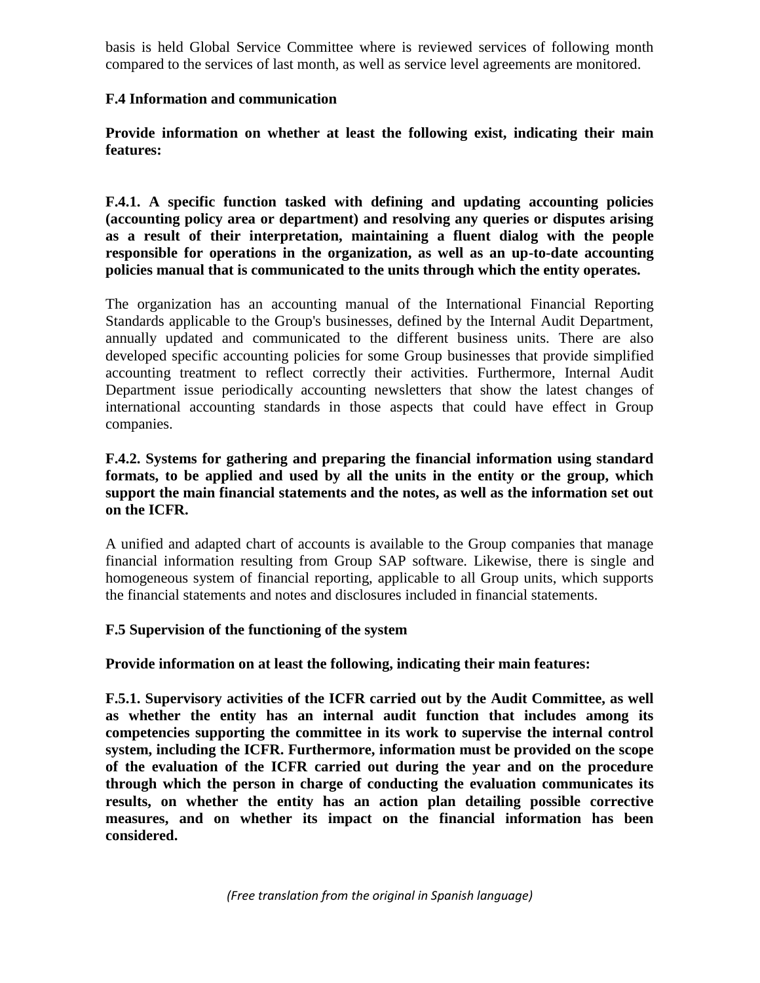basis is held Global Service Committee where is reviewed services of following month compared to the services of last month, as well as service level agreements are monitored.

## **F.4 Information and communication**

**Provide information on whether at least the following exist, indicating their main features:** 

**F.4.1. A specific function tasked with defining and updating accounting policies (accounting policy area or department) and resolving any queries or disputes arising as a result of their interpretation, maintaining a fluent dialog with the people responsible for operations in the organization, as well as an up-to-date accounting policies manual that is communicated to the units through which the entity operates.** 

The organization has an accounting manual of the International Financial Reporting Standards applicable to the Group's businesses, defined by the Internal Audit Department, annually updated and communicated to the different business units. There are also developed specific accounting policies for some Group businesses that provide simplified accounting treatment to reflect correctly their activities. Furthermore, Internal Audit Department issue periodically accounting newsletters that show the latest changes of international accounting standards in those aspects that could have effect in Group companies.

**F.4.2. Systems for gathering and preparing the financial information using standard formats, to be applied and used by all the units in the entity or the group, which support the main financial statements and the notes, as well as the information set out on the ICFR.**

A unified and adapted chart of accounts is available to the Group companies that manage financial information resulting from Group SAP software. Likewise, there is single and homogeneous system of financial reporting, applicable to all Group units, which supports the financial statements and notes and disclosures included in financial statements.

# **F.5 Supervision of the functioning of the system**

**Provide information on at least the following, indicating their main features:** 

**F.5.1. Supervisory activities of the ICFR carried out by the Audit Committee, as well as whether the entity has an internal audit function that includes among its competencies supporting the committee in its work to supervise the internal control system, including the ICFR. Furthermore, information must be provided on the scope of the evaluation of the ICFR carried out during the year and on the procedure through which the person in charge of conducting the evaluation communicates its results, on whether the entity has an action plan detailing possible corrective measures, and on whether its impact on the financial information has been considered.**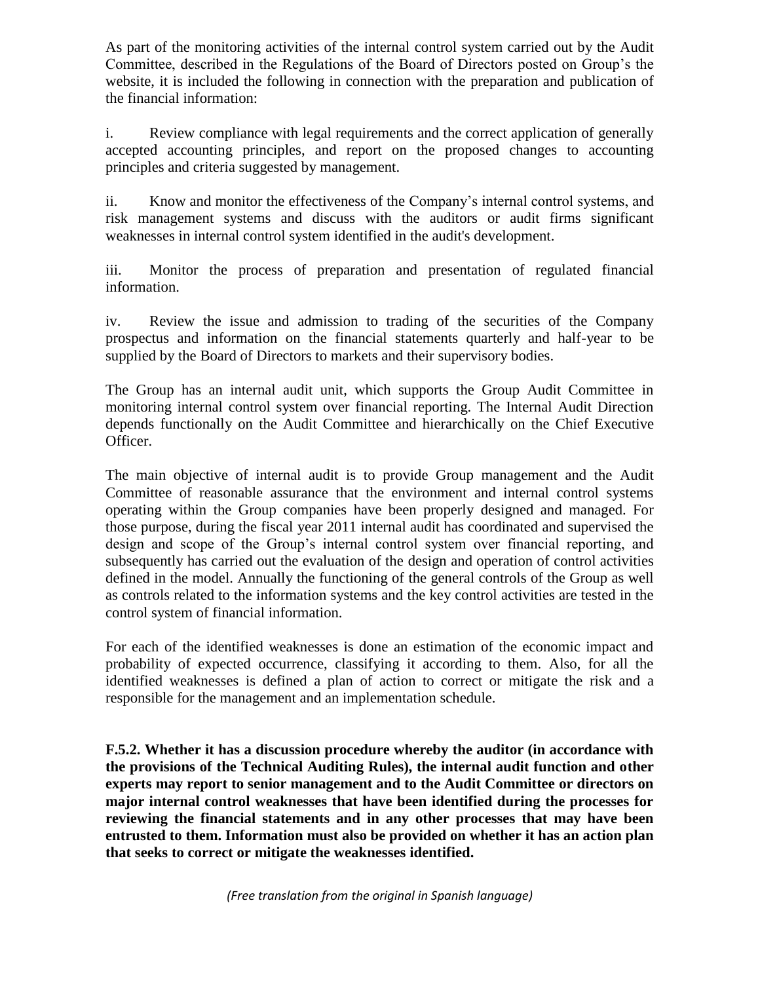As part of the monitoring activities of the internal control system carried out by the Audit Committee, described in the Regulations of the Board of Directors posted on Group's the website, it is included the following in connection with the preparation and publication of the financial information:

i. Review compliance with legal requirements and the correct application of generally accepted accounting principles, and report on the proposed changes to accounting principles and criteria suggested by management.

ii. Know and monitor the effectiveness of the Company's internal control systems, and risk management systems and discuss with the auditors or audit firms significant weaknesses in internal control system identified in the audit's development.

iii. Monitor the process of preparation and presentation of regulated financial information.

iv. Review the issue and admission to trading of the securities of the Company prospectus and information on the financial statements quarterly and half-year to be supplied by the Board of Directors to markets and their supervisory bodies.

The Group has an internal audit unit, which supports the Group Audit Committee in monitoring internal control system over financial reporting. The Internal Audit Direction depends functionally on the Audit Committee and hierarchically on the Chief Executive Officer.

The main objective of internal audit is to provide Group management and the Audit Committee of reasonable assurance that the environment and internal control systems operating within the Group companies have been properly designed and managed. For those purpose, during the fiscal year 2011 internal audit has coordinated and supervised the design and scope of the Group's internal control system over financial reporting, and subsequently has carried out the evaluation of the design and operation of control activities defined in the model. Annually the functioning of the general controls of the Group as well as controls related to the information systems and the key control activities are tested in the control system of financial information.

For each of the identified weaknesses is done an estimation of the economic impact and probability of expected occurrence, classifying it according to them. Also, for all the identified weaknesses is defined a plan of action to correct or mitigate the risk and a responsible for the management and an implementation schedule.

**F.5.2. Whether it has a discussion procedure whereby the auditor (in accordance with the provisions of the Technical Auditing Rules), the internal audit function and other experts may report to senior management and to the Audit Committee or directors on major internal control weaknesses that have been identified during the processes for reviewing the financial statements and in any other processes that may have been entrusted to them. Information must also be provided on whether it has an action plan that seeks to correct or mitigate the weaknesses identified.**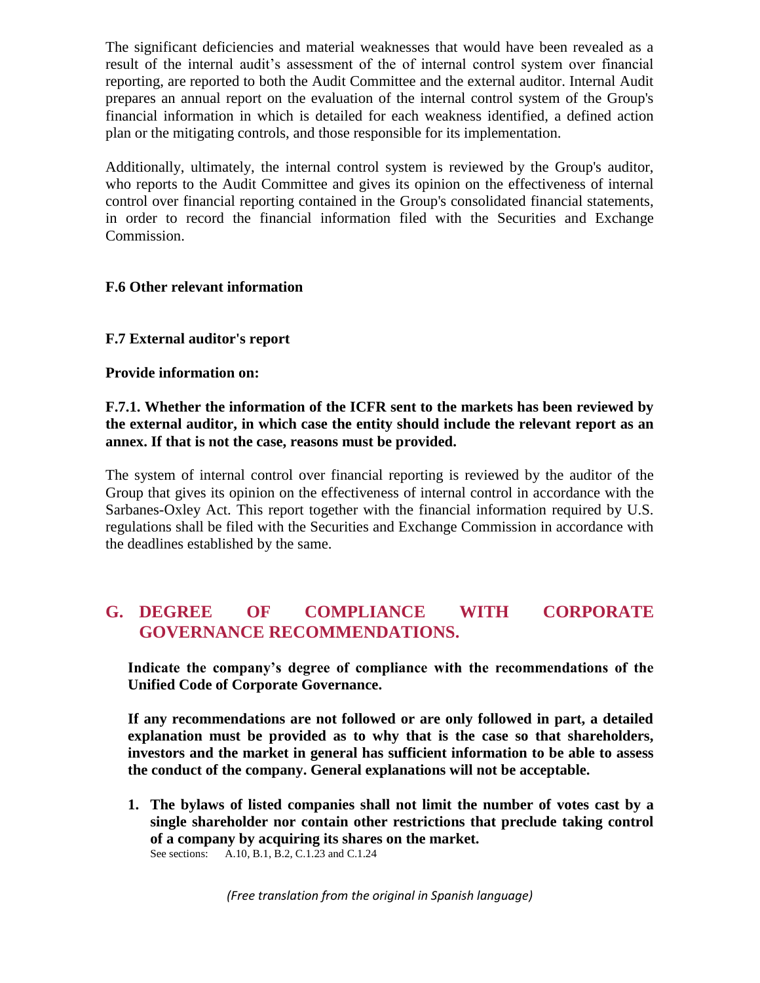The significant deficiencies and material weaknesses that would have been revealed as a result of the internal audit's assessment of the of internal control system over financial reporting, are reported to both the Audit Committee and the external auditor. Internal Audit prepares an annual report on the evaluation of the internal control system of the Group's financial information in which is detailed for each weakness identified, a defined action plan or the mitigating controls, and those responsible for its implementation.

Additionally, ultimately, the internal control system is reviewed by the Group's auditor, who reports to the Audit Committee and gives its opinion on the effectiveness of internal control over financial reporting contained in the Group's consolidated financial statements, in order to record the financial information filed with the Securities and Exchange Commission.

# **F.6 Other relevant information**

## **F.7 External auditor's report**

#### **Provide information on:**

## **F.7.1. Whether the information of the ICFR sent to the markets has been reviewed by the external auditor, in which case the entity should include the relevant report as an annex. If that is not the case, reasons must be provided.**

The system of internal control over financial reporting is reviewed by the auditor of the Group that gives its opinion on the effectiveness of internal control in accordance with the Sarbanes-Oxley Act. This report together with the financial information required by U.S. regulations shall be filed with the Securities and Exchange Commission in accordance with the deadlines established by the same.

# **G. DEGREE OF COMPLIANCE WITH CORPORATE GOVERNANCE RECOMMENDATIONS.**

**Indicate the company's degree of compliance with the recommendations of the Unified Code of Corporate Governance.**

**If any recommendations are not followed or are only followed in part, a detailed explanation must be provided as to why that is the case so that shareholders, investors and the market in general has sufficient information to be able to assess the conduct of the company. General explanations will not be acceptable.**

**1. The bylaws of listed companies shall not limit the number of votes cast by a single shareholder nor contain other restrictions that preclude taking control of a company by acquiring its shares on the market.** See sections: A.10, B.1, B.2, C.1.23 and C.1.24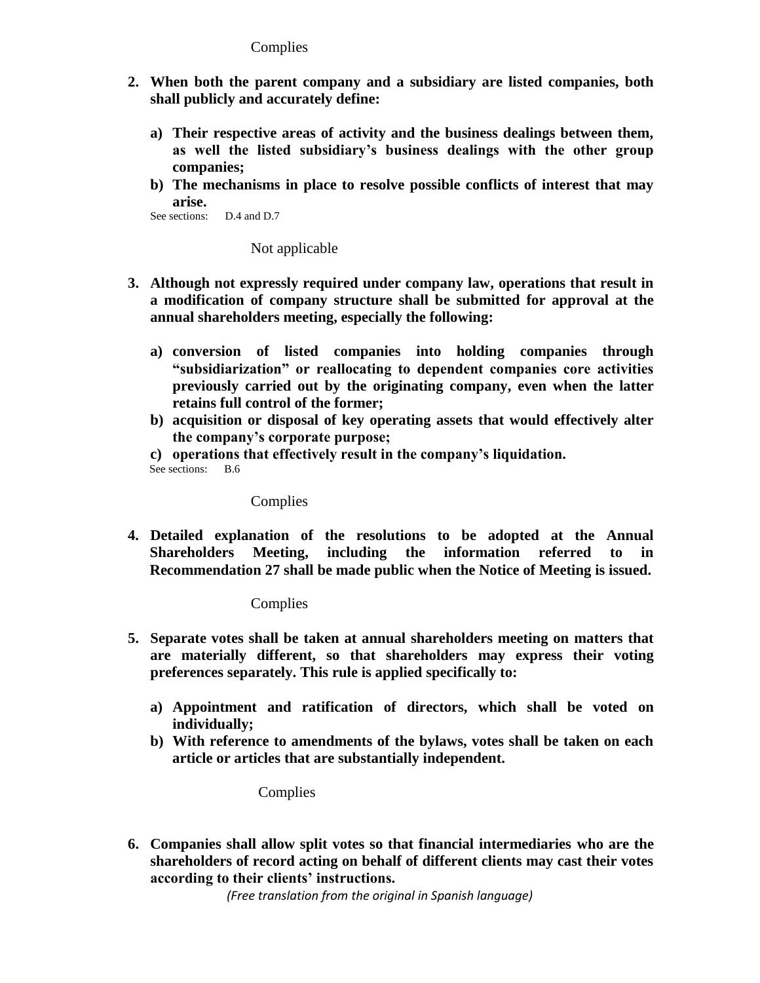#### **Complies**

- **2. When both the parent company and a subsidiary are listed companies, both shall publicly and accurately define:**
	- **a) Their respective areas of activity and the business dealings between them, as well the listed subsidiary's business dealings with the other group companies;**
	- **b) The mechanisms in place to resolve possible conflicts of interest that may arise.**

```
See sections: D.4 and D.7
```
Not applicable

- **3. Although not expressly required under company law, operations that result in a modification of company structure shall be submitted for approval at the annual shareholders meeting, especially the following:**
	- **a) conversion of listed companies into holding companies through "subsidiarization" or reallocating to dependent companies core activities previously carried out by the originating company, even when the latter retains full control of the former;**
	- **b) acquisition or disposal of key operating assets that would effectively alter the company's corporate purpose;**

**c) operations that effectively result in the company's liquidation.** See sections: B.6

#### Complies

**4. Detailed explanation of the resolutions to be adopted at the Annual Shareholders Meeting, including the information referred to in Recommendation 27 shall be made public when the Notice of Meeting is issued.**

Complies

- **5. Separate votes shall be taken at annual shareholders meeting on matters that are materially different, so that shareholders may express their voting preferences separately. This rule is applied specifically to:**
	- **a) Appointment and ratification of directors, which shall be voted on individually;**
	- **b) With reference to amendments of the bylaws, votes shall be taken on each article or articles that are substantially independent.**

**Complies** 

**6. Companies shall allow split votes so that financial intermediaries who are the shareholders of record acting on behalf of different clients may cast their votes according to their clients' instructions.**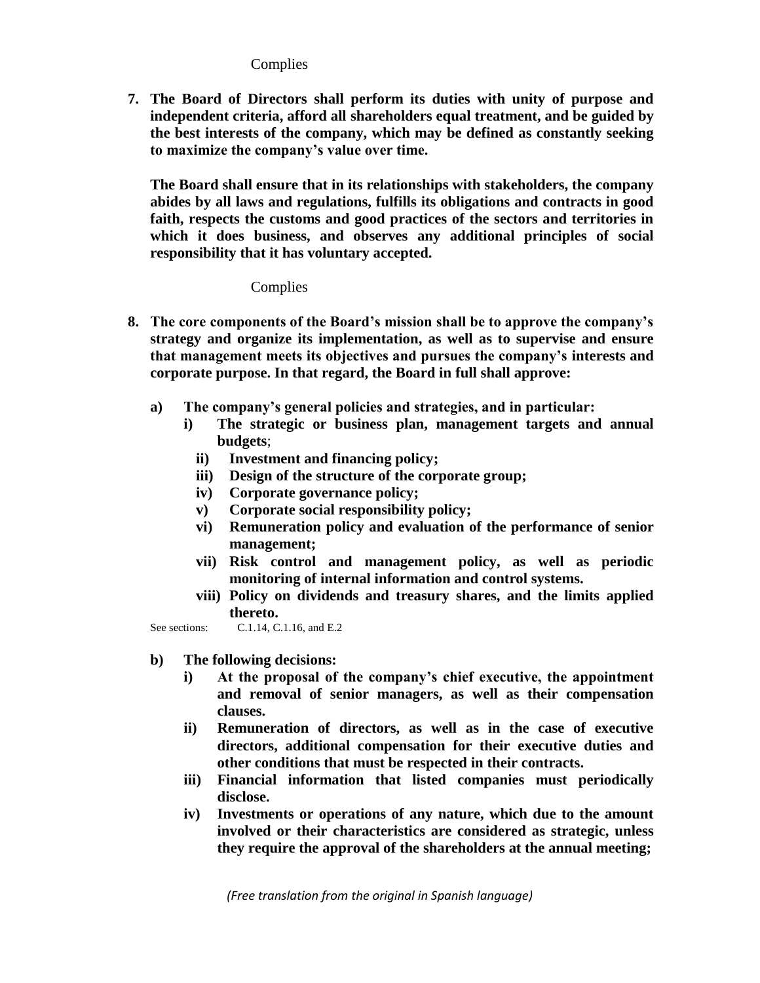**Complies** 

**7. The Board of Directors shall perform its duties with unity of purpose and independent criteria, afford all shareholders equal treatment, and be guided by the best interests of the company, which may be defined as constantly seeking to maximize the company's value over time.**

**The Board shall ensure that in its relationships with stakeholders, the company abides by all laws and regulations, fulfills its obligations and contracts in good faith, respects the customs and good practices of the sectors and territories in which it does business, and observes any additional principles of social responsibility that it has voluntary accepted.**

**Complies** 

- **8. The core components of the Board's mission shall be to approve the company's strategy and organize its implementation, as well as to supervise and ensure that management meets its objectives and pursues the company's interests and corporate purpose. In that regard, the Board in full shall approve:** 
	- **a) The company's general policies and strategies, and in particular:**
		- **i) The strategic or business plan, management targets and annual budgets**;
			- **ii) Investment and financing policy;**
			- **iii) Design of the structure of the corporate group;**
			- **iv) Corporate governance policy;**
			- **v) Corporate social responsibility policy;**
			- **vi) Remuneration policy and evaluation of the performance of senior management;**
			- **vii) Risk control and management policy, as well as periodic monitoring of internal information and control systems.**
			- **viii) Policy on dividends and treasury shares, and the limits applied thereto.**

See sections: C.1.14, C.1.16, and E.2

- **b) The following decisions:**
	- **i) At the proposal of the company's chief executive, the appointment and removal of senior managers, as well as their compensation clauses.**
	- **ii) Remuneration of directors, as well as in the case of executive directors, additional compensation for their executive duties and other conditions that must be respected in their contracts.**
	- **iii) Financial information that listed companies must periodically disclose.**
	- **iv) Investments or operations of any nature, which due to the amount involved or their characteristics are considered as strategic, unless they require the approval of the shareholders at the annual meeting;**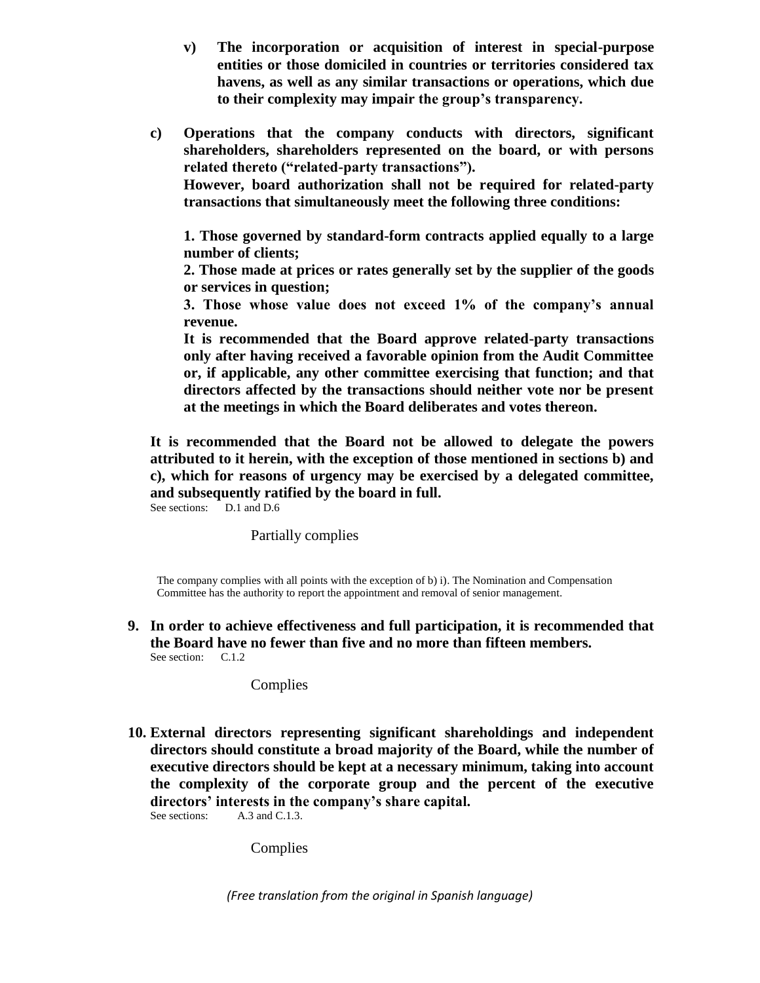**v) The incorporation or acquisition of interest in special-purpose entities or those domiciled in countries or territories considered tax havens, as well as any similar transactions or operations, which due to their complexity may impair the group's transparency.**

**c) Operations that the company conducts with directors, significant shareholders, shareholders represented on the board, or with persons related thereto ("related-party transactions").** 

**However, board authorization shall not be required for related-party transactions that simultaneously meet the following three conditions:**

**1. Those governed by standard-form contracts applied equally to a large number of clients;**

**2. Those made at prices or rates generally set by the supplier of the goods or services in question;**

**3. Those whose value does not exceed 1% of the company's annual revenue.**

**It is recommended that the Board approve related-party transactions only after having received a favorable opinion from the Audit Committee or, if applicable, any other committee exercising that function; and that directors affected by the transactions should neither vote nor be present at the meetings in which the Board deliberates and votes thereon.** 

**It is recommended that the Board not be allowed to delegate the powers attributed to it herein, with the exception of those mentioned in sections b) and c), which for reasons of urgency may be exercised by a delegated committee, and subsequently ratified by the board in full.**

See sections: D.1 and D.6

#### Partially complies

The company complies with all points with the exception of b) i). The Nomination and Compensation Committee has the authority to report the appointment and removal of senior management.

**9. In order to achieve effectiveness and full participation, it is recommended that the Board have no fewer than five and no more than fifteen members.** See section: C.1.2

Complies

**10. External directors representing significant shareholdings and independent directors should constitute a broad majority of the Board, while the number of executive directors should be kept at a necessary minimum, taking into account the complexity of the corporate group and the percent of the executive directors' interests in the company's share capital.** See sections: A.3 and C.1.3.

Complies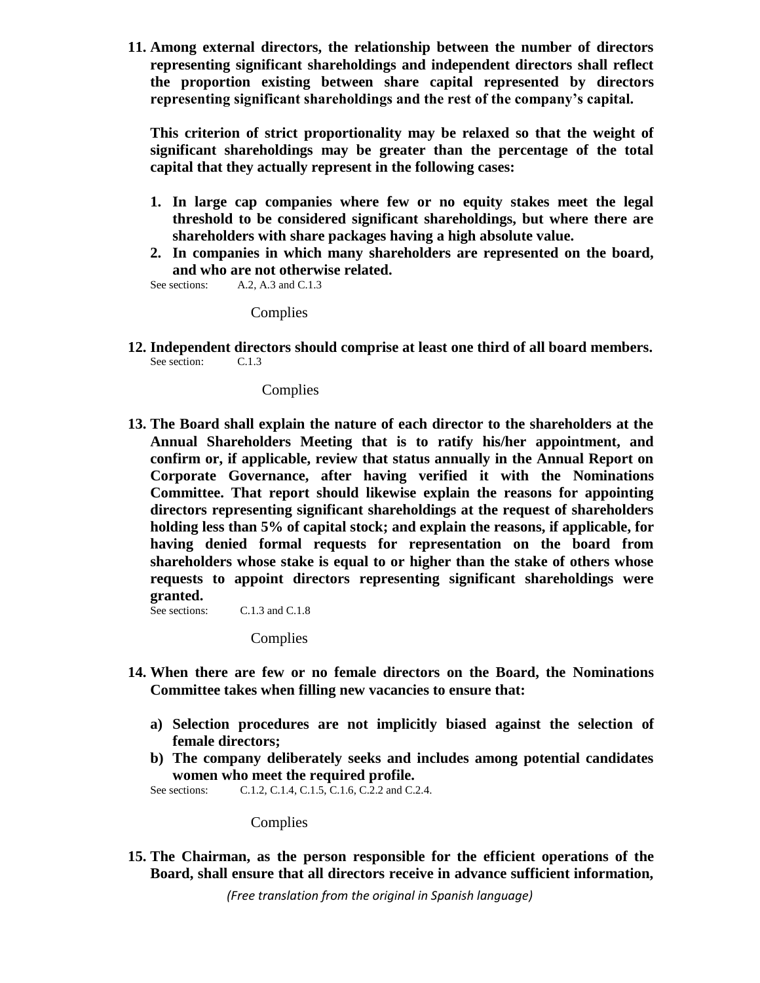**11. Among external directors, the relationship between the number of directors representing significant shareholdings and independent directors shall reflect the proportion existing between share capital represented by directors representing significant shareholdings and the rest of the company's capital.**

**This criterion of strict proportionality may be relaxed so that the weight of significant shareholdings may be greater than the percentage of the total capital that they actually represent in the following cases:**

- **1. In large cap companies where few or no equity stakes meet the legal threshold to be considered significant shareholdings, but where there are shareholders with share packages having a high absolute value.**
- **2. In companies in which many shareholders are represented on the board, and who are not otherwise related.**

See sections: A.2, A.3 and C.1.3

**Complies** 

**12. Independent directors should comprise at least one third of all board members.**<br>See section: C.1.3 See section:

Complies

**13. The Board shall explain the nature of each director to the shareholders at the Annual Shareholders Meeting that is to ratify his/her appointment, and confirm or, if applicable, review that status annually in the Annual Report on Corporate Governance, after having verified it with the Nominations Committee. That report should likewise explain the reasons for appointing directors representing significant shareholdings at the request of shareholders holding less than 5% of capital stock; and explain the reasons, if applicable, for having denied formal requests for representation on the board from shareholders whose stake is equal to or higher than the stake of others whose requests to appoint directors representing significant shareholdings were granted.**

C.1.3 and C.1.8

**Complies** 

- **14. When there are few or no female directors on the Board, the Nominations Committee takes when filling new vacancies to ensure that:** 
	- **a) Selection procedures are not implicitly biased against the selection of female directors;**
	- **b) The company deliberately seeks and includes among potential candidates women who meet the required profile.**

See sections: C.1.2, C.1.4, C.1.5, C.1.6, C.2.2 and C.2.4.

**Complies** 

**15. The Chairman, as the person responsible for the efficient operations of the Board, shall ensure that all directors receive in advance sufficient information,**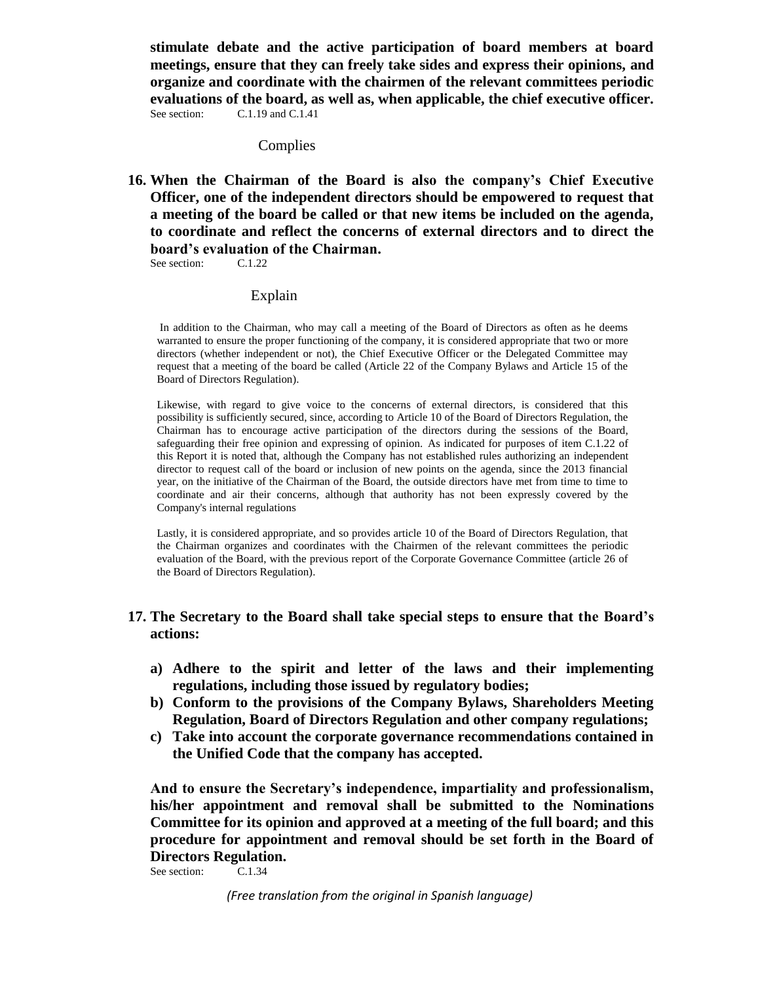**stimulate debate and the active participation of board members at board meetings, ensure that they can freely take sides and express their opinions, and organize and coordinate with the chairmen of the relevant committees periodic evaluations of the board, as well as, when applicable, the chief executive officer.** See section: C.1.19 and C.1.41

#### **Complies**

**16. When the Chairman of the Board is also the company's Chief Executive Officer, one of the independent directors should be empowered to request that a meeting of the board be called or that new items be included on the agenda, to coordinate and reflect the concerns of external directors and to direct the board's evaluation of the Chairman.**<br>See section: C.1.22

See section:

#### Explain

In addition to the Chairman, who may call a meeting of the Board of Directors as often as he deems warranted to ensure the proper functioning of the company, it is considered appropriate that two or more directors (whether independent or not), the Chief Executive Officer or the Delegated Committee may request that a meeting of the board be called (Article 22 of the Company Bylaws and Article 15 of the Board of Directors Regulation).

Likewise, with regard to give voice to the concerns of external directors, is considered that this possibility is sufficiently secured, since, according to Article 10 of the Board of Directors Regulation, the Chairman has to encourage active participation of the directors during the sessions of the Board, safeguarding their free opinion and expressing of opinion. As indicated for purposes of item C.1.22 of this Report it is noted that, although the Company has not established rules authorizing an independent director to request call of the board or inclusion of new points on the agenda, since the 2013 financial year, on the initiative of the Chairman of the Board, the outside directors have met from time to time to coordinate and air their concerns, although that authority has not been expressly covered by the Company's internal regulations

Lastly, it is considered appropriate, and so provides article 10 of the Board of Directors Regulation, that the Chairman organizes and coordinates with the Chairmen of the relevant committees the periodic evaluation of the Board, with the previous report of the Corporate Governance Committee (article 26 of the Board of Directors Regulation).

#### **17. The Secretary to the Board shall take special steps to ensure that the Board's actions:**

- **a) Adhere to the spirit and letter of the laws and their implementing regulations, including those issued by regulatory bodies;**
- **b) Conform to the provisions of the Company Bylaws, Shareholders Meeting Regulation, Board of Directors Regulation and other company regulations;**
- **c) Take into account the corporate governance recommendations contained in the Unified Code that the company has accepted.**

**And to ensure the Secretary's independence, impartiality and professionalism, his/her appointment and removal shall be submitted to the Nominations Committee for its opinion and approved at a meeting of the full board; and this procedure for appointment and removal should be set forth in the Board of Directors Regulation.**

See section: C.1.34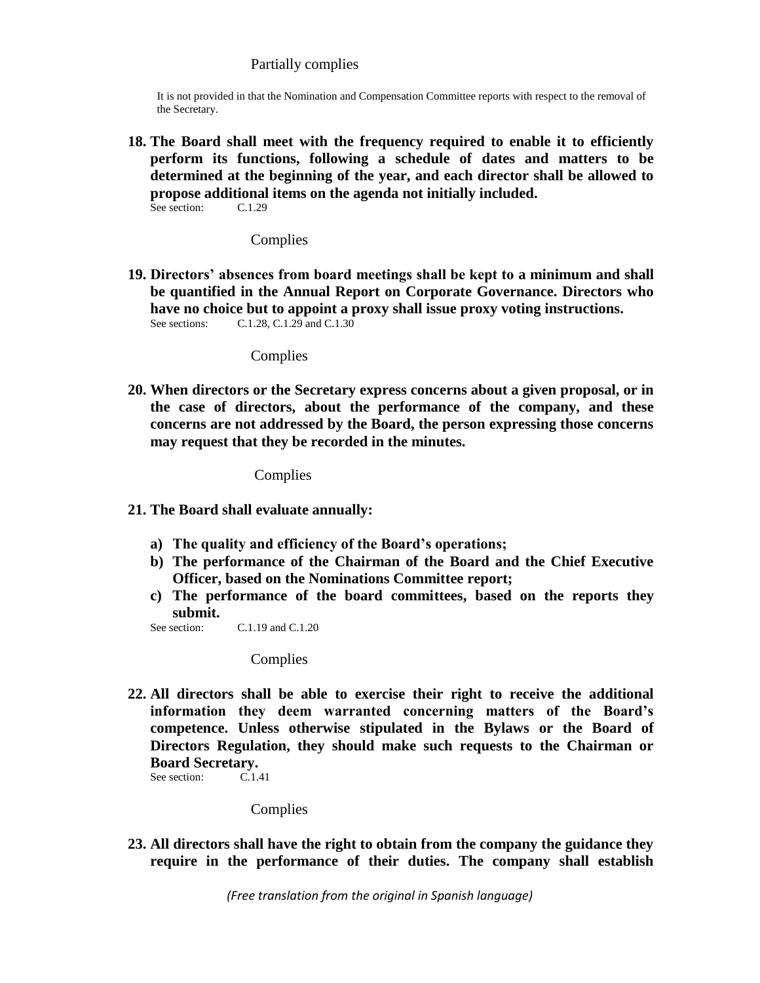#### Partially complies

It is not provided in that the Nomination and Compensation Committee reports with respect to the removal of the Secretary.

**18. The Board shall meet with the frequency required to enable it to efficiently perform its functions, following a schedule of dates and matters to be determined at the beginning of the year, and each director shall be allowed to propose additional items on the agenda not initially included.**<br>See section:  $C_{1,1,29}$ See section:

#### Complies

**19. Directors' absences from board meetings shall be kept to a minimum and shall be quantified in the Annual Report on Corporate Governance. Directors who have no choice but to appoint a proxy shall issue proxy voting instructions.**<br>See sections: C.1.28, C.1.29 and C.1.30 C.1.28, C.1.29 and C.1.30

#### **Complies**

**20. When directors or the Secretary express concerns about a given proposal, or in the case of directors, about the performance of the company, and these concerns are not addressed by the Board, the person expressing those concerns may request that they be recorded in the minutes.**

#### Complies

- **21. The Board shall evaluate annually:**
	- **a) The quality and efficiency of the Board's operations;**
	- **b) The performance of the Chairman of the Board and the Chief Executive Officer, based on the Nominations Committee report;**
	- **c) The performance of the board committees, based on the reports they submit.**
	- See section: C.1.19 and C.1.20

#### Complies

**22. All directors shall be able to exercise their right to receive the additional information they deem warranted concerning matters of the Board's competence. Unless otherwise stipulated in the Bylaws or the Board of Directors Regulation, they should make such requests to the Chairman or Board Secretary.**<br>See section: C.1.41

See section:

#### Complies

**23. All directors shall have the right to obtain from the company the guidance they require in the performance of their duties. The company shall establish**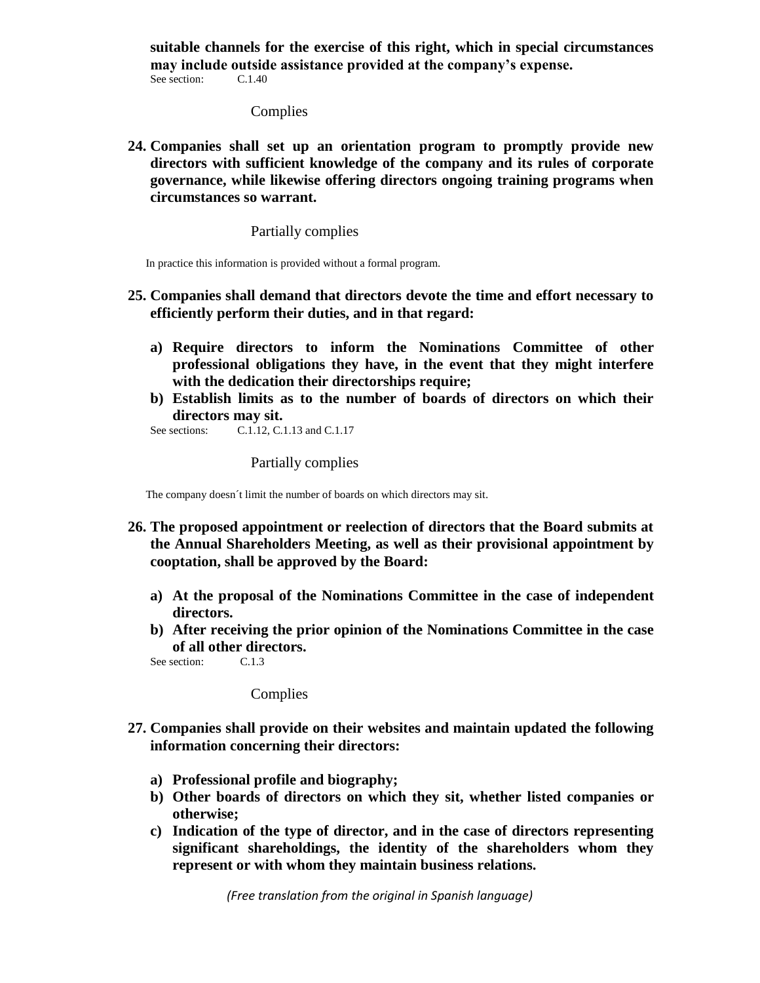**suitable channels for the exercise of this right, which in special circumstances may include outside assistance provided at the company's expense.**<br>See section:  $C=1.40$ See section:

# Complies

**24. Companies shall set up an orientation program to promptly provide new directors with sufficient knowledge of the company and its rules of corporate governance, while likewise offering directors ongoing training programs when circumstances so warrant.**

#### Partially complies

In practice this information is provided without a formal program.

- **25. Companies shall demand that directors devote the time and effort necessary to efficiently perform their duties, and in that regard:**
	- **a) Require directors to inform the Nominations Committee of other professional obligations they have, in the event that they might interfere with the dedication their directorships require;**
	- **b) Establish limits as to the number of boards of directors on which their directors may sit.**<br>See sections: C.1.12, C.

C.1.12, C.1.13 and C.1.17

#### Partially complies

The company doesn´t limit the number of boards on which directors may sit.

- **26. The proposed appointment or reelection of directors that the Board submits at the Annual Shareholders Meeting, as well as their provisional appointment by cooptation, shall be approved by the Board:**
	- **a) At the proposal of the Nominations Committee in the case of independent directors.**
	- **b) After receiving the prior opinion of the Nominations Committee in the case of all other directors.**

See section: C.1.3

Complies

- **27. Companies shall provide on their websites and maintain updated the following information concerning their directors:**
	- **a) Professional profile and biography;**
	- **b) Other boards of directors on which they sit, whether listed companies or otherwise;**
	- **c) Indication of the type of director, and in the case of directors representing significant shareholdings, the identity of the shareholders whom they represent or with whom they maintain business relations.**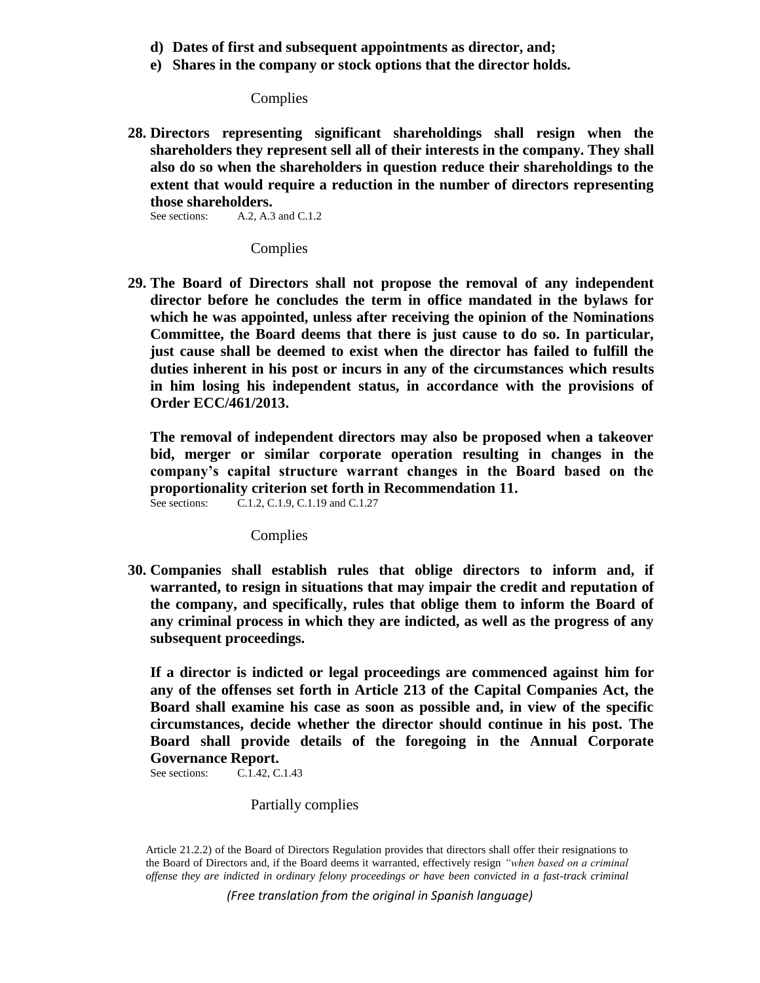- **d) Dates of first and subsequent appointments as director, and;**
- **e) Shares in the company or stock options that the director holds.**

**Complies** 

**28. Directors representing significant shareholdings shall resign when the shareholders they represent sell all of their interests in the company. They shall also do so when the shareholders in question reduce their shareholdings to the extent that would require a reduction in the number of directors representing those shareholders.**<br>See sections: **A.2. A.3** 

A.2, A.3 and C.1.2

**Complies** 

**29. The Board of Directors shall not propose the removal of any independent director before he concludes the term in office mandated in the bylaws for which he was appointed, unless after receiving the opinion of the Nominations Committee, the Board deems that there is just cause to do so. In particular, just cause shall be deemed to exist when the director has failed to fulfill the duties inherent in his post or incurs in any of the circumstances which results in him losing his independent status, in accordance with the provisions of Order ECC/461/2013.** 

**The removal of independent directors may also be proposed when a takeover bid, merger or similar corporate operation resulting in changes in the company's capital structure warrant changes in the Board based on the proportionality criterion set forth in Recommendation 11.**  See sections: C.1.2, C.1.9, C.1.19 and C.1.27

Complies

**30. Companies shall establish rules that oblige directors to inform and, if warranted, to resign in situations that may impair the credit and reputation of the company, and specifically, rules that oblige them to inform the Board of any criminal process in which they are indicted, as well as the progress of any subsequent proceedings.**

**If a director is indicted or legal proceedings are commenced against him for any of the offenses set forth in Article 213 of the Capital Companies Act, the Board shall examine his case as soon as possible and, in view of the specific circumstances, decide whether the director should continue in his post. The Board shall provide details of the foregoing in the Annual Corporate Governance Report.**

See sections: C.1.42, C.1.43

Partially complies

Article 21.2.2) of the Board of Directors Regulation provides that directors shall offer their resignations to the Board of Directors and, if the Board deems it warranted, effectively resign *"when based on a criminal offense they are indicted in ordinary felony proceedings or have been convicted in a fast-track criminal*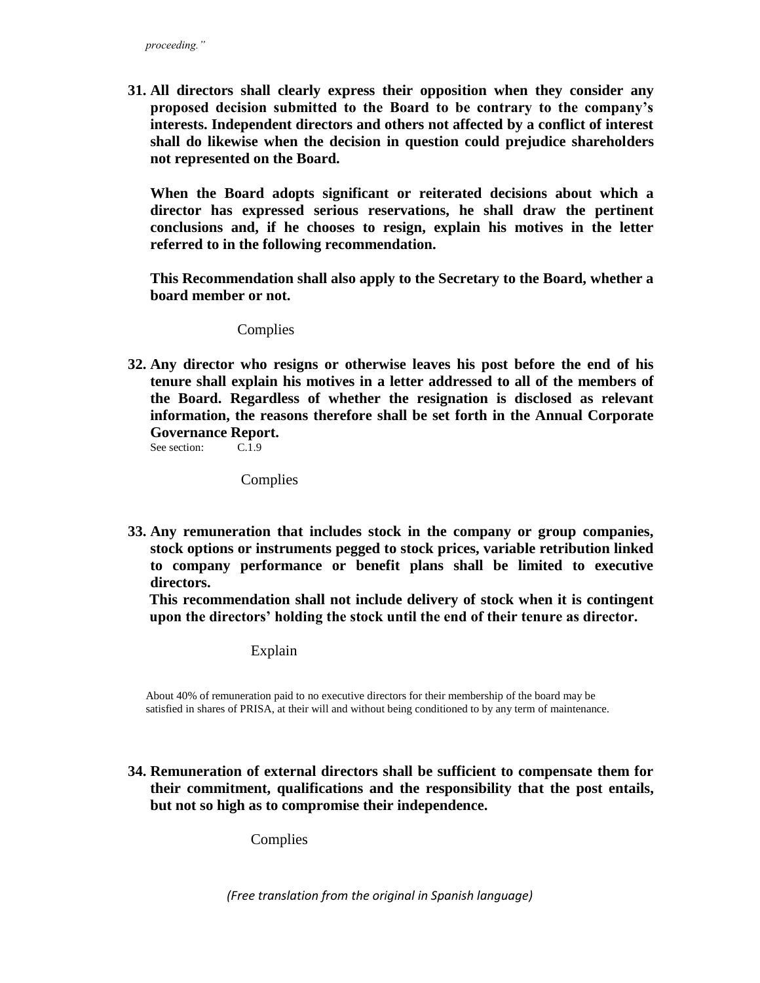**31. All directors shall clearly express their opposition when they consider any proposed decision submitted to the Board to be contrary to the company's interests. Independent directors and others not affected by a conflict of interest shall do likewise when the decision in question could prejudice shareholders not represented on the Board.**

**When the Board adopts significant or reiterated decisions about which a director has expressed serious reservations, he shall draw the pertinent conclusions and, if he chooses to resign, explain his motives in the letter referred to in the following recommendation.**

**This Recommendation shall also apply to the Secretary to the Board, whether a board member or not.**

Complies

**32. Any director who resigns or otherwise leaves his post before the end of his tenure shall explain his motives in a letter addressed to all of the members of the Board. Regardless of whether the resignation is disclosed as relevant information, the reasons therefore shall be set forth in the Annual Corporate Governance Report.**<br>See section: C.1.9

See section:

**Complies** 

**33. Any remuneration that includes stock in the company or group companies, stock options or instruments pegged to stock prices, variable retribution linked to company performance or benefit plans shall be limited to executive directors.**

**This recommendation shall not include delivery of stock when it is contingent upon the directors' holding the stock until the end of their tenure as director.**

Explain

About 40% of remuneration paid to no executive directors for their membership of the board may be satisfied in shares of PRISA, at their will and without being conditioned to by any term of maintenance.

**34. Remuneration of external directors shall be sufficient to compensate them for their commitment, qualifications and the responsibility that the post entails, but not so high as to compromise their independence.**

Complies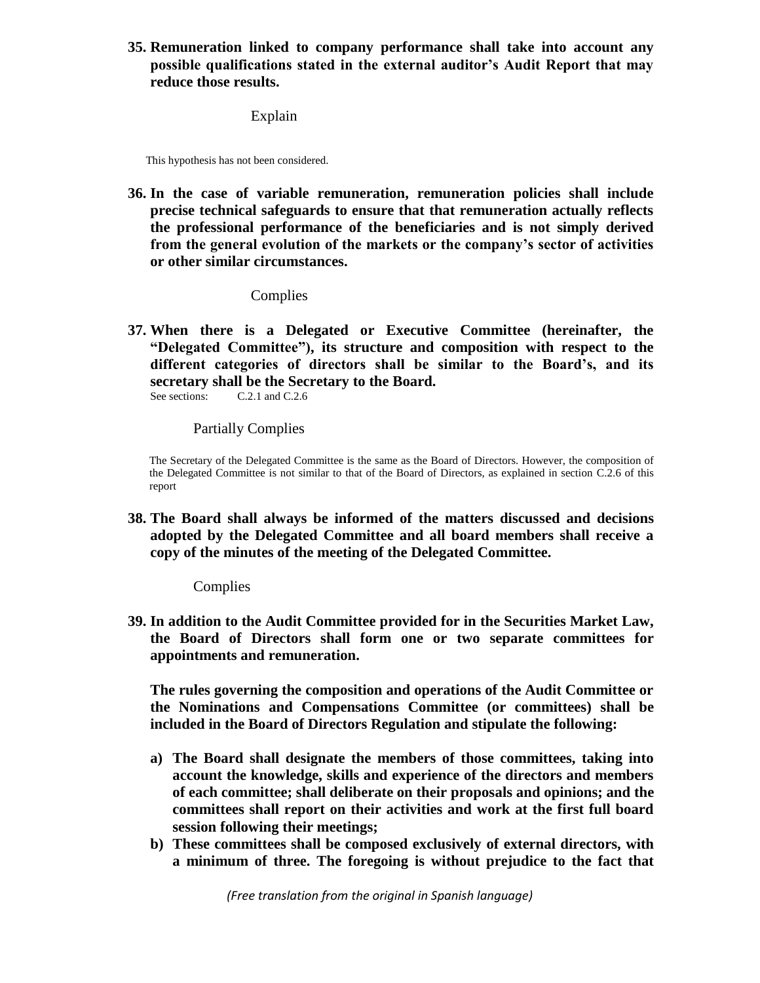**35. Remuneration linked to company performance shall take into account any possible qualifications stated in the external auditor's Audit Report that may reduce those results.**

Explain

This hypothesis has not been considered.

**36. In the case of variable remuneration, remuneration policies shall include precise technical safeguards to ensure that that remuneration actually reflects the professional performance of the beneficiaries and is not simply derived from the general evolution of the markets or the company's sector of activities or other similar circumstances.**

Complies

**37. When there is a Delegated or Executive Committee (hereinafter, the "Delegated Committee"), its structure and composition with respect to the different categories of directors shall be similar to the Board's, and its secretary shall be the Secretary to the Board.**

See sections: C.2.1 and C.2.6

Partially Complies

The Secretary of the Delegated Committee is the same as the Board of Directors. However, the composition of the Delegated Committee is not similar to that of the Board of Directors, as explained in section C.2.6 of this report

**38. The Board shall always be informed of the matters discussed and decisions adopted by the Delegated Committee and all board members shall receive a copy of the minutes of the meeting of the Delegated Committee.**

**Complies** 

**39. In addition to the Audit Committee provided for in the Securities Market Law, the Board of Directors shall form one or two separate committees for appointments and remuneration.**

**The rules governing the composition and operations of the Audit Committee or the Nominations and Compensations Committee (or committees) shall be included in the Board of Directors Regulation and stipulate the following:**

- **a) The Board shall designate the members of those committees, taking into account the knowledge, skills and experience of the directors and members of each committee; shall deliberate on their proposals and opinions; and the committees shall report on their activities and work at the first full board session following their meetings;**
- **b) These committees shall be composed exclusively of external directors, with a minimum of three. The foregoing is without prejudice to the fact that**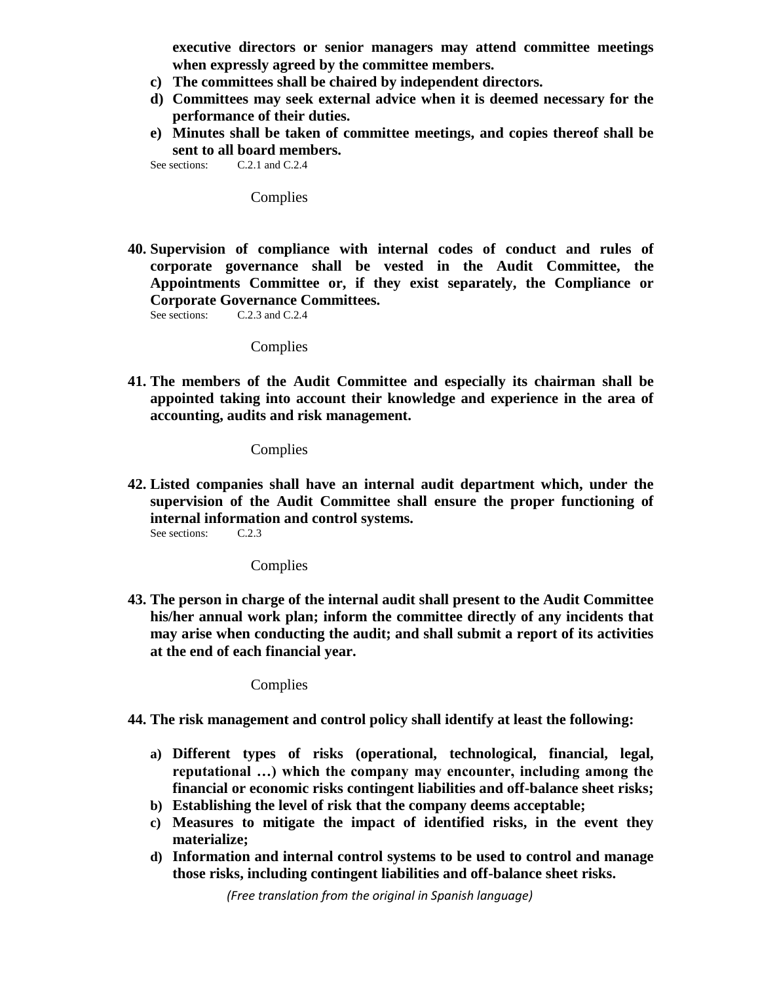**executive directors or senior managers may attend committee meetings when expressly agreed by the committee members.**

- **c) The committees shall be chaired by independent directors.**
- **d) Committees may seek external advice when it is deemed necessary for the performance of their duties.**
- **e) Minutes shall be taken of committee meetings, and copies thereof shall be sent to all board members.**<br>See sections: C.2.1 and C.2.4

 $C.2.1$  and  $C.2.4$ 

Complies

**40. Supervision of compliance with internal codes of conduct and rules of corporate governance shall be vested in the Audit Committee, the Appointments Committee or, if they exist separately, the Compliance or Corporate Governance Committees.**<br>See sections: C.2.3 and C.2.4

 $C.2.3$  and  $C.2.4$ 

**Complies** 

**41. The members of the Audit Committee and especially its chairman shall be appointed taking into account their knowledge and experience in the area of accounting, audits and risk management.**

Complies

**42. Listed companies shall have an internal audit department which, under the supervision of the Audit Committee shall ensure the proper functioning of internal information and control systems.**<br>See sections:  $C.2.3$ See sections:

**Complies** 

**43. The person in charge of the internal audit shall present to the Audit Committee his/her annual work plan; inform the committee directly of any incidents that may arise when conducting the audit; and shall submit a report of its activities at the end of each financial year.**

Complies

- **44. The risk management and control policy shall identify at least the following:**
	- **a) Different types of risks (operational, technological, financial, legal, reputational …) which the company may encounter, including among the financial or economic risks contingent liabilities and off-balance sheet risks;**
	- **b) Establishing the level of risk that the company deems acceptable;**
	- **c) Measures to mitigate the impact of identified risks, in the event they materialize;**
	- **d) Information and internal control systems to be used to control and manage those risks, including contingent liabilities and off-balance sheet risks.**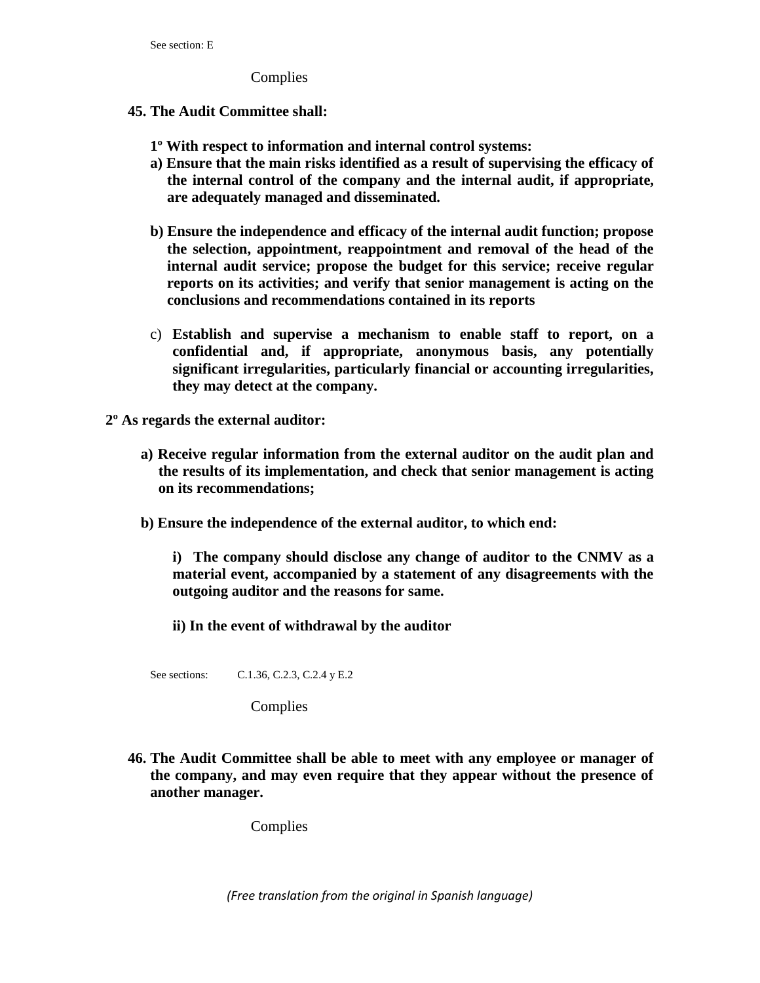Complies

#### **45. The Audit Committee shall:**

- **1º With respect to information and internal control systems:**
- **a) Ensure that the main risks identified as a result of supervising the efficacy of the internal control of the company and the internal audit, if appropriate, are adequately managed and disseminated.**
- **b) Ensure the independence and efficacy of the internal audit function; propose the selection, appointment, reappointment and removal of the head of the internal audit service; propose the budget for this service; receive regular reports on its activities; and verify that senior management is acting on the conclusions and recommendations contained in its reports**
- c) **Establish and supervise a mechanism to enable staff to report, on a confidential and, if appropriate, anonymous basis, any potentially significant irregularities, particularly financial or accounting irregularities, they may detect at the company.**

**2º As regards the external auditor:** 

- **a) Receive regular information from the external auditor on the audit plan and the results of its implementation, and check that senior management is acting on its recommendations;**
- **b) Ensure the independence of the external auditor, to which end:**

**i) The company should disclose any change of auditor to the CNMV as a material event, accompanied by a statement of any disagreements with the outgoing auditor and the reasons for same.** 

**ii) In the event of withdrawal by the auditor**

See sections: C.1.36, C.2.3, C.2.4 y E.2

Complies

**46. The Audit Committee shall be able to meet with any employee or manager of the company, and may even require that they appear without the presence of another manager.**

Complies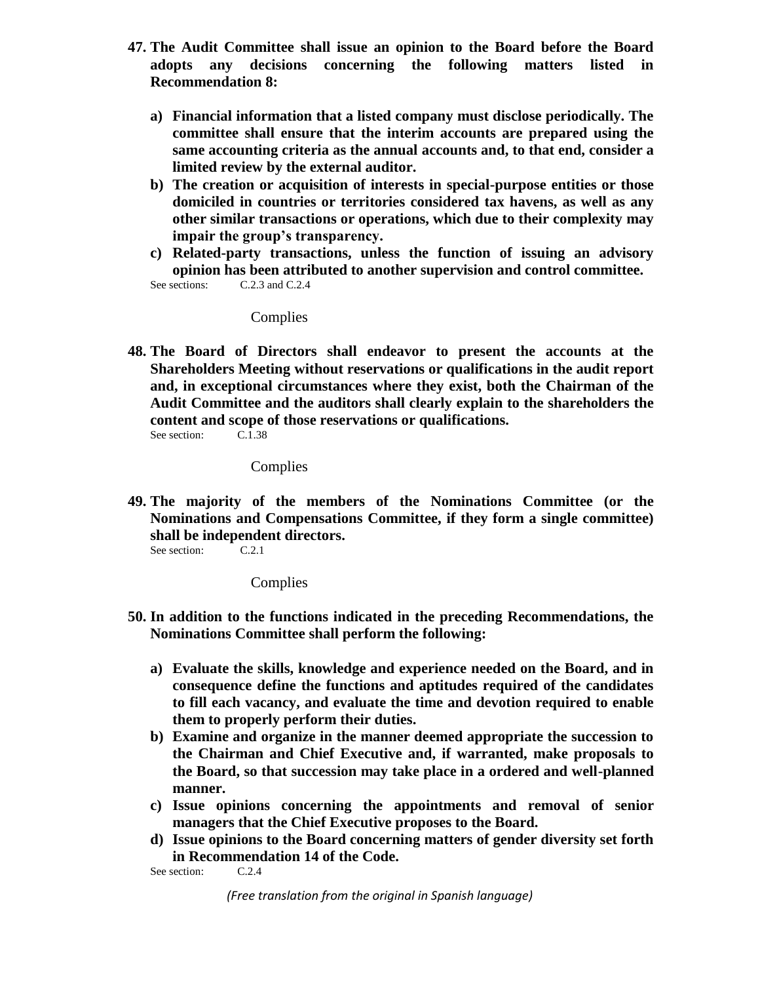- **47. The Audit Committee shall issue an opinion to the Board before the Board adopts any decisions concerning the following matters listed in Recommendation 8:**
	- **a) Financial information that a listed company must disclose periodically. The committee shall ensure that the interim accounts are prepared using the same accounting criteria as the annual accounts and, to that end, consider a limited review by the external auditor.**
	- **b) The creation or acquisition of interests in special-purpose entities or those domiciled in countries or territories considered tax havens, as well as any other similar transactions or operations, which due to their complexity may impair the group's transparency.**
	- **c) Related-party transactions, unless the function of issuing an advisory opinion has been attributed to another supervision and control committee.** See sections: C.2.3 and C.2.4

**Complies** 

**48. The Board of Directors shall endeavor to present the accounts at the Shareholders Meeting without reservations or qualifications in the audit report and, in exceptional circumstances where they exist, both the Chairman of the Audit Committee and the auditors shall clearly explain to the shareholders the content and scope of those reservations or qualifications.**<br>See section: C.1.38 See section:

Complies

**49. The majority of the members of the Nominations Committee (or the Nominations and Compensations Committee, if they form a single committee) shall be independent directors.**

See section: C.2.1

**Complies** 

- **50. In addition to the functions indicated in the preceding Recommendations, the Nominations Committee shall perform the following:**
	- **a) Evaluate the skills, knowledge and experience needed on the Board, and in consequence define the functions and aptitudes required of the candidates to fill each vacancy, and evaluate the time and devotion required to enable them to properly perform their duties.**
	- **b) Examine and organize in the manner deemed appropriate the succession to the Chairman and Chief Executive and, if warranted, make proposals to the Board, so that succession may take place in a ordered and well-planned manner.**
	- **c) Issue opinions concerning the appointments and removal of senior managers that the Chief Executive proposes to the Board.**
	- **d) Issue opinions to the Board concerning matters of gender diversity set forth in Recommendation 14 of the Code.**

See section: C.2.4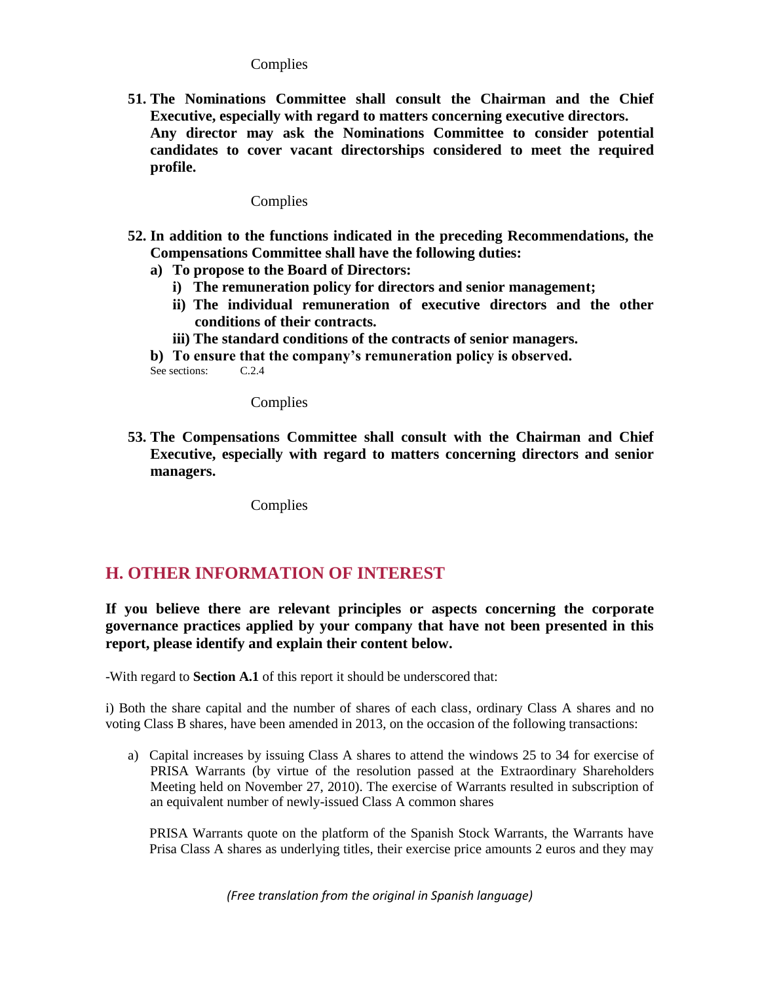## **Complies**

**51. The Nominations Committee shall consult the Chairman and the Chief Executive, especially with regard to matters concerning executive directors. Any director may ask the Nominations Committee to consider potential candidates to cover vacant directorships considered to meet the required profile.**

# Complies

- **52. In addition to the functions indicated in the preceding Recommendations, the Compensations Committee shall have the following duties:** 
	- **a) To propose to the Board of Directors:**
		- **i) The remuneration policy for directors and senior management;**
		- **ii) The individual remuneration of executive directors and the other conditions of their contracts.**
		- **iii) The standard conditions of the contracts of senior managers.**

**b) To ensure that the company's remuneration policy is observed.**<br>See sections: C.2.4 See sections:

Complies

**53. The Compensations Committee shall consult with the Chairman and Chief Executive, especially with regard to matters concerning directors and senior managers.**

Complies

# **H. OTHER INFORMATION OF INTEREST**

**If you believe there are relevant principles or aspects concerning the corporate governance practices applied by your company that have not been presented in this report, please identify and explain their content below.**

-With regard to **Section A.1** of this report it should be underscored that:

i) Both the share capital and the number of shares of each class, ordinary Class A shares and no voting Class B shares, have been amended in 2013, on the occasion of the following transactions:

a) Capital increases by issuing Class A shares to attend the windows 25 to 34 for exercise of PRISA Warrants (by virtue of the resolution passed at the Extraordinary Shareholders Meeting held on November 27, 2010). The exercise of Warrants resulted in subscription of an equivalent number of newly-issued Class A common shares

PRISA Warrants quote on the platform of the Spanish Stock Warrants, the Warrants have Prisa Class A shares as underlying titles, their exercise price amounts 2 euros and they may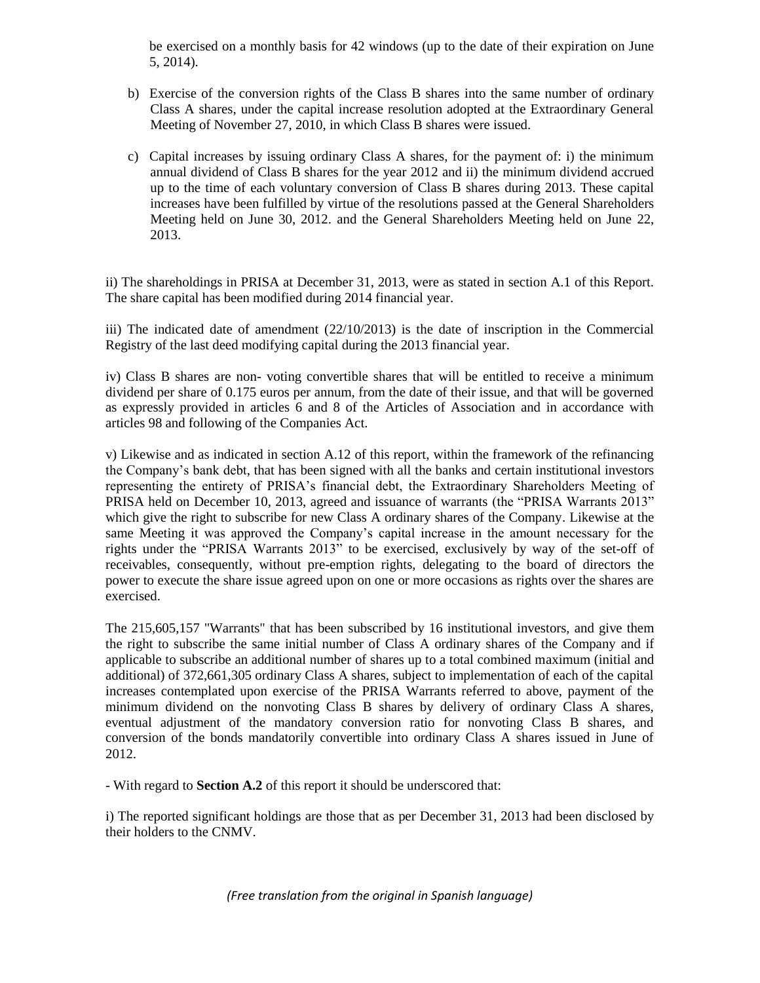be exercised on a monthly basis for 42 windows (up to the date of their expiration on June 5, 2014).

- b) Exercise of the conversion rights of the Class B shares into the same number of ordinary Class A shares, under the capital increase resolution adopted at the Extraordinary General Meeting of November 27, 2010, in which Class B shares were issued.
- c) Capital increases by issuing ordinary Class A shares, for the payment of: i) the minimum annual dividend of Class B shares for the year 2012 and ii) the minimum dividend accrued up to the time of each voluntary conversion of Class B shares during 2013. These capital increases have been fulfilled by virtue of the resolutions passed at the General Shareholders Meeting held on June 30, 2012. and the General Shareholders Meeting held on June 22, 2013.

ii) The shareholdings in PRISA at December 31, 2013, were as stated in section A.1 of this Report. The share capital has been modified during 2014 financial year.

iii) The indicated date of amendment (22/10/2013) is the date of inscription in the Commercial Registry of the last deed modifying capital during the 2013 financial year.

iv) Class B shares are non- voting convertible shares that will be entitled to receive a minimum dividend per share of 0.175 euros per annum, from the date of their issue, and that will be governed as expressly provided in articles 6 and 8 of the Articles of Association and in accordance with articles 98 and following of the Companies Act.

v) Likewise and as indicated in section A.12 of this report, within the framework of the refinancing the Company's bank debt, that has been signed with all the banks and certain institutional investors representing the entirety of PRISA's financial debt, the Extraordinary Shareholders Meeting of PRISA held on December 10, 2013, agreed and issuance of warrants (the "PRISA Warrants 2013" which give the right to subscribe for new Class A ordinary shares of the Company. Likewise at the same Meeting it was approved the Company's capital increase in the amount necessary for the rights under the "PRISA Warrants 2013" to be exercised, exclusively by way of the set-off of receivables, consequently, without pre-emption rights, delegating to the board of directors the power to execute the share issue agreed upon on one or more occasions as rights over the shares are exercised.

The 215,605,157 "Warrants" that has been subscribed by 16 institutional investors, and give them the right to subscribe the same initial number of Class A ordinary shares of the Company and if applicable to subscribe an additional number of shares up to a total combined maximum (initial and additional) of 372,661,305 ordinary Class A shares, subject to implementation of each of the capital increases contemplated upon exercise of the PRISA Warrants referred to above, payment of the minimum dividend on the nonvoting Class B shares by delivery of ordinary Class A shares, eventual adjustment of the mandatory conversion ratio for nonvoting Class B shares, and conversion of the bonds mandatorily convertible into ordinary Class A shares issued in June of 2012.

- With regard to **Section A.2** of this report it should be underscored that:

i) The reported significant holdings are those that as per December 31, 2013 had been disclosed by their holders to the CNMV.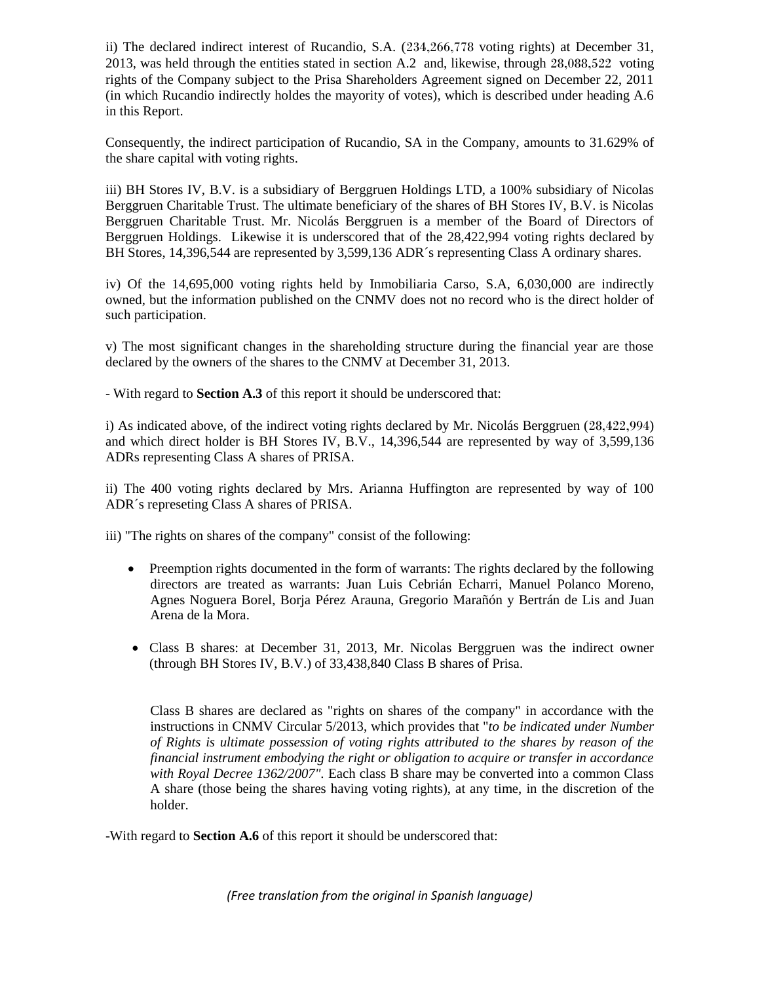ii) The declared indirect interest of Rucandio, S.A. (234,266,778 voting rights) at December 31, 2013, was held through the entities stated in section A.2 and, likewise, through 28,088,522 voting rights of the Company subject to the Prisa Shareholders Agreement signed on December 22, 2011 (in which Rucandio indirectly holdes the mayority of votes), which is described under heading A.6 in this Report.

Consequently, the indirect participation of Rucandio, SA in the Company, amounts to 31.629% of the share capital with voting rights.

iii) BH Stores IV, B.V. is a subsidiary of Berggruen Holdings LTD, a 100% subsidiary of Nicolas Berggruen Charitable Trust. The ultimate beneficiary of the shares of BH Stores IV, B.V. is Nicolas Berggruen Charitable Trust. Mr. Nicolás Berggruen is a member of the Board of Directors of Berggruen Holdings. Likewise it is underscored that of the 28,422,994 voting rights declared by BH Stores, 14,396,544 are represented by 3,599,136 ADR´s representing Class A ordinary shares.

iv) Of the 14,695,000 voting rights held by Inmobiliaria Carso, S.A, 6,030,000 are indirectly owned, but the information published on the CNMV does not no record who is the direct holder of such participation.

v) The most significant changes in the shareholding structure during the financial year are those declared by the owners of the shares to the CNMV at December 31, 2013.

- With regard to **Section A.3** of this report it should be underscored that:

i) As indicated above, of the indirect voting rights declared by Mr. Nicolás Berggruen (28,422,994) and which direct holder is BH Stores IV, B.V., 14,396,544 are represented by way of 3,599,136 ADRs representing Class A shares of PRISA.

ii) The 400 voting rights declared by Mrs. Arianna Huffington are represented by way of 100 ADR´s represeting Class A shares of PRISA.

iii) "The rights on shares of the company" consist of the following:

- Preemption rights documented in the form of warrants: The rights declared by the following directors are treated as warrants: Juan Luis Cebrián Echarri, Manuel Polanco Moreno, Agnes Noguera Borel, Borja Pérez Arauna, Gregorio Marañón y Bertrán de Lis and Juan Arena de la Mora.
- Class B shares: at December 31, 2013, Mr. Nicolas Berggruen was the indirect owner (through BH Stores IV, B.V.) of 33,438,840 Class B shares of Prisa.

Class B shares are declared as "rights on shares of the company" in accordance with the instructions in CNMV Circular 5/2013, which provides that "*to be indicated under Number of Rights is ultimate possession of voting rights attributed to the shares by reason of the financial instrument embodying the right or obligation to acquire or transfer in accordance with Royal Decree 1362/2007".* Each class B share may be converted into a common Class A share (those being the shares having voting rights), at any time, in the discretion of the holder.

-With regard to **Section A.6** of this report it should be underscored that: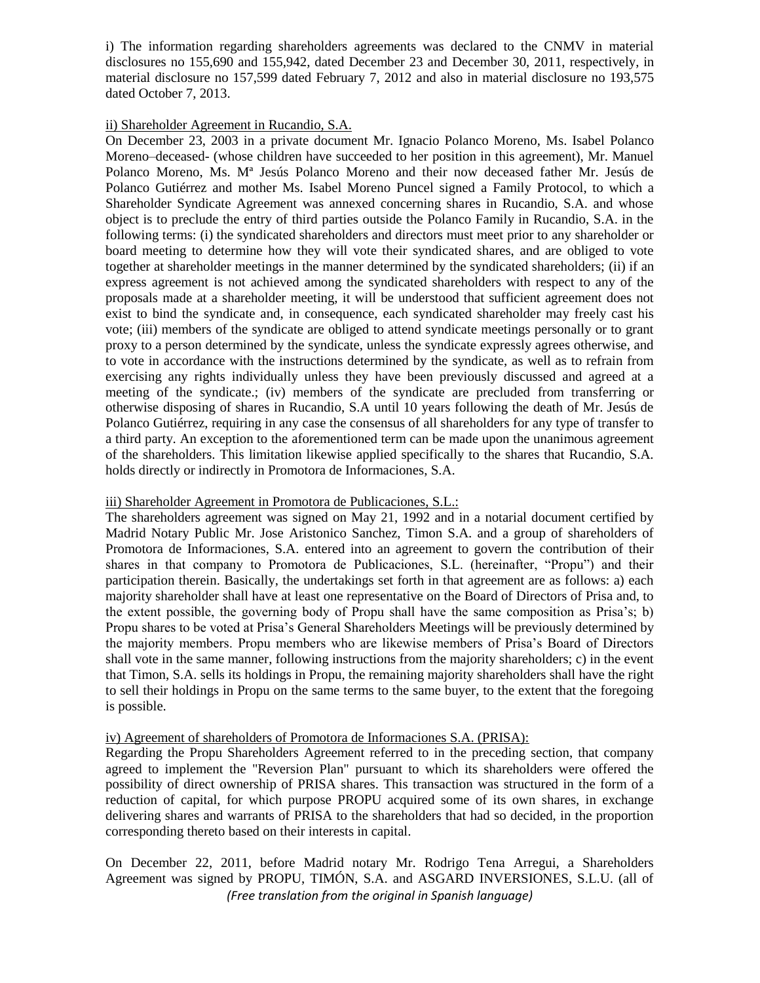i) The information regarding shareholders agreements was declared to the CNMV in material disclosures no 155,690 and 155,942, dated December 23 and December 30, 2011, respectively, in material disclosure no 157,599 dated February 7, 2012 and also in material disclosure no 193,575 dated October 7, 2013.

#### ii) Shareholder Agreement in Rucandio, S.A.

On December 23, 2003 in a private document Mr. Ignacio Polanco Moreno, Ms. Isabel Polanco Moreno–deceased- (whose children have succeeded to her position in this agreement), Mr. Manuel Polanco Moreno, Ms. Mª Jesús Polanco Moreno and their now deceased father Mr. Jesús de Polanco Gutiérrez and mother Ms. Isabel Moreno Puncel signed a Family Protocol, to which a Shareholder Syndicate Agreement was annexed concerning shares in Rucandio, S.A. and whose object is to preclude the entry of third parties outside the Polanco Family in Rucandio, S.A. in the following terms: (i) the syndicated shareholders and directors must meet prior to any shareholder or board meeting to determine how they will vote their syndicated shares, and are obliged to vote together at shareholder meetings in the manner determined by the syndicated shareholders; (ii) if an express agreement is not achieved among the syndicated shareholders with respect to any of the proposals made at a shareholder meeting, it will be understood that sufficient agreement does not exist to bind the syndicate and, in consequence, each syndicated shareholder may freely cast his vote; (iii) members of the syndicate are obliged to attend syndicate meetings personally or to grant proxy to a person determined by the syndicate, unless the syndicate expressly agrees otherwise, and to vote in accordance with the instructions determined by the syndicate, as well as to refrain from exercising any rights individually unless they have been previously discussed and agreed at a meeting of the syndicate.; (iv) members of the syndicate are precluded from transferring or otherwise disposing of shares in Rucandio, S.A until 10 years following the death of Mr. Jesús de Polanco Gutiérrez, requiring in any case the consensus of all shareholders for any type of transfer to a third party. An exception to the aforementioned term can be made upon the unanimous agreement of the shareholders. This limitation likewise applied specifically to the shares that Rucandio, S.A. holds directly or indirectly in Promotora de Informaciones, S.A.

## iii) Shareholder Agreement in Promotora de Publicaciones, S.L.:

The shareholders agreement was signed on May 21, 1992 and in a notarial document certified by Madrid Notary Public Mr. Jose Aristonico Sanchez, Timon S.A. and a group of shareholders of Promotora de Informaciones, S.A. entered into an agreement to govern the contribution of their shares in that company to Promotora de Publicaciones, S.L. (hereinafter, "Propu") and their participation therein. Basically, the undertakings set forth in that agreement are as follows: a) each majority shareholder shall have at least one representative on the Board of Directors of Prisa and, to the extent possible, the governing body of Propu shall have the same composition as Prisa's; b) Propu shares to be voted at Prisa's General Shareholders Meetings will be previously determined by the majority members. Propu members who are likewise members of Prisa's Board of Directors shall vote in the same manner, following instructions from the majority shareholders; c) in the event that Timon, S.A. sells its holdings in Propu, the remaining majority shareholders shall have the right to sell their holdings in Propu on the same terms to the same buyer, to the extent that the foregoing is possible.

## iv) Agreement of shareholders of Promotora de Informaciones S.A. (PRISA):

Regarding the Propu Shareholders Agreement referred to in the preceding section, that company agreed to implement the "Reversion Plan" pursuant to which its shareholders were offered the possibility of direct ownership of PRISA shares. This transaction was structured in the form of a reduction of capital, for which purpose PROPU acquired some of its own shares, in exchange delivering shares and warrants of PRISA to the shareholders that had so decided, in the proportion corresponding thereto based on their interests in capital.

*(Free translation from the original in Spanish language)* On December 22, 2011, before Madrid notary Mr. Rodrigo Tena Arregui, a Shareholders Agreement was signed by PROPU, TIMÓN, S.A. and ASGARD INVERSIONES, S.L.U. (all of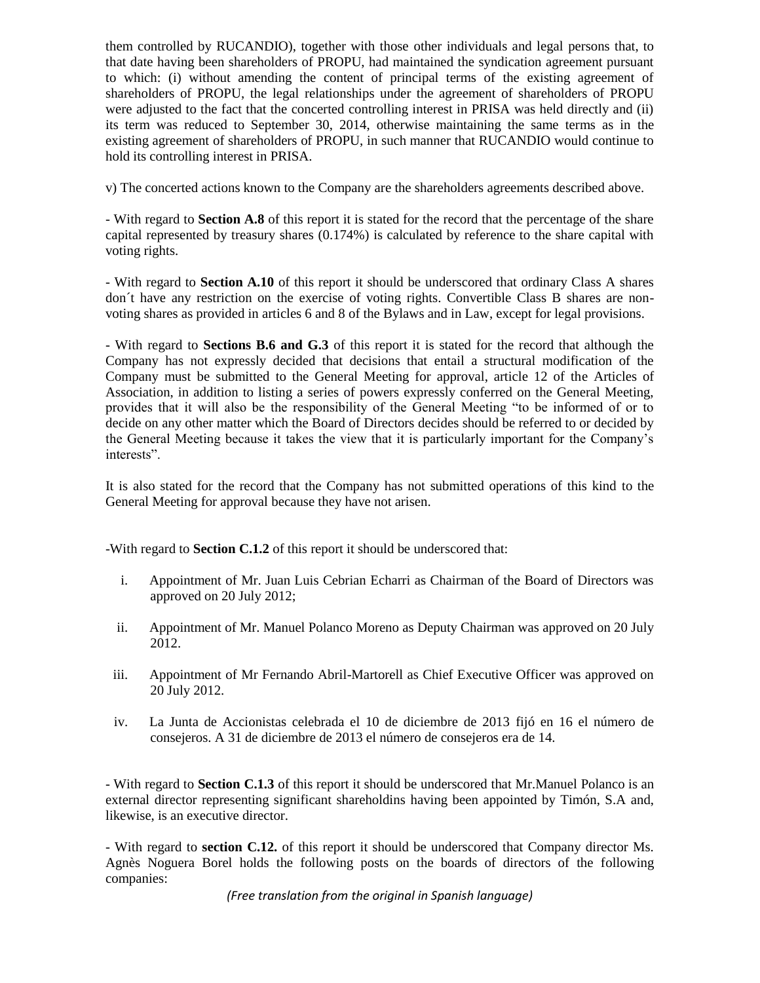them controlled by RUCANDIO), together with those other individuals and legal persons that, to that date having been shareholders of PROPU, had maintained the syndication agreement pursuant to which: (i) without amending the content of principal terms of the existing agreement of shareholders of PROPU, the legal relationships under the agreement of shareholders of PROPU were adjusted to the fact that the concerted controlling interest in PRISA was held directly and (ii) its term was reduced to September 30, 2014, otherwise maintaining the same terms as in the existing agreement of shareholders of PROPU, in such manner that RUCANDIO would continue to hold its controlling interest in PRISA.

v) The concerted actions known to the Company are the shareholders agreements described above.

- With regard to **Section A.8** of this report it is stated for the record that the percentage of the share capital represented by treasury shares (0.174%) is calculated by reference to the share capital with voting rights.

- With regard to **Section A.10** of this report it should be underscored that ordinary Class A shares don´t have any restriction on the exercise of voting rights. Convertible Class B shares are nonvoting shares as provided in articles 6 and 8 of the Bylaws and in Law, except for legal provisions.

- With regard to **Sections B.6 and G.3** of this report it is stated for the record that although the Company has not expressly decided that decisions that entail a structural modification of the Company must be submitted to the General Meeting for approval, article 12 of the Articles of Association, in addition to listing a series of powers expressly conferred on the General Meeting, provides that it will also be the responsibility of the General Meeting "to be informed of or to decide on any other matter which the Board of Directors decides should be referred to or decided by the General Meeting because it takes the view that it is particularly important for the Company's interests".

It is also stated for the record that the Company has not submitted operations of this kind to the General Meeting for approval because they have not arisen.

-With regard to **Section C.1.2** of this report it should be underscored that:

- i. Appointment of Mr. Juan Luis Cebrian Echarri as Chairman of the Board of Directors was approved on 20 July 2012;
- ii. Appointment of Mr. Manuel Polanco Moreno as Deputy Chairman was approved on 20 July 2012.
- iii. Appointment of Mr Fernando Abril-Martorell as Chief Executive Officer was approved on 20 July 2012.
- iv. La Junta de Accionistas celebrada el 10 de diciembre de 2013 fijó en 16 el número de consejeros. A 31 de diciembre de 2013 el número de consejeros era de 14.

- With regard to **Section C.1.3** of this report it should be underscored that Mr.Manuel Polanco is an external director representing significant shareholdins having been appointed by Timón, S.A and, likewise, is an executive director.

- With regard to **section C.12.** of this report it should be underscored that Company director Ms. Agnès Noguera Borel holds the following posts on the boards of directors of the following companies: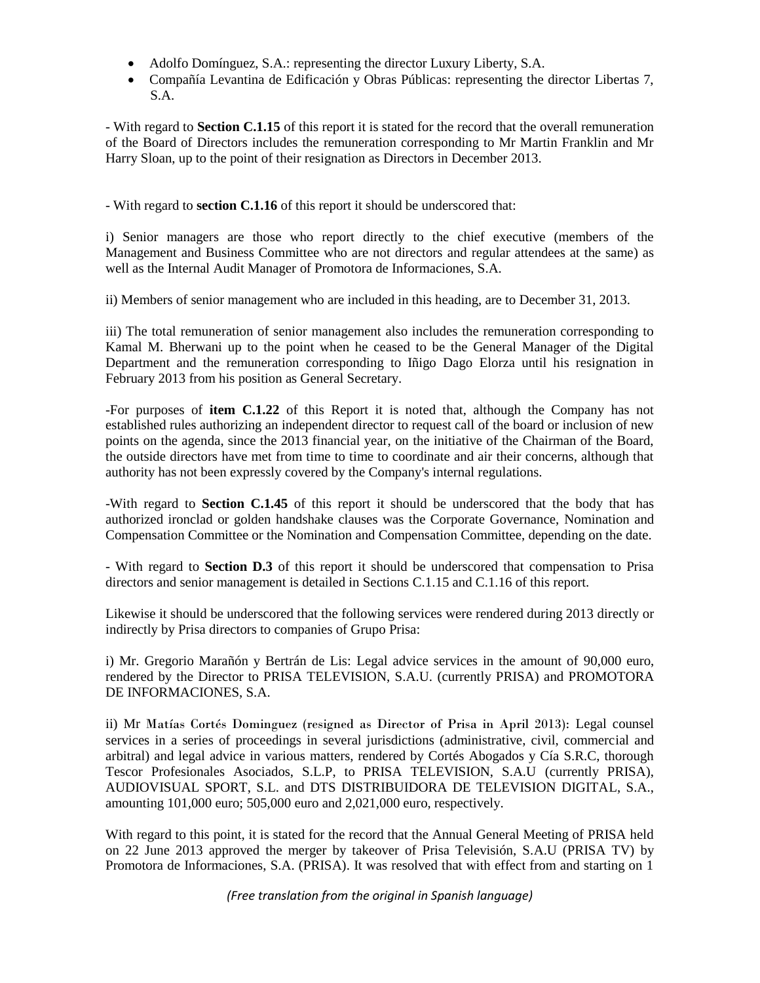- Adolfo Domínguez, S.A.: representing the director Luxury Liberty, S.A.
- Compañía Levantina de Edificación y Obras Públicas: representing the director Libertas 7, S.A.

- With regard to **Section C.1.15** of this report it is stated for the record that the overall remuneration of the Board of Directors includes the remuneration corresponding to Mr Martin Franklin and Mr Harry Sloan, up to the point of their resignation as Directors in December 2013.

- With regard to **section C.1.16** of this report it should be underscored that:

i) Senior managers are those who report directly to the chief executive (members of the Management and Business Committee who are not directors and regular attendees at the same) as well as the Internal Audit Manager of Promotora de Informaciones, S.A.

ii) Members of senior management who are included in this heading, are to December 31, 2013.

iii) The total remuneration of senior management also includes the remuneration corresponding to Kamal M. Bherwani up to the point when he ceased to be the General Manager of the Digital Department and the remuneration corresponding to Iñigo Dago Elorza until his resignation in February 2013 from his position as General Secretary.

-For purposes of **item C.1.22** of this Report it is noted that, although the Company has not established rules authorizing an independent director to request call of the board or inclusion of new points on the agenda, since the 2013 financial year, on the initiative of the Chairman of the Board, the outside directors have met from time to time to coordinate and air their concerns, although that authority has not been expressly covered by the Company's internal regulations.

-With regard to **Section C.1.45** of this report it should be underscored that the body that has authorized ironclad or golden handshake clauses was the Corporate Governance, Nomination and Compensation Committee or the Nomination and Compensation Committee, depending on the date.

- With regard to **Section D.3** of this report it should be underscored that compensation to Prisa directors and senior management is detailed in Sections C.1.15 and C.1.16 of this report.

Likewise it should be underscored that the following services were rendered during 2013 directly or indirectly by Prisa directors to companies of Grupo Prisa:

i) Mr. Gregorio Marañón y Bertrán de Lis: Legal advice services in the amount of 90,000 euro, rendered by the Director to PRISA TELEVISION, S.A.U. (currently PRISA) and PROMOTORA DE INFORMACIONES, S.A.

ii) Mr Matías Cortés Dominguez (resigned as Director of Prisa in April 2013): Legal counsel services in a series of proceedings in several jurisdictions (administrative, civil, commercial and arbitral) and legal advice in various matters, rendered by Cortés Abogados y Cía S.R.C, thorough Tescor Profesionales Asociados, S.L.P, to PRISA TELEVISION, S.A.U (currently PRISA), AUDIOVISUAL SPORT, S.L. and DTS DISTRIBUIDORA DE TELEVISION DIGITAL, S.A., amounting 101,000 euro; 505,000 euro and 2,021,000 euro, respectively.

With regard to this point, it is stated for the record that the Annual General Meeting of PRISA held on 22 June 2013 approved the merger by takeover of Prisa Televisión, S.A.U (PRISA TV) by Promotora de Informaciones, S.A. (PRISA). It was resolved that with effect from and starting on 1